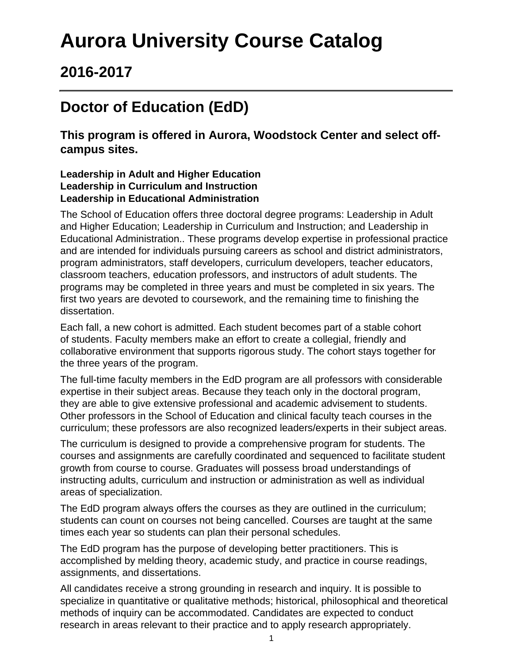# **Aurora University Course Catalog**

## **2016-2017**

## **Doctor of Education (EdD)**

**This program is offered in Aurora, Woodstock Center and select offcampus sites.**

#### **Leadership in Adult and Higher Education Leadership in Curriculum and Instruction Leadership in Educational Administration**

The School of Education offers three doctoral degree programs: Leadership in Adult and Higher Education; Leadership in Curriculum and Instruction; and Leadership in Educational Administration.. These programs develop expertise in professional practice and are intended for individuals pursuing careers as school and district administrators, program administrators, staff developers, curriculum developers, teacher educators, classroom teachers, education professors, and instructors of adult students. The programs may be completed in three years and must be completed in six years. The first two years are devoted to coursework, and the remaining time to finishing the dissertation.

Each fall, a new cohort is admitted. Each student becomes part of a stable cohort of students. Faculty members make an effort to create a collegial, friendly and collaborative environment that supports rigorous study. The cohort stays together for the three years of the program.

The full-time faculty members in the EdD program are all professors with considerable expertise in their subject areas. Because they teach only in the doctoral program, they are able to give extensive professional and academic advisement to students. Other professors in the School of Education and clinical faculty teach courses in the curriculum; these professors are also recognized leaders/experts in their subject areas.

The curriculum is designed to provide a comprehensive program for students. The courses and assignments are carefully coordinated and sequenced to facilitate student growth from course to course. Graduates will possess broad understandings of instructing adults, curriculum and instruction or administration as well as individual areas of specialization.

The EdD program always offers the courses as they are outlined in the curriculum; students can count on courses not being cancelled. Courses are taught at the same times each year so students can plan their personal schedules.

The EdD program has the purpose of developing better practitioners. This is accomplished by melding theory, academic study, and practice in course readings, assignments, and dissertations.

All candidates receive a strong grounding in research and inquiry. It is possible to specialize in quantitative or qualitative methods; historical, philosophical and theoretical methods of inquiry can be accommodated. Candidates are expected to conduct research in areas relevant to their practice and to apply research appropriately.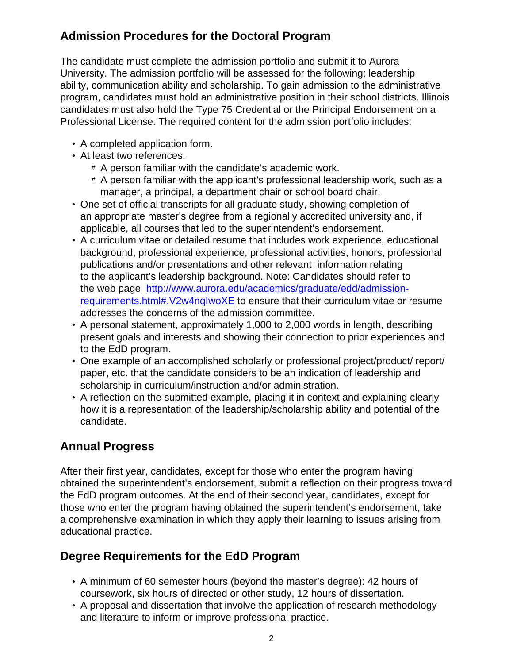## **Admission Procedures for the Doctoral Program**

The candidate must complete the admission portfolio and submit it to Aurora University. The admission portfolio will be assessed for the following: leadership ability, communication ability and scholarship. To gain admission to the administrative program, candidates must hold an administrative position in their school districts. Illinois candidates must also hold the Type 75 Credential or the Principal Endorsement on a Professional License. The required content for the admission portfolio includes:

- A completed application form.
- At least two references.
	- # A person familiar with the candidate's academic work.
	- # A person familiar with the applicant's professional leadership work, such as a manager, a principal, a department chair or school board chair.
- One set of official transcripts for all graduate study, showing completion of an appropriate master's degree from a regionally accredited university and, if applicable, all courses that led to the superintendent's endorsement.
- A curriculum vitae or detailed resume that includes work experience, educational background, professional experience, professional activities, honors, professional publications and/or presentations and other relevant information relating to the applicant's leadership background. Note: Candidates should refer to the web page [http://www.aurora.edu/academics/graduate/edd/admission](http://www.aurora.edu/academics/graduate/edd/admission-requirements.html#.V2w4nqIwoXE)[requirements.html#.V2w4nqIwoXE](http://www.aurora.edu/academics/graduate/edd/admission-requirements.html#.V2w4nqIwoXE) to ensure that their curriculum vitae or resume addresses the concerns of the admission committee.
- A personal statement, approximately 1,000 to 2,000 words in length, describing present goals and interests and showing their connection to prior experiences and to the EdD program.
- One example of an accomplished scholarly or professional project/product/ report/ paper, etc. that the candidate considers to be an indication of leadership and scholarship in curriculum/instruction and/or administration.
- A reflection on the submitted example, placing it in context and explaining clearly how it is a representation of the leadership/scholarship ability and potential of the candidate.

## **Annual Progress**

After their first year, candidates, except for those who enter the program having obtained the superintendent's endorsement, submit a reflection on their progress toward the EdD program outcomes. At the end of their second year, candidates, except for those who enter the program having obtained the superintendent's endorsement, take a comprehensive examination in which they apply their learning to issues arising from educational practice.

### **Degree Requirements for the EdD Program**

- A minimum of 60 semester hours (beyond the master's degree): 42 hours of coursework, six hours of directed or other study, 12 hours of dissertation.
- A proposal and dissertation that involve the application of research methodology and literature to inform or improve professional practice.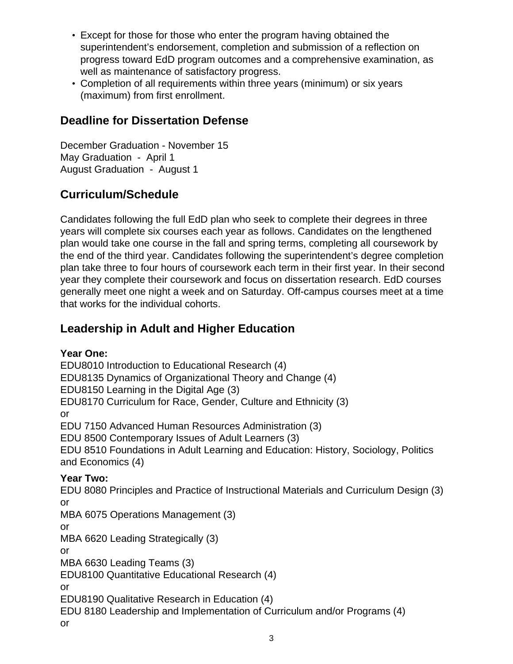- Except for those for those who enter the program having obtained the superintendent's endorsement, completion and submission of a reflection on progress toward EdD program outcomes and a comprehensive examination, as well as maintenance of satisfactory progress.
- Completion of all requirements within three years (minimum) or six years (maximum) from first enrollment.

### **Deadline for Dissertation Defense**

December Graduation - November 15 May Graduation - April 1 August Graduation - August 1

## **Curriculum/Schedule**

Candidates following the full EdD plan who seek to complete their degrees in three years will complete six courses each year as follows. Candidates on the lengthened plan would take one course in the fall and spring terms, completing all coursework by the end of the third year. Candidates following the superintendent's degree completion plan take three to four hours of coursework each term in their first year. In their second year they complete their coursework and focus on dissertation research. EdD courses generally meet one night a week and on Saturday. Off-campus courses meet at a time that works for the individual cohorts.

## **Leadership in Adult and Higher Education**

**Year One:** EDU8010 Introduction to Educational Research (4) EDU8135 Dynamics of Organizational Theory and Change (4) EDU8150 Learning in the Digital Age (3) EDU8170 Curriculum for Race, Gender, Culture and Ethnicity (3) or EDU 7150 Advanced Human Resources Administration (3) EDU 8500 Contemporary Issues of Adult Learners (3) EDU 8510 Foundations in Adult Learning and Education: History, Sociology, Politics and Economics (4) **Year Two:** EDU 8080 Principles and Practice of Instructional Materials and Curriculum Design (3) or MBA 6075 Operations Management (3) or MBA 6620 Leading Strategically (3) or MBA 6630 Leading Teams (3) EDU8100 Quantitative Educational Research (4) or EDU8190 Qualitative Research in Education (4) EDU 8180 Leadership and Implementation of Curriculum and/or Programs (4) or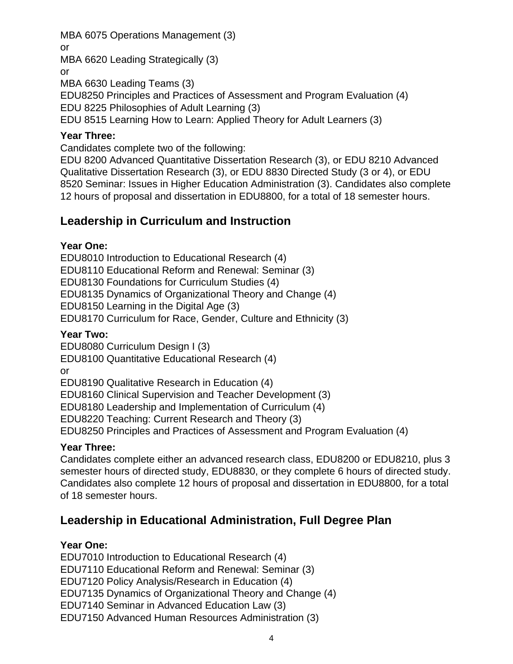### MBA 6075 Operations Management (3)

or

MBA 6620 Leading Strategically (3)

or

MBA 6630 Leading Teams (3)

EDU8250 Principles and Practices of Assessment and Program Evaluation (4)

EDU 8225 Philosophies of Adult Learning (3)

EDU 8515 Learning How to Learn: Applied Theory for Adult Learners (3)

### **Year Three:**

Candidates complete two of the following:

EDU 8200 Advanced Quantitative Dissertation Research (3), or EDU 8210 Advanced Qualitative Dissertation Research (3), or EDU 8830 Directed Study (3 or 4), or EDU 8520 Seminar: Issues in Higher Education Administration (3). Candidates also complete 12 hours of proposal and dissertation in EDU8800, for a total of 18 semester hours.

## **Leadership in Curriculum and Instruction**

### **Year One:**

EDU8010 Introduction to Educational Research (4) EDU8110 Educational Reform and Renewal: Seminar (3) EDU8130 Foundations for Curriculum Studies (4) EDU8135 Dynamics of Organizational Theory and Change (4) EDU8150 Learning in the Digital Age (3) EDU8170 Curriculum for Race, Gender, Culture and Ethnicity (3)

### **Year Two:**

EDU8080 Curriculum Design I (3)

EDU8100 Quantitative Educational Research (4)

or

EDU8190 Qualitative Research in Education (4)

EDU8160 Clinical Supervision and Teacher Development (3)

EDU8180 Leadership and Implementation of Curriculum (4)

EDU8220 Teaching: Current Research and Theory (3)

EDU8250 Principles and Practices of Assessment and Program Evaluation (4)

### **Year Three:**

Candidates complete either an advanced research class, EDU8200 or EDU8210, plus 3 semester hours of directed study, EDU8830, or they complete 6 hours of directed study. Candidates also complete 12 hours of proposal and dissertation in EDU8800, for a total of 18 semester hours.

## **Leadership in Educational Administration, Full Degree Plan**

### **Year One:**

EDU7010 Introduction to Educational Research (4) EDU7110 Educational Reform and Renewal: Seminar (3) EDU7120 Policy Analysis/Research in Education (4) EDU7135 Dynamics of Organizational Theory and Change (4) EDU7140 Seminar in Advanced Education Law (3) EDU7150 Advanced Human Resources Administration (3)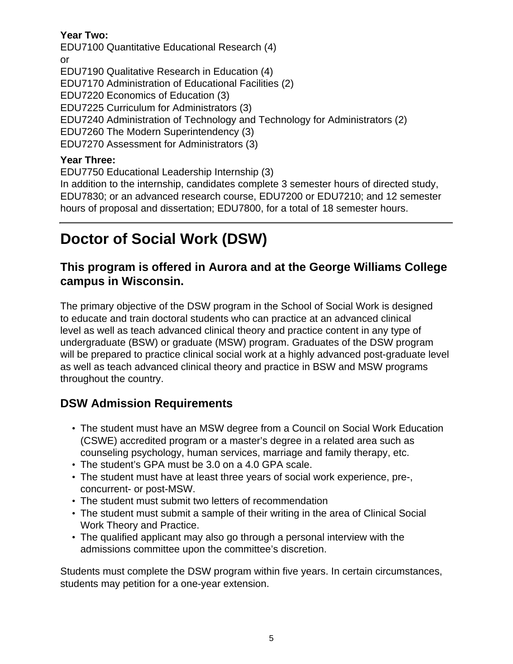#### **Year Two:**

EDU7100 Quantitative Educational Research (4) or EDU7190 Qualitative Research in Education (4) EDU7170 Administration of Educational Facilities (2) EDU7220 Economics of Education (3) EDU7225 Curriculum for Administrators (3) EDU7240 Administration of Technology and Technology for Administrators (2) EDU7260 The Modern Superintendency (3) EDU7270 Assessment for Administrators (3)

#### **Year Three:**

EDU7750 Educational Leadership Internship (3) In addition to the internship, candidates complete 3 semester hours of directed study, EDU7830; or an advanced research course, EDU7200 or EDU7210; and 12 semester hours of proposal and dissertation; EDU7800, for a total of 18 semester hours.

## **Doctor of Social Work (DSW)**

### **This program is offered in Aurora and at the George Williams College campus in Wisconsin.**

The primary objective of the DSW program in the School of Social Work is designed to educate and train doctoral students who can practice at an advanced clinical level as well as teach advanced clinical theory and practice content in any type of undergraduate (BSW) or graduate (MSW) program. Graduates of the DSW program will be prepared to practice clinical social work at a highly advanced post-graduate level as well as teach advanced clinical theory and practice in BSW and MSW programs throughout the country.

### **DSW Admission Requirements**

- The student must have an MSW degree from a Council on Social Work Education (CSWE) accredited program or a master's degree in a related area such as counseling psychology, human services, marriage and family therapy, etc.
- The student's GPA must be 3.0 on a 4.0 GPA scale.
- The student must have at least three years of social work experience, pre-, concurrent- or post-MSW.
- The student must submit two letters of recommendation
- The student must submit a sample of their writing in the area of Clinical Social Work Theory and Practice.
- The qualified applicant may also go through a personal interview with the admissions committee upon the committee's discretion.

Students must complete the DSW program within five years. In certain circumstances, students may petition for a one-year extension.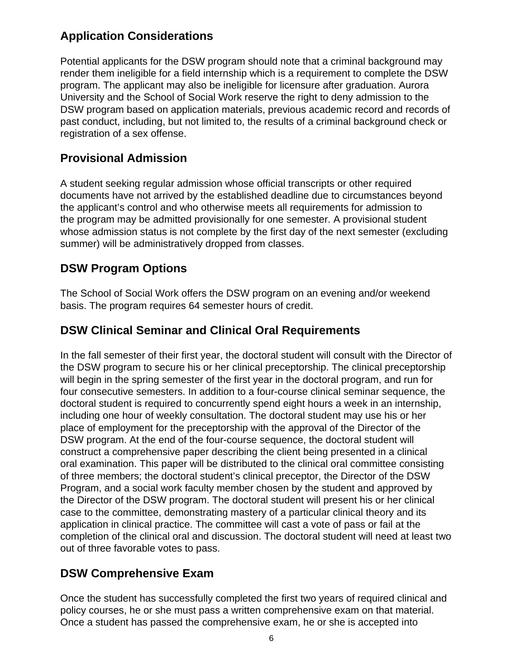### **Application Considerations**

Potential applicants for the DSW program should note that a criminal background may render them ineligible for a field internship which is a requirement to complete the DSW program. The applicant may also be ineligible for licensure after graduation. Aurora University and the School of Social Work reserve the right to deny admission to the DSW program based on application materials, previous academic record and records of past conduct, including, but not limited to, the results of a criminal background check or registration of a sex offense.

### **Provisional Admission**

A student seeking regular admission whose official transcripts or other required documents have not arrived by the established deadline due to circumstances beyond the applicant's control and who otherwise meets all requirements for admission to the program may be admitted provisionally for one semester. A provisional student whose admission status is not complete by the first day of the next semester (excluding summer) will be administratively dropped from classes.

### **DSW Program Options**

The School of Social Work offers the DSW program on an evening and/or weekend basis. The program requires 64 semester hours of credit.

### **DSW Clinical Seminar and Clinical Oral Requirements**

In the fall semester of their first year, the doctoral student will consult with the Director of the DSW program to secure his or her clinical preceptorship. The clinical preceptorship will begin in the spring semester of the first year in the doctoral program, and run for four consecutive semesters. In addition to a four-course clinical seminar sequence, the doctoral student is required to concurrently spend eight hours a week in an internship, including one hour of weekly consultation. The doctoral student may use his or her place of employment for the preceptorship with the approval of the Director of the DSW program. At the end of the four-course sequence, the doctoral student will construct a comprehensive paper describing the client being presented in a clinical oral examination. This paper will be distributed to the clinical oral committee consisting of three members; the doctoral student's clinical preceptor, the Director of the DSW Program, and a social work faculty member chosen by the student and approved by the Director of the DSW program. The doctoral student will present his or her clinical case to the committee, demonstrating mastery of a particular clinical theory and its application in clinical practice. The committee will cast a vote of pass or fail at the completion of the clinical oral and discussion. The doctoral student will need at least two out of three favorable votes to pass.

### **DSW Comprehensive Exam**

Once the student has successfully completed the first two years of required clinical and policy courses, he or she must pass a written comprehensive exam on that material. Once a student has passed the comprehensive exam, he or she is accepted into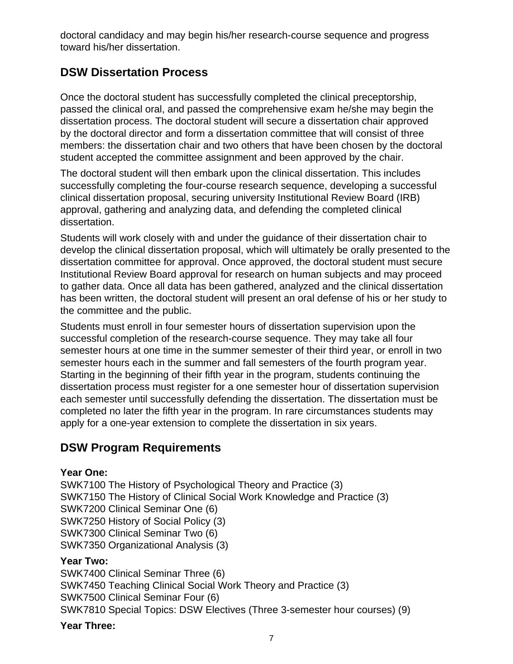doctoral candidacy and may begin his/her research-course sequence and progress toward his/her dissertation.

### **DSW Dissertation Process**

Once the doctoral student has successfully completed the clinical preceptorship, passed the clinical oral, and passed the comprehensive exam he/she may begin the dissertation process. The doctoral student will secure a dissertation chair approved by the doctoral director and form a dissertation committee that will consist of three members: the dissertation chair and two others that have been chosen by the doctoral student accepted the committee assignment and been approved by the chair.

The doctoral student will then embark upon the clinical dissertation. This includes successfully completing the four-course research sequence, developing a successful clinical dissertation proposal, securing university Institutional Review Board (IRB) approval, gathering and analyzing data, and defending the completed clinical dissertation.

Students will work closely with and under the guidance of their dissertation chair to develop the clinical dissertation proposal, which will ultimately be orally presented to the dissertation committee for approval. Once approved, the doctoral student must secure Institutional Review Board approval for research on human subjects and may proceed to gather data. Once all data has been gathered, analyzed and the clinical dissertation has been written, the doctoral student will present an oral defense of his or her study to the committee and the public.

Students must enroll in four semester hours of dissertation supervision upon the successful completion of the research-course sequence. They may take all four semester hours at one time in the summer semester of their third year, or enroll in two semester hours each in the summer and fall semesters of the fourth program year. Starting in the beginning of their fifth year in the program, students continuing the dissertation process must register for a one semester hour of dissertation supervision each semester until successfully defending the dissertation. The dissertation must be completed no later the fifth year in the program. In rare circumstances students may apply for a one-year extension to complete the dissertation in six years.

### **DSW Program Requirements**

### **Year One:**

SWK7100 The History of Psychological Theory and Practice (3) SWK7150 The History of Clinical Social Work Knowledge and Practice (3) SWK7200 Clinical Seminar One (6) SWK7250 History of Social Policy (3) SWK7300 Clinical Seminar Two (6) SWK7350 Organizational Analysis (3)

### **Year Two:**

SWK7400 Clinical Seminar Three (6) SWK7450 Teaching Clinical Social Work Theory and Practice (3) SWK7500 Clinical Seminar Four (6) SWK7810 Special Topics: DSW Electives (Three 3-semester hour courses) (9)

#### **Year Three:**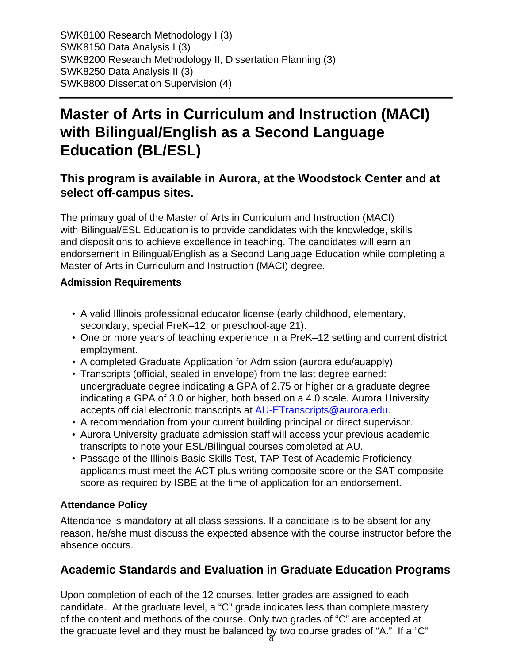SWK8100 Research Methodology I (3) SWK8150 Data Analysis I (3) SWK8200 Research Methodology II, Dissertation Planning (3) SWK8250 Data Analysis II (3) SWK8800 Dissertation Supervision (4)

## **Master of Arts in Curriculum and Instruction (MACI) with Bilingual/English as a Second Language Education (BL/ESL)**

### **This program is available in Aurora, at the Woodstock Center and at select off-campus sites.**

The primary goal of the Master of Arts in Curriculum and Instruction (MACI) with Bilingual/ESL Education is to provide candidates with the knowledge, skills and dispositions to achieve excellence in teaching. The candidates will earn an endorsement in Bilingual/English as a Second Language Education while completing a Master of Arts in Curriculum and Instruction (MACI) degree.

#### **Admission Requirements**

- A valid Illinois professional educator license (early childhood, elementary, secondary, special PreK–12, or preschool-age 21).
- One or more years of teaching experience in a PreK–12 setting and current district employment.
- A completed Graduate Application for Admission (aurora.edu/auapply).
- Transcripts (official, sealed in envelope) from the last degree earned: undergraduate degree indicating a GPA of 2.75 or higher or a graduate degree indicating a GPA of 3.0 or higher, both based on a 4.0 scale. Aurora University accepts official electronic transcripts at [AU-ETranscripts@aurora.edu.](mailto:AU-ETranscripts@aurora.edu)
- A recommendation from your current building principal or direct supervisor.
- Aurora University graduate admission staff will access your previous academic transcripts to note your ESL/Bilingual courses completed at AU.
- Passage of the Illinois Basic Skills Test, TAP Test of Academic Proficiency, applicants must meet the ACT plus writing composite score or the SAT composite score as required by ISBE at the time of application for an endorsement.

### **Attendance Policy**

Attendance is mandatory at all class sessions. If a candidate is to be absent for any reason, he/she must discuss the expected absence with the course instructor before the absence occurs.

### **Academic Standards and Evaluation in Graduate Education Programs**

the graduate level and they must be balanced by two course grades of "A." If a "C" Upon completion of each of the 12 courses, letter grades are assigned to each candidate. At the graduate level, a "C" grade indicates less than complete mastery of the content and methods of the course. Only two grades of "C" are accepted at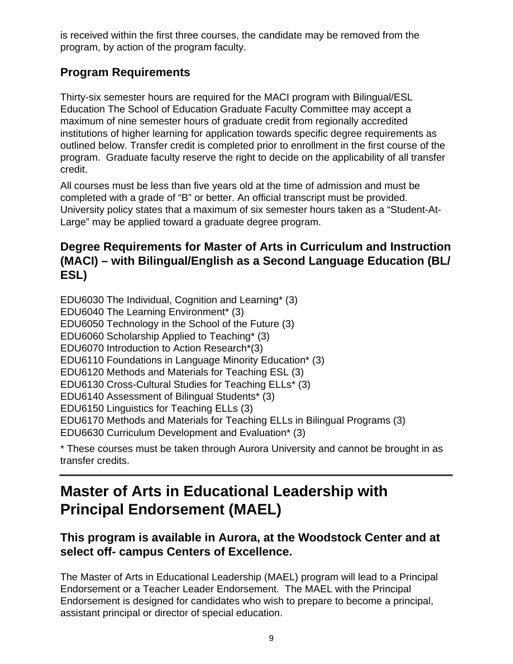is received within the first three courses, the candidate may be removed from the program, by action of the program faculty.

## **Program Requirements**

Thirty-six semester hours are required for the MACI program with Bilingual/ESL Education The School of Education Graduate Faculty Committee may accept a maximum of nine semester hours of graduate credit from regionally accredited institutions of higher learning for application towards specific degree requirements as outlined below. Transfer credit is completed prior to enrollment in the first course of the program. Graduate faculty reserve the right to decide on the applicability of all transfer credit.

All courses must be less than five years old at the time of admission and must be completed with a grade of "B" or better. An official transcript must be provided. University policy states that a maximum of six semester hours taken as a "Student-At-Large" may be applied toward a graduate degree program.

### **Degree Requirements for Master of Arts in Curriculum and Instruction (MACI) – with Bilingual/English as a Second Language Education (BL/ ESL)**

EDU6030 The Individual, Cognition and Learning\* (3) EDU6040 The Learning Environment\* (3) EDU6050 Technology in the School of the Future (3) EDU6060 Scholarship Applied to Teaching\* (3) EDU6070 Introduction to Action Research\*(3) EDU6110 Foundations in Language Minority Education\* (3) EDU6120 Methods and Materials for Teaching ESL (3) EDU6130 Cross-Cultural Studies for Teaching ELLs\* (3) EDU6140 Assessment of Bilingual Students\* (3) EDU6150 Linguistics for Teaching ELLs (3) EDU6170 Methods and Materials for Teaching ELLs in Bilingual Programs (3) EDU6630 Curriculum Development and Evaluation\* (3)

\* These courses must be taken through Aurora University and cannot be brought in as transfer credits.

## **Master of Arts in Educational Leadership with Principal Endorsement (MAEL)**

### **This program is available in Aurora, at the Woodstock Center and at select off- campus Centers of Excellence.**

The Master of Arts in Educational Leadership (MAEL) program will lead to a Principal Endorsement or a Teacher Leader Endorsement. The MAEL with the Principal Endorsement is designed for candidates who wish to prepare to become a principal, assistant principal or director of special education.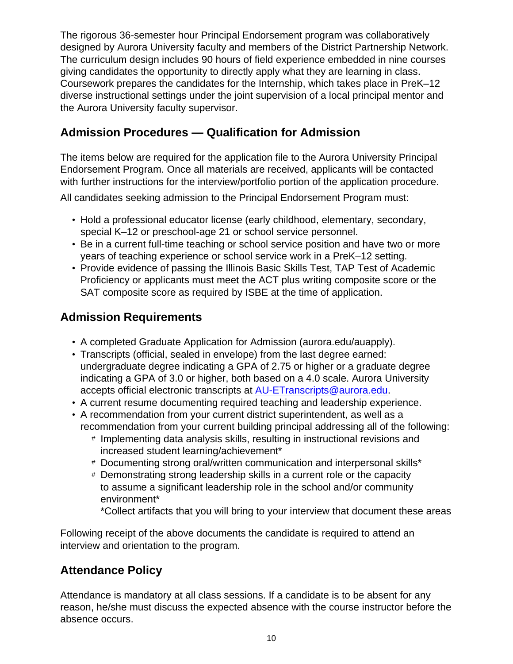The rigorous 36-semester hour Principal Endorsement program was collaboratively designed by Aurora University faculty and members of the District Partnership Network. The curriculum design includes 90 hours of field experience embedded in nine courses giving candidates the opportunity to directly apply what they are learning in class. Coursework prepares the candidates for the Internship, which takes place in PreK–12 diverse instructional settings under the joint supervision of a local principal mentor and the Aurora University faculty supervisor.

### **Admission Procedures — Qualification for Admission**

The items below are required for the application file to the Aurora University Principal Endorsement Program. Once all materials are received, applicants will be contacted with further instructions for the interview/portfolio portion of the application procedure.

All candidates seeking admission to the Principal Endorsement Program must:

- Hold a professional educator license (early childhood, elementary, secondary, special K–12 or preschool-age 21 or school service personnel.
- Be in a current full-time teaching or school service position and have two or more years of teaching experience or school service work in a PreK–12 setting.
- Provide evidence of passing the Illinois Basic Skills Test, TAP Test of Academic Proficiency or applicants must meet the ACT plus writing composite score or the SAT composite score as required by ISBE at the time of application.

## **Admission Requirements**

- A completed Graduate Application for Admission (aurora.edu/auapply).
- Transcripts (official, sealed in envelope) from the last degree earned: undergraduate degree indicating a GPA of 2.75 or higher or a graduate degree indicating a GPA of 3.0 or higher, both based on a 4.0 scale. Aurora University accepts official electronic transcripts at [AU-ETranscripts@aurora.edu.](mailto:AU-ETranscripts@aurora.edu)
- A current resume documenting required teaching and leadership experience.
- A recommendation from your current district superintendent, as well as a recommendation from your current building principal addressing all of the following:
	- # Implementing data analysis skills, resulting in instructional revisions and increased student learning/achievement\*
	- # Documenting strong oral/written communication and interpersonal skills\*
	- # Demonstrating strong leadership skills in a current role or the capacity to assume a significant leadership role in the school and/or community environment\*

\*Collect artifacts that you will bring to your interview that document these areas

Following receipt of the above documents the candidate is required to attend an interview and orientation to the program.

### **Attendance Policy**

Attendance is mandatory at all class sessions. If a candidate is to be absent for any reason, he/she must discuss the expected absence with the course instructor before the absence occurs.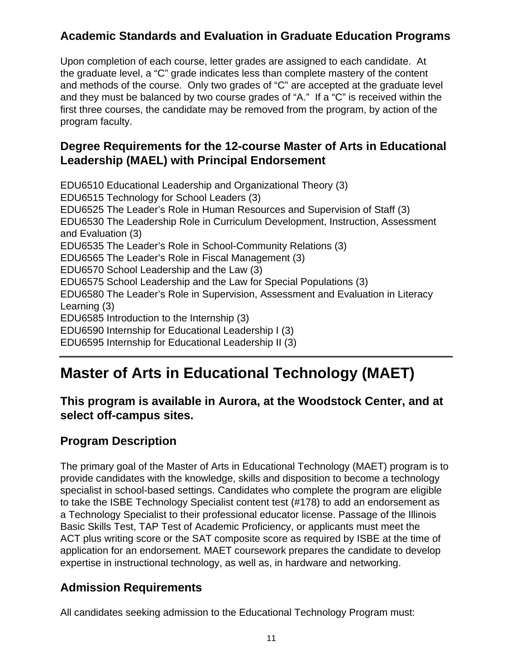## **Academic Standards and Evaluation in Graduate Education Programs**

Upon completion of each course, letter grades are assigned to each candidate. At the graduate level, a "C" grade indicates less than complete mastery of the content and methods of the course. Only two grades of "C" are accepted at the graduate level and they must be balanced by two course grades of "A." If a "C" is received within the first three courses, the candidate may be removed from the program, by action of the program faculty.

### **Degree Requirements for the 12-course Master of Arts in Educational Leadership (MAEL) with Principal Endorsement**

EDU6510 Educational Leadership and Organizational Theory (3) EDU6515 Technology for School Leaders (3) EDU6525 The Leader's Role in Human Resources and Supervision of Staff (3) EDU6530 The Leadership Role in Curriculum Development, Instruction, Assessment and Evaluation (3) EDU6535 The Leader's Role in School-Community Relations (3) EDU6565 The Leader's Role in Fiscal Management (3) EDU6570 School Leadership and the Law (3) EDU6575 School Leadership and the Law for Special Populations (3) EDU6580 The Leader's Role in Supervision, Assessment and Evaluation in Literacy Learning (3) EDU6585 Introduction to the Internship (3) EDU6590 Internship for Educational Leadership I (3) EDU6595 Internship for Educational Leadership II (3)

## **Master of Arts in Educational Technology (MAET)**

### **This program is available in Aurora, at the Woodstock Center, and at select off-campus sites.**

### **Program Description**

The primary goal of the Master of Arts in Educational Technology (MAET) program is to provide candidates with the knowledge, skills and disposition to become a technology specialist in school-based settings. Candidates who complete the program are eligible to take the ISBE Technology Specialist content test (#178) to add an endorsement as a Technology Specialist to their professional educator license. Passage of the Illinois Basic Skills Test, TAP Test of Academic Proficiency, or applicants must meet the ACT plus writing score or the SAT composite score as required by ISBE at the time of application for an endorsement. MAET coursework prepares the candidate to develop expertise in instructional technology, as well as, in hardware and networking.

### **Admission Requirements**

All candidates seeking admission to the Educational Technology Program must: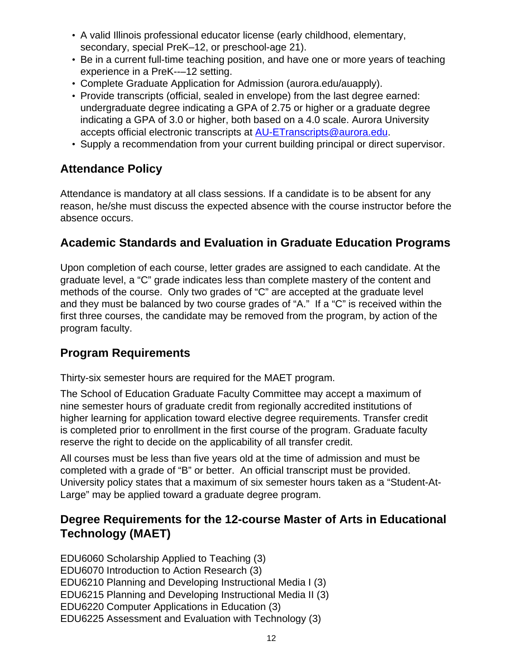- A valid Illinois professional educator license (early childhood, elementary, secondary, special PreK–12, or preschool-age 21).
- Be in a current full-time teaching position, and have one or more years of teaching experience in a PreK--–12 setting.
- Complete Graduate Application for Admission (aurora.edu/auapply).
- Provide transcripts (official, sealed in envelope) from the last degree earned: undergraduate degree indicating a GPA of 2.75 or higher or a graduate degree indicating a GPA of 3.0 or higher, both based on a 4.0 scale. Aurora University accepts official electronic transcripts at [AU-ETranscripts@aurora.edu.](mailto:AU-ETranscripts@aurora.edu)
- Supply a recommendation from your current building principal or direct supervisor.

### **Attendance Policy**

Attendance is mandatory at all class sessions. If a candidate is to be absent for any reason, he/she must discuss the expected absence with the course instructor before the absence occurs.

### **Academic Standards and Evaluation in Graduate Education Programs**

Upon completion of each course, letter grades are assigned to each candidate. At the graduate level, a "C" grade indicates less than complete mastery of the content and methods of the course. Only two grades of "C" are accepted at the graduate level and they must be balanced by two course grades of "A." If a "C" is received within the first three courses, the candidate may be removed from the program, by action of the program faculty.

### **Program Requirements**

Thirty-six semester hours are required for the MAET program.

The School of Education Graduate Faculty Committee may accept a maximum of nine semester hours of graduate credit from regionally accredited institutions of higher learning for application toward elective degree requirements. Transfer credit is completed prior to enrollment in the first course of the program. Graduate faculty reserve the right to decide on the applicability of all transfer credit.

All courses must be less than five years old at the time of admission and must be completed with a grade of "B" or better. An official transcript must be provided. University policy states that a maximum of six semester hours taken as a "Student-At-Large" may be applied toward a graduate degree program.

### **Degree Requirements for the 12-course Master of Arts in Educational Technology (MAET)**

EDU6060 Scholarship Applied to Teaching (3) EDU6070 Introduction to Action Research (3) EDU6210 Planning and Developing Instructional Media I (3) EDU6215 Planning and Developing Instructional Media II (3) EDU6220 Computer Applications in Education (3) EDU6225 Assessment and Evaluation with Technology (3)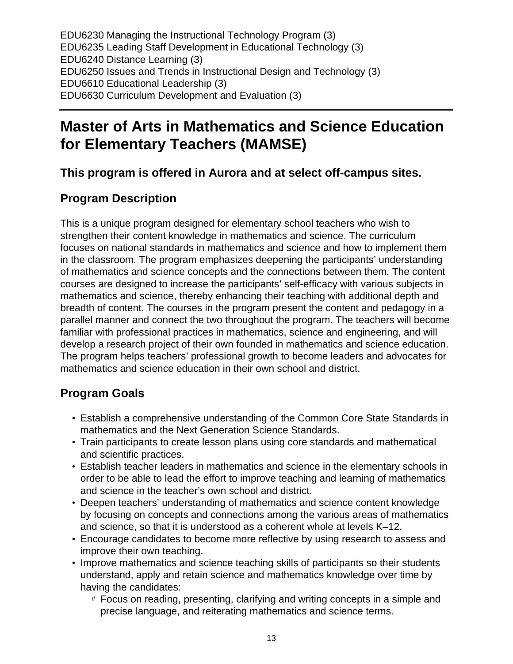EDU6230 Managing the Instructional Technology Program (3) EDU6235 Leading Staff Development in Educational Technology (3) EDU6240 Distance Learning (3) EDU6250 Issues and Trends in Instructional Design and Technology (3) EDU6610 Educational Leadership (3) EDU6630 Curriculum Development and Evaluation (3)

## **Master of Arts in Mathematics and Science Education for Elementary Teachers (MAMSE)**

**This program is offered in Aurora and at select off-campus sites.**

### **Program Description**

This is a unique program designed for elementary school teachers who wish to strengthen their content knowledge in mathematics and science. The curriculum focuses on national standards in mathematics and science and how to implement them in the classroom. The program emphasizes deepening the participants' understanding of mathematics and science concepts and the connections between them. The content courses are designed to increase the participants' self-efficacy with various subjects in mathematics and science, thereby enhancing their teaching with additional depth and breadth of content. The courses in the program present the content and pedagogy in a parallel manner and connect the two throughout the program. The teachers will become familiar with professional practices in mathematics, science and engineering, and will develop a research project of their own founded in mathematics and science education. The program helps teachers' professional growth to become leaders and advocates for mathematics and science education in their own school and district.

## **Program Goals**

- Establish a comprehensive understanding of the Common Core State Standards in mathematics and the Next Generation Science Standards.
- Train participants to create lesson plans using core standards and mathematical and scientific practices.
- Establish teacher leaders in mathematics and science in the elementary schools in order to be able to lead the effort to improve teaching and learning of mathematics and science in the teacher's own school and district.
- Deepen teachers' understanding of mathematics and science content knowledge by focusing on concepts and connections among the various areas of mathematics and science, so that it is understood as a coherent whole at levels K–12.
- Encourage candidates to become more reflective by using research to assess and improve their own teaching.
- Improve mathematics and science teaching skills of participants so their students understand, apply and retain science and mathematics knowledge over time by having the candidates:
	- # Focus on reading, presenting, clarifying and writing concepts in a simple and precise language, and reiterating mathematics and science terms.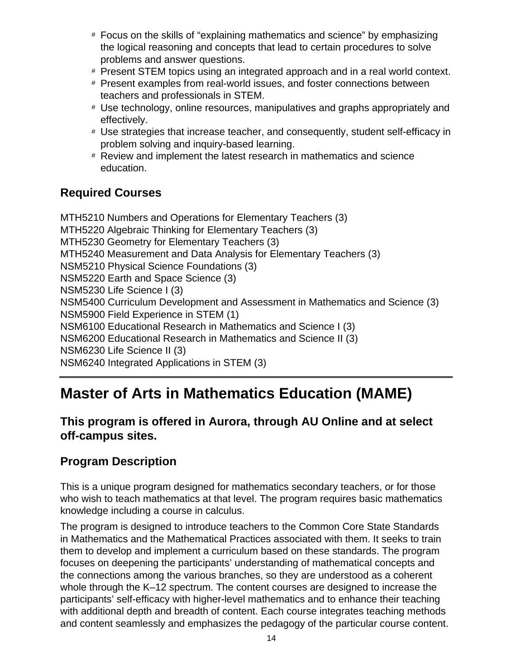- # Focus on the skills of "explaining mathematics and science" by emphasizing the logical reasoning and concepts that lead to certain procedures to solve problems and answer questions.
- # Present STEM topics using an integrated approach and in a real world context.
- # Present examples from real-world issues, and foster connections between teachers and professionals in STEM.
- # Use technology, online resources, manipulatives and graphs appropriately and effectively.
- # Use strategies that increase teacher, and consequently, student self-efficacy in problem solving and inquiry-based learning.
- # Review and implement the latest research in mathematics and science education.

### **Required Courses**

MTH5210 Numbers and Operations for Elementary Teachers (3) MTH5220 Algebraic Thinking for Elementary Teachers (3) MTH5230 Geometry for Elementary Teachers (3) MTH5240 Measurement and Data Analysis for Elementary Teachers (3) NSM5210 Physical Science Foundations (3) NSM5220 Earth and Space Science (3) NSM5230 Life Science I (3) NSM5400 Curriculum Development and Assessment in Mathematics and Science (3) NSM5900 Field Experience in STEM (1) NSM6100 Educational Research in Mathematics and Science I (3) NSM6200 Educational Research in Mathematics and Science II (3) NSM6230 Life Science II (3) NSM6240 Integrated Applications in STEM (3)

## **Master of Arts in Mathematics Education (MAME)**

### **This program is offered in Aurora, through AU Online and at select off-campus sites.**

### **Program Description**

This is a unique program designed for mathematics secondary teachers, or for those who wish to teach mathematics at that level. The program requires basic mathematics knowledge including a course in calculus.

The program is designed to introduce teachers to the Common Core State Standards in Mathematics and the Mathematical Practices associated with them. It seeks to train them to develop and implement a curriculum based on these standards. The program focuses on deepening the participants' understanding of mathematical concepts and the connections among the various branches, so they are understood as a coherent whole through the K–12 spectrum. The content courses are designed to increase the participants' self-efficacy with higher-level mathematics and to enhance their teaching with additional depth and breadth of content. Each course integrates teaching methods and content seamlessly and emphasizes the pedagogy of the particular course content.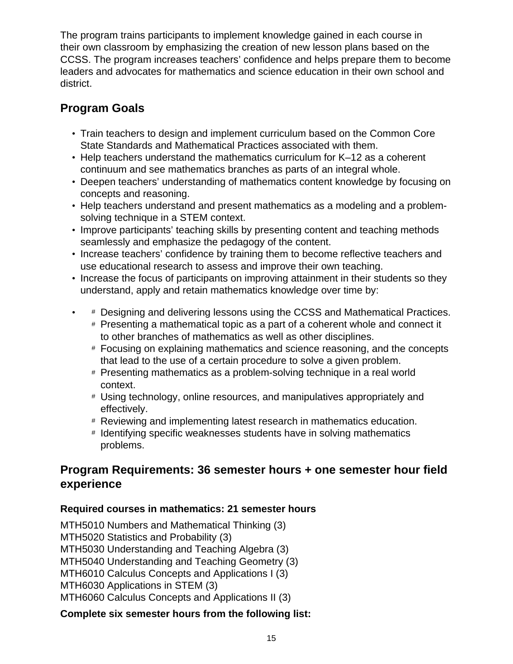The program trains participants to implement knowledge gained in each course in their own classroom by emphasizing the creation of new lesson plans based on the CCSS. The program increases teachers' confidence and helps prepare them to become leaders and advocates for mathematics and science education in their own school and district.

## **Program Goals**

- Train teachers to design and implement curriculum based on the Common Core State Standards and Mathematical Practices associated with them.
- Help teachers understand the mathematics curriculum for K–12 as a coherent continuum and see mathematics branches as parts of an integral whole.
- Deepen teachers' understanding of mathematics content knowledge by focusing on concepts and reasoning.
- Help teachers understand and present mathematics as a modeling and a problemsolving technique in a STEM context.
- Improve participants' teaching skills by presenting content and teaching methods seamlessly and emphasize the pedagogy of the content.
- Increase teachers' confidence by training them to become reflective teachers and use educational research to assess and improve their own teaching.
- Increase the focus of participants on improving attainment in their students so they understand, apply and retain mathematics knowledge over time by:
- # Designing and delivering lessons using the CCSS and Mathematical Practices.
	- # Presenting a mathematical topic as a part of a coherent whole and connect it to other branches of mathematics as well as other disciplines.
	- # Focusing on explaining mathematics and science reasoning, and the concepts that lead to the use of a certain procedure to solve a given problem.
	- # Presenting mathematics as a problem-solving technique in a real world context.
	- # Using technology, online resources, and manipulatives appropriately and effectively.
	- # Reviewing and implementing latest research in mathematics education.
	- # Identifying specific weaknesses students have in solving mathematics problems.

### **Program Requirements: 36 semester hours + one semester hour field experience**

### **Required courses in mathematics: 21 semester hours**

MTH5010 Numbers and Mathematical Thinking (3) MTH5020 Statistics and Probability (3) MTH5030 Understanding and Teaching Algebra (3) MTH5040 Understanding and Teaching Geometry (3) MTH6010 Calculus Concepts and Applications I (3) MTH6030 Applications in STEM (3) MTH6060 Calculus Concepts and Applications II (3)

### **Complete six semester hours from the following list:**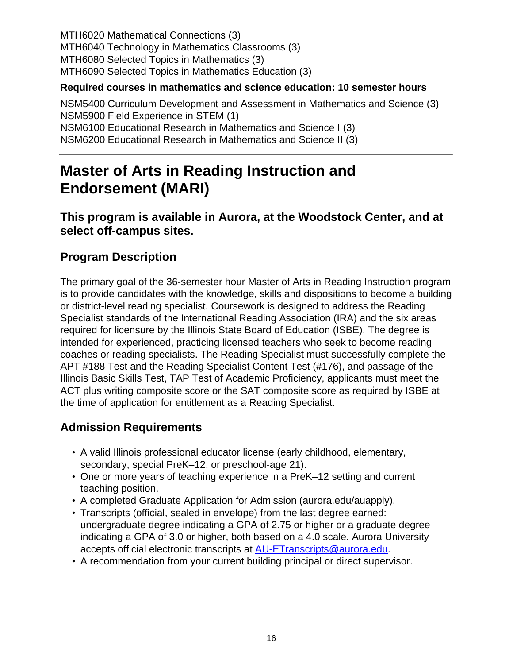MTH6020 Mathematical Connections (3) MTH6040 Technology in Mathematics Classrooms (3) MTH6080 Selected Topics in Mathematics (3) MTH6090 Selected Topics in Mathematics Education (3)

#### **Required courses in mathematics and science education: 10 semester hours**

NSM5400 Curriculum Development and Assessment in Mathematics and Science (3) NSM5900 Field Experience in STEM (1) NSM6100 Educational Research in Mathematics and Science I (3) NSM6200 Educational Research in Mathematics and Science II (3)

## **Master of Arts in Reading Instruction and Endorsement (MARI)**

### **This program is available in Aurora, at the Woodstock Center, and at select off-campus sites.**

## **Program Description**

The primary goal of the 36-semester hour Master of Arts in Reading Instruction program is to provide candidates with the knowledge, skills and dispositions to become a building or district-level reading specialist. Coursework is designed to address the Reading Specialist standards of the International Reading Association (IRA) and the six areas required for licensure by the Illinois State Board of Education (ISBE). The degree is intended for experienced, practicing licensed teachers who seek to become reading coaches or reading specialists. The Reading Specialist must successfully complete the APT #188 Test and the Reading Specialist Content Test (#176), and passage of the Illinois Basic Skills Test, TAP Test of Academic Proficiency, applicants must meet the ACT plus writing composite score or the SAT composite score as required by ISBE at the time of application for entitlement as a Reading Specialist.

## **Admission Requirements**

- A valid Illinois professional educator license (early childhood, elementary, secondary, special PreK–12, or preschool-age 21).
- One or more years of teaching experience in a PreK–12 setting and current teaching position.
- A completed Graduate Application for Admission (aurora.edu/auapply).
- Transcripts (official, sealed in envelope) from the last degree earned: undergraduate degree indicating a GPA of 2.75 or higher or a graduate degree indicating a GPA of 3.0 or higher, both based on a 4.0 scale. Aurora University accepts official electronic transcripts at [AU-ETranscripts@aurora.edu.](mailto:AU-ETranscripts@aurora.edu)
- A recommendation from your current building principal or direct supervisor.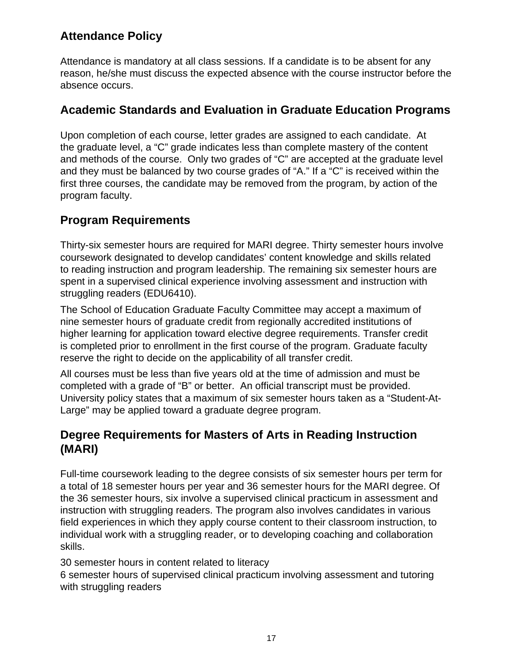## **Attendance Policy**

Attendance is mandatory at all class sessions. If a candidate is to be absent for any reason, he/she must discuss the expected absence with the course instructor before the absence occurs.

### **Academic Standards and Evaluation in Graduate Education Programs**

Upon completion of each course, letter grades are assigned to each candidate. At the graduate level, a "C" grade indicates less than complete mastery of the content and methods of the course. Only two grades of "C" are accepted at the graduate level and they must be balanced by two course grades of "A." If a "C" is received within the first three courses, the candidate may be removed from the program, by action of the program faculty.

## **Program Requirements**

Thirty-six semester hours are required for MARI degree. Thirty semester hours involve coursework designated to develop candidates' content knowledge and skills related to reading instruction and program leadership. The remaining six semester hours are spent in a supervised clinical experience involving assessment and instruction with struggling readers (EDU6410).

The School of Education Graduate Faculty Committee may accept a maximum of nine semester hours of graduate credit from regionally accredited institutions of higher learning for application toward elective degree requirements. Transfer credit is completed prior to enrollment in the first course of the program. Graduate faculty reserve the right to decide on the applicability of all transfer credit.

All courses must be less than five years old at the time of admission and must be completed with a grade of "B" or better. An official transcript must be provided. University policy states that a maximum of six semester hours taken as a "Student-At-Large" may be applied toward a graduate degree program.

## **Degree Requirements for Masters of Arts in Reading Instruction (MARI)**

Full-time coursework leading to the degree consists of six semester hours per term for a total of 18 semester hours per year and 36 semester hours for the MARI degree. Of the 36 semester hours, six involve a supervised clinical practicum in assessment and instruction with struggling readers. The program also involves candidates in various field experiences in which they apply course content to their classroom instruction, to individual work with a struggling reader, or to developing coaching and collaboration skills.

30 semester hours in content related to literacy

6 semester hours of supervised clinical practicum involving assessment and tutoring with struggling readers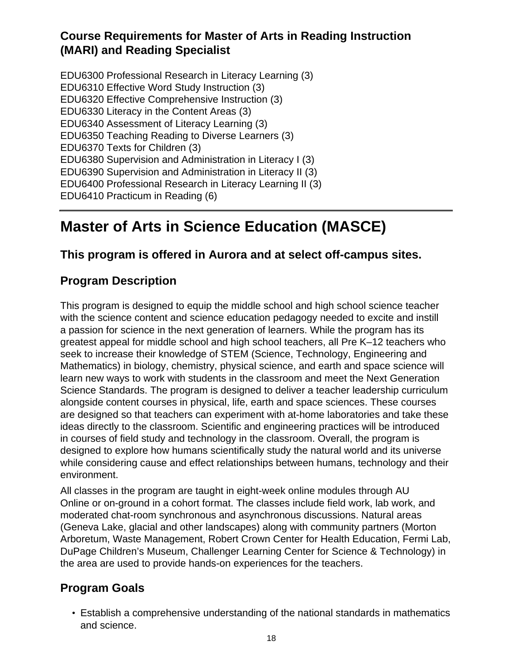## **Course Requirements for Master of Arts in Reading Instruction (MARI) and Reading Specialist**

EDU6300 Professional Research in Literacy Learning (3) EDU6310 Effective Word Study Instruction (3) EDU6320 Effective Comprehensive Instruction (3) EDU6330 Literacy in the Content Areas (3) EDU6340 Assessment of Literacy Learning (3) EDU6350 Teaching Reading to Diverse Learners (3) EDU6370 Texts for Children (3) EDU6380 Supervision and Administration in Literacy I (3) EDU6390 Supervision and Administration in Literacy II (3) EDU6400 Professional Research in Literacy Learning II (3) EDU6410 Practicum in Reading (6)

## **Master of Arts in Science Education (MASCE)**

### **This program is offered in Aurora and at select off-campus sites.**

## **Program Description**

This program is designed to equip the middle school and high school science teacher with the science content and science education pedagogy needed to excite and instill a passion for science in the next generation of learners. While the program has its greatest appeal for middle school and high school teachers, all Pre K–12 teachers who seek to increase their knowledge of STEM (Science, Technology, Engineering and Mathematics) in biology, chemistry, physical science, and earth and space science will learn new ways to work with students in the classroom and meet the Next Generation Science Standards. The program is designed to deliver a teacher leadership curriculum alongside content courses in physical, life, earth and space sciences. These courses are designed so that teachers can experiment with at-home laboratories and take these ideas directly to the classroom. Scientific and engineering practices will be introduced in courses of field study and technology in the classroom. Overall, the program is designed to explore how humans scientifically study the natural world and its universe while considering cause and effect relationships between humans, technology and their environment.

All classes in the program are taught in eight-week online modules through AU Online or on-ground in a cohort format. The classes include field work, lab work, and moderated chat-room synchronous and asynchronous discussions. Natural areas (Geneva Lake, glacial and other landscapes) along with community partners (Morton Arboretum, Waste Management, Robert Crown Center for Health Education, Fermi Lab, DuPage Children's Museum, Challenger Learning Center for Science & Technology) in the area are used to provide hands-on experiences for the teachers.

## **Program Goals**

• Establish a comprehensive understanding of the national standards in mathematics and science.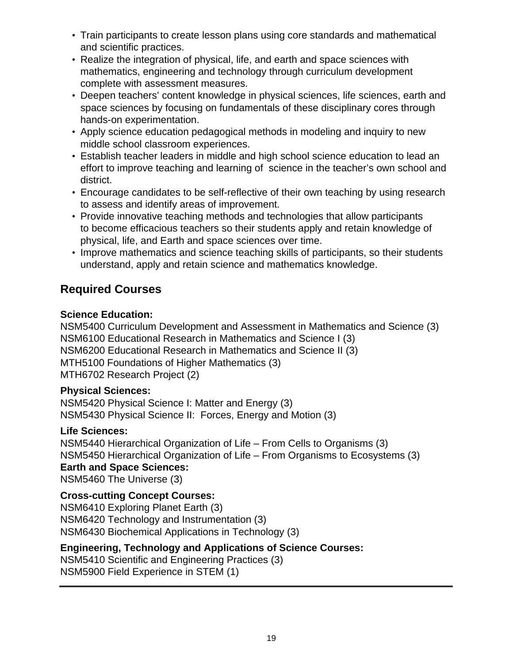- Train participants to create lesson plans using core standards and mathematical and scientific practices.
- Realize the integration of physical, life, and earth and space sciences with mathematics, engineering and technology through curriculum development complete with assessment measures.
- Deepen teachers' content knowledge in physical sciences, life sciences, earth and space sciences by focusing on fundamentals of these disciplinary cores through hands-on experimentation.
- Apply science education pedagogical methods in modeling and inquiry to new middle school classroom experiences.
- Establish teacher leaders in middle and high school science education to lead an effort to improve teaching and learning of science in the teacher's own school and district.
- Encourage candidates to be self-reflective of their own teaching by using research to assess and identify areas of improvement.
- Provide innovative teaching methods and technologies that allow participants to become efficacious teachers so their students apply and retain knowledge of physical, life, and Earth and space sciences over time.
- Improve mathematics and science teaching skills of participants, so their students understand, apply and retain science and mathematics knowledge.

## **Required Courses**

### **Science Education:**

NSM5400 Curriculum Development and Assessment in Mathematics and Science (3) NSM6100 Educational Research in Mathematics and Science I (3) NSM6200 Educational Research in Mathematics and Science II (3) MTH5100 Foundations of Higher Mathematics (3) MTH6702 Research Project (2)

### **Physical Sciences:**

NSM5420 Physical Science I: Matter and Energy (3) NSM5430 Physical Science II: Forces, Energy and Motion (3)

### **Life Sciences:**

NSM5440 Hierarchical Organization of Life – From Cells to Organisms (3) NSM5450 Hierarchical Organization of Life – From Organisms to Ecosystems (3) **Earth and Space Sciences:** NSM5460 The Universe (3)

### **Cross-cutting Concept Courses:**

NSM6410 Exploring Planet Earth (3) NSM6420 Technology and Instrumentation (3) NSM6430 Biochemical Applications in Technology (3)

### **Engineering, Technology and Applications of Science Courses:**

NSM5410 Scientific and Engineering Practices (3) NSM5900 Field Experience in STEM (1)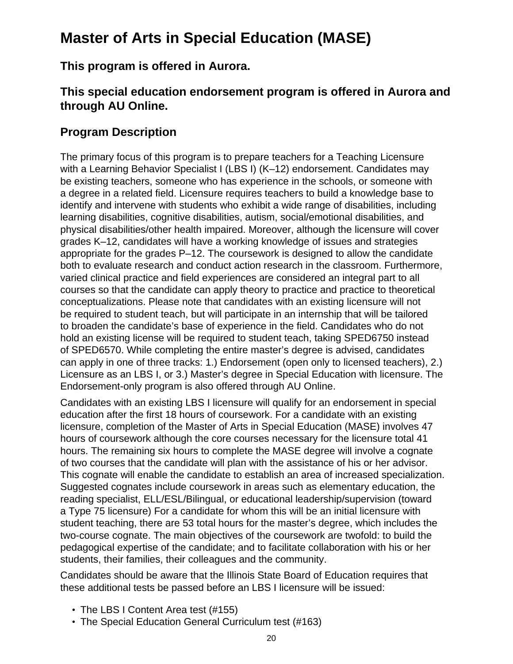## **Master of Arts in Special Education (MASE)**

**This program is offered in Aurora.**

### **This special education endorsement program is offered in Aurora and through AU Online.**

### **Program Description**

The primary focus of this program is to prepare teachers for a Teaching Licensure with a Learning Behavior Specialist I (LBS I) (K-12) endorsement. Candidates may be existing teachers, someone who has experience in the schools, or someone with a degree in a related field. Licensure requires teachers to build a knowledge base to identify and intervene with students who exhibit a wide range of disabilities, including learning disabilities, cognitive disabilities, autism, social/emotional disabilities, and physical disabilities/other health impaired. Moreover, although the licensure will cover grades K–12, candidates will have a working knowledge of issues and strategies appropriate for the grades P–12. The coursework is designed to allow the candidate both to evaluate research and conduct action research in the classroom. Furthermore, varied clinical practice and field experiences are considered an integral part to all courses so that the candidate can apply theory to practice and practice to theoretical conceptualizations. Please note that candidates with an existing licensure will not be required to student teach, but will participate in an internship that will be tailored to broaden the candidate's base of experience in the field. Candidates who do not hold an existing license will be required to student teach, taking SPED6750 instead of SPED6570. While completing the entire master's degree is advised, candidates can apply in one of three tracks: 1.) Endorsement (open only to licensed teachers), 2.) Licensure as an LBS I, or 3.) Master's degree in Special Education with licensure. The Endorsement-only program is also offered through AU Online.

Candidates with an existing LBS I licensure will qualify for an endorsement in special education after the first 18 hours of coursework. For a candidate with an existing licensure, completion of the Master of Arts in Special Education (MASE) involves 47 hours of coursework although the core courses necessary for the licensure total 41 hours. The remaining six hours to complete the MASE degree will involve a cognate of two courses that the candidate will plan with the assistance of his or her advisor. This cognate will enable the candidate to establish an area of increased specialization. Suggested cognates include coursework in areas such as elementary education, the reading specialist, ELL/ESL/Bilingual, or educational leadership/supervision (toward a Type 75 licensure) For a candidate for whom this will be an initial licensure with student teaching, there are 53 total hours for the master's degree, which includes the two-course cognate. The main objectives of the coursework are twofold: to build the pedagogical expertise of the candidate; and to facilitate collaboration with his or her students, their families, their colleagues and the community.

Candidates should be aware that the Illinois State Board of Education requires that these additional tests be passed before an LBS I licensure will be issued:

- The LBS I Content Area test (#155)
- The Special Education General Curriculum test (#163)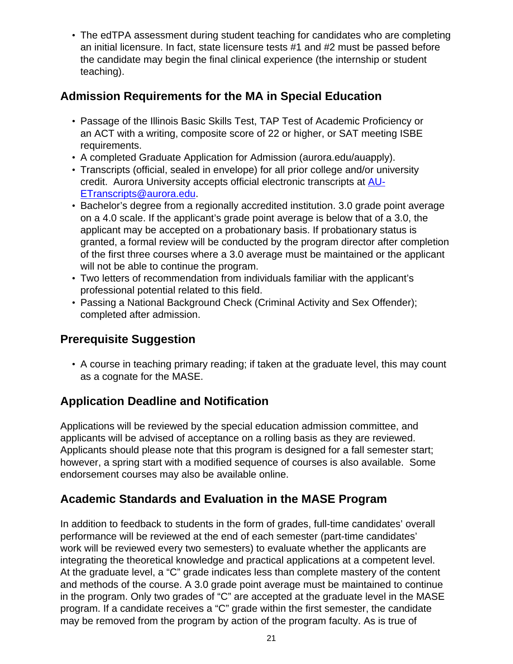• The edTPA assessment during student teaching for candidates who are completing an initial licensure. In fact, state licensure tests #1 and #2 must be passed before the candidate may begin the final clinical experience (the internship or student teaching).

### **Admission Requirements for the MA in Special Education**

- Passage of the Illinois Basic Skills Test, TAP Test of Academic Proficiency or an ACT with a writing, composite score of 22 or higher, or SAT meeting ISBE requirements.
- A completed Graduate Application for Admission (aurora.edu/auapply).
- Transcripts (official, sealed in envelope) for all prior college and/or university credit. Aurora University accepts official electronic transcripts at [AU-](mailto:AU-ETranscripts@aurora.edu)[ETranscripts@aurora.edu.](mailto:AU-ETranscripts@aurora.edu)
- Bachelor's degree from a regionally accredited institution. 3.0 grade point average on a 4.0 scale. If the applicant's grade point average is below that of a 3.0, the applicant may be accepted on a probationary basis. If probationary status is granted, a formal review will be conducted by the program director after completion of the first three courses where a 3.0 average must be maintained or the applicant will not be able to continue the program.
- Two letters of recommendation from individuals familiar with the applicant's professional potential related to this field.
- Passing a National Background Check (Criminal Activity and Sex Offender); completed after admission.

## **Prerequisite Suggestion**

• A course in teaching primary reading; if taken at the graduate level, this may count as a cognate for the MASE.

## **Application Deadline and Notification**

Applications will be reviewed by the special education admission committee, and applicants will be advised of acceptance on a rolling basis as they are reviewed. Applicants should please note that this program is designed for a fall semester start; however, a spring start with a modified sequence of courses is also available. Some endorsement courses may also be available online.

### **Academic Standards and Evaluation in the MASE Program**

In addition to feedback to students in the form of grades, full-time candidates' overall performance will be reviewed at the end of each semester (part-time candidates' work will be reviewed every two semesters) to evaluate whether the applicants are integrating the theoretical knowledge and practical applications at a competent level. At the graduate level, a "C" grade indicates less than complete mastery of the content and methods of the course. A 3.0 grade point average must be maintained to continue in the program. Only two grades of "C" are accepted at the graduate level in the MASE program. If a candidate receives a "C" grade within the first semester, the candidate may be removed from the program by action of the program faculty. As is true of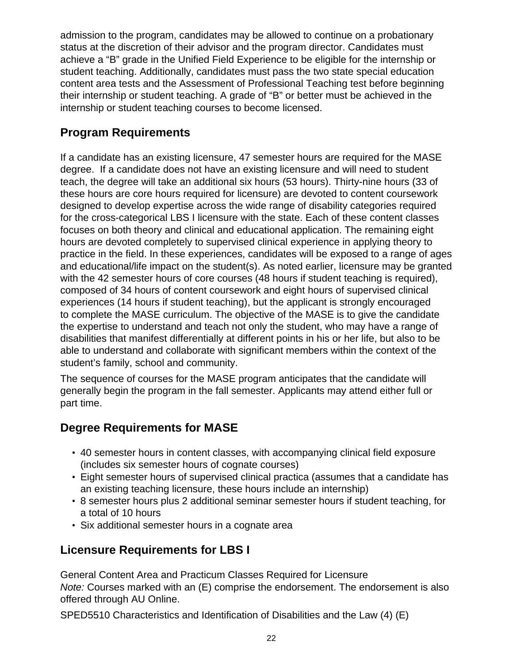admission to the program, candidates may be allowed to continue on a probationary status at the discretion of their advisor and the program director. Candidates must achieve a "B" grade in the Unified Field Experience to be eligible for the internship or student teaching. Additionally, candidates must pass the two state special education content area tests and the Assessment of Professional Teaching test before beginning their internship or student teaching. A grade of "B" or better must be achieved in the internship or student teaching courses to become licensed.

## **Program Requirements**

If a candidate has an existing licensure, 47 semester hours are required for the MASE degree. If a candidate does not have an existing licensure and will need to student teach, the degree will take an additional six hours (53 hours). Thirty-nine hours (33 of these hours are core hours required for licensure) are devoted to content coursework designed to develop expertise across the wide range of disability categories required for the cross-categorical LBS I licensure with the state. Each of these content classes focuses on both theory and clinical and educational application. The remaining eight hours are devoted completely to supervised clinical experience in applying theory to practice in the field. In these experiences, candidates will be exposed to a range of ages and educational/life impact on the student(s). As noted earlier, licensure may be granted with the 42 semester hours of core courses (48 hours if student teaching is required), composed of 34 hours of content coursework and eight hours of supervised clinical experiences (14 hours if student teaching), but the applicant is strongly encouraged to complete the MASE curriculum. The objective of the MASE is to give the candidate the expertise to understand and teach not only the student, who may have a range of disabilities that manifest differentially at different points in his or her life, but also to be able to understand and collaborate with significant members within the context of the student's family, school and community.

The sequence of courses for the MASE program anticipates that the candidate will generally begin the program in the fall semester. Applicants may attend either full or part time.

## **Degree Requirements for MASE**

- 40 semester hours in content classes, with accompanying clinical field exposure (includes six semester hours of cognate courses)
- Eight semester hours of supervised clinical practica (assumes that a candidate has an existing teaching licensure, these hours include an internship)
- 8 semester hours plus 2 additional seminar semester hours if student teaching, for a total of 10 hours
- Six additional semester hours in a cognate area

## **Licensure Requirements for LBS I**

General Content Area and Practicum Classes Required for Licensure Note: Courses marked with an (E) comprise the endorsement. The endorsement is also offered through AU Online.

SPED5510 Characteristics and Identification of Disabilities and the Law (4) (E)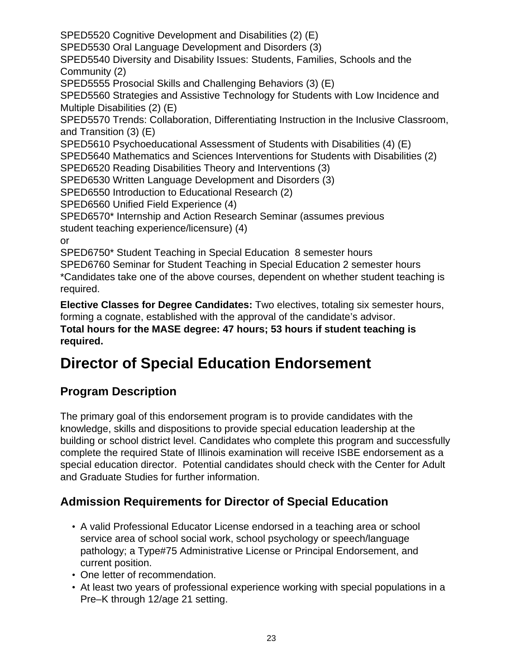SPED5520 Cognitive Development and Disabilities (2) (E) SPED5530 Oral Language Development and Disorders (3) SPED5540 Diversity and Disability Issues: Students, Families, Schools and the Community (2) SPED5555 Prosocial Skills and Challenging Behaviors (3) (E) SPED5560 Strategies and Assistive Technology for Students with Low Incidence and Multiple Disabilities (2) (E) SPED5570 Trends: Collaboration, Differentiating Instruction in the Inclusive Classroom, and Transition (3) (E) SPED5610 Psychoeducational Assessment of Students with Disabilities (4) (E) SPED5640 Mathematics and Sciences Interventions for Students with Disabilities (2) SPED6520 Reading Disabilities Theory and Interventions (3) SPED6530 Written Language Development and Disorders (3) SPED6550 Introduction to Educational Research (2) SPED6560 Unified Field Experience (4) SPED6570\* Internship and Action Research Seminar (assumes previous student teaching experience/licensure) (4) or SPED6750\* Student Teaching in Special Education 8 semester hours SPED6760 Seminar for Student Teaching in Special Education 2 semester hours \*Candidates take one of the above courses, dependent on whether student teaching is required.

**Elective Classes for Degree Candidates:** Two electives, totaling six semester hours, forming a cognate, established with the approval of the candidate's advisor. **Total hours for the MASE degree: 47 hours; 53 hours if student teaching is required.**

## **Director of Special Education Endorsement**

## **Program Description**

The primary goal of this endorsement program is to provide candidates with the knowledge, skills and dispositions to provide special education leadership at the building or school district level. Candidates who complete this program and successfully complete the required State of Illinois examination will receive ISBE endorsement as a special education director. Potential candidates should check with the Center for Adult and Graduate Studies for further information.

## **Admission Requirements for Director of Special Education**

- A valid Professional Educator License endorsed in a teaching area or school service area of school social work, school psychology or speech/language pathology; a Type#75 Administrative License or Principal Endorsement, and current position.
- One letter of recommendation.
- At least two years of professional experience working with special populations in a Pre–K through 12/age 21 setting.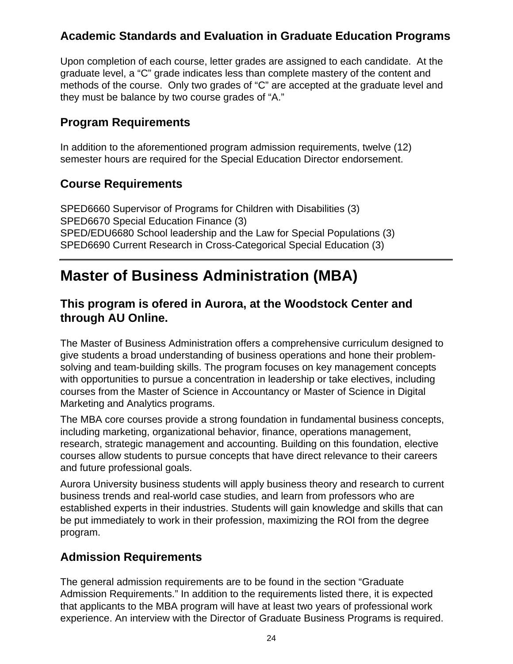### **Academic Standards and Evaluation in Graduate Education Programs**

Upon completion of each course, letter grades are assigned to each candidate. At the graduate level, a "C" grade indicates less than complete mastery of the content and methods of the course. Only two grades of "C" are accepted at the graduate level and they must be balance by two course grades of "A."

### **Program Requirements**

In addition to the aforementioned program admission requirements, twelve (12) semester hours are required for the Special Education Director endorsement.

### **Course Requirements**

SPED6660 Supervisor of Programs for Children with Disabilities (3) SPED6670 Special Education Finance (3) SPED/EDU6680 School leadership and the Law for Special Populations (3) SPED6690 Current Research in Cross-Categorical Special Education (3)

## **Master of Business Administration (MBA)**

### **This program is ofered in Aurora, at the Woodstock Center and through AU Online.**

The Master of Business Administration offers a comprehensive curriculum designed to give students a broad understanding of business operations and hone their problemsolving and team-building skills. The program focuses on key management concepts with opportunities to pursue a concentration in leadership or take electives, including courses from the Master of Science in Accountancy or Master of Science in Digital Marketing and Analytics programs.

The MBA core courses provide a strong foundation in fundamental business concepts, including marketing, organizational behavior, finance, operations management, research, strategic management and accounting. Building on this foundation, elective courses allow students to pursue concepts that have direct relevance to their careers and future professional goals.

Aurora University business students will apply business theory and research to current business trends and real-world case studies, and learn from professors who are established experts in their industries. Students will gain knowledge and skills that can be put immediately to work in their profession, maximizing the ROI from the degree program.

### **Admission Requirements**

The general admission requirements are to be found in the section "Graduate Admission Requirements." In addition to the requirements listed there, it is expected that applicants to the MBA program will have at least two years of professional work experience. An interview with the Director of Graduate Business Programs is required.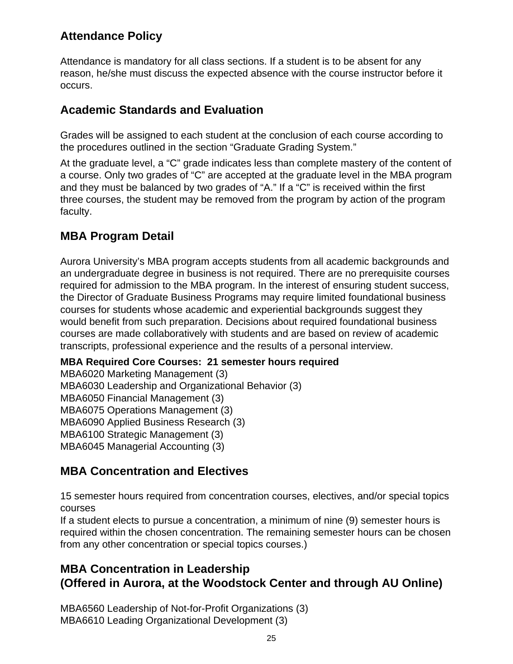### **Attendance Policy**

Attendance is mandatory for all class sections. If a student is to be absent for any reason, he/she must discuss the expected absence with the course instructor before it occurs.

### **Academic Standards and Evaluation**

Grades will be assigned to each student at the conclusion of each course according to the procedures outlined in the section "Graduate Grading System."

At the graduate level, a "C" grade indicates less than complete mastery of the content of a course. Only two grades of "C" are accepted at the graduate level in the MBA program and they must be balanced by two grades of "A." If a "C" is received within the first three courses, the student may be removed from the program by action of the program faculty.

### **MBA Program Detail**

Aurora University's MBA program accepts students from all academic backgrounds and an undergraduate degree in business is not required. There are no prerequisite courses required for admission to the MBA program. In the interest of ensuring student success, the Director of Graduate Business Programs may require limited foundational business courses for students whose academic and experiential backgrounds suggest they would benefit from such preparation. Decisions about required foundational business courses are made collaboratively with students and are based on review of academic transcripts, professional experience and the results of a personal interview.

### **MBA Required Core Courses: 21 semester hours required**

MBA6020 Marketing Management (3) MBA6030 Leadership and Organizational Behavior (3) MBA6050 Financial Management (3) MBA6075 Operations Management (3) MBA6090 Applied Business Research (3) MBA6100 Strategic Management (3) MBA6045 Managerial Accounting (3)

### **MBA Concentration and Electives**

15 semester hours required from concentration courses, electives, and/or special topics courses

If a student elects to pursue a concentration, a minimum of nine (9) semester hours is required within the chosen concentration. The remaining semester hours can be chosen from any other concentration or special topics courses.)

### **MBA Concentration in Leadership (Offered in Aurora, at the Woodstock Center and through AU Online)**

MBA6560 Leadership of Not-for-Profit Organizations (3) MBA6610 Leading Organizational Development (3)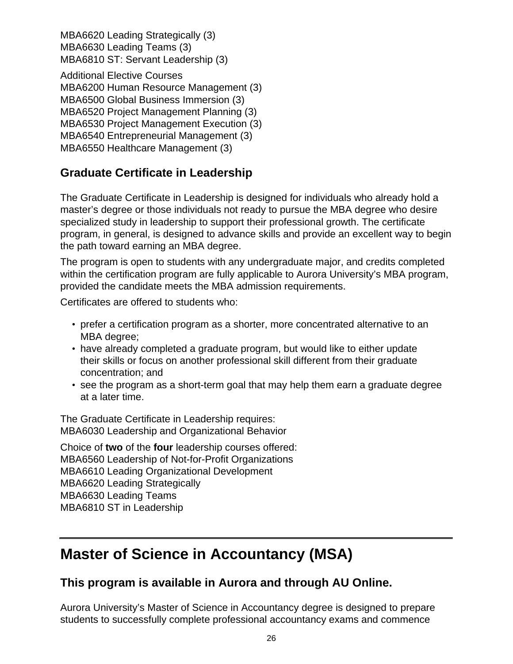MBA6620 Leading Strategically (3) MBA6630 Leading Teams (3) MBA6810 ST: Servant Leadership (3)

Additional Elective Courses MBA6200 Human Resource Management (3) MBA6500 Global Business Immersion (3) MBA6520 Project Management Planning (3) MBA6530 Project Management Execution (3) MBA6540 Entrepreneurial Management (3) MBA6550 Healthcare Management (3)

### **Graduate Certificate in Leadership**

The Graduate Certificate in Leadership is designed for individuals who already hold a master's degree or those individuals not ready to pursue the MBA degree who desire specialized study in leadership to support their professional growth. The certificate program, in general, is designed to advance skills and provide an excellent way to begin the path toward earning an MBA degree.

The program is open to students with any undergraduate major, and credits completed within the certification program are fully applicable to Aurora University's MBA program, provided the candidate meets the MBA admission requirements.

Certificates are offered to students who:

- prefer a certification program as a shorter, more concentrated alternative to an MBA degree;
- have already completed a graduate program, but would like to either update their skills or focus on another professional skill different from their graduate concentration; and
- see the program as a short-term goal that may help them earn a graduate degree at a later time.

The Graduate Certificate in Leadership requires: MBA6030 Leadership and Organizational Behavior

Choice of **two** of the **four** leadership courses offered: MBA6560 Leadership of Not-for-Profit Organizations MBA6610 Leading Organizational Development MBA6620 Leading Strategically MBA6630 Leading Teams MBA6810 ST in Leadership

## **Master of Science in Accountancy (MSA)**

### **This program is available in Aurora and through AU Online.**

Aurora University's Master of Science in Accountancy degree is designed to prepare students to successfully complete professional accountancy exams and commence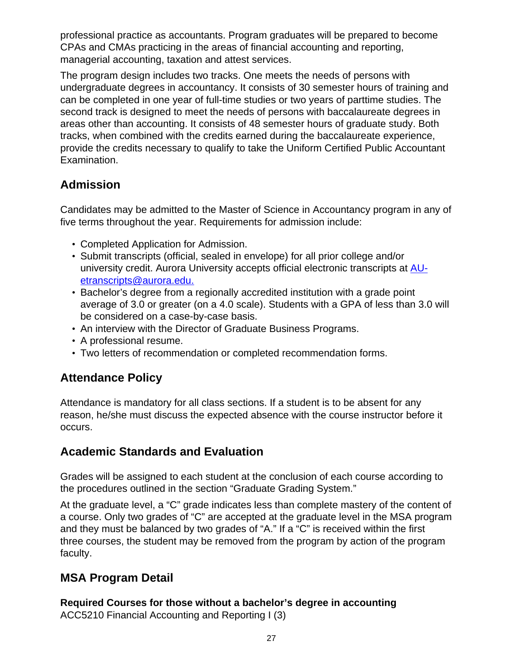professional practice as accountants. Program graduates will be prepared to become CPAs and CMAs practicing in the areas of financial accounting and reporting, managerial accounting, taxation and attest services.

The program design includes two tracks. One meets the needs of persons with undergraduate degrees in accountancy. It consists of 30 semester hours of training and can be completed in one year of full-time studies or two years of parttime studies. The second track is designed to meet the needs of persons with baccalaureate degrees in areas other than accounting. It consists of 48 semester hours of graduate study. Both tracks, when combined with the credits earned during the baccalaureate experience, provide the credits necessary to qualify to take the Uniform Certified Public Accountant Examination.

## **Admission**

Candidates may be admitted to the Master of Science in Accountancy program in any of five terms throughout the year. Requirements for admission include:

- Completed Application for Admission.
- Submit transcripts (official, sealed in envelope) for all prior college and/or university credit. Aurora University accepts official electronic transcripts at [AU](mailto:AU-etranscripts@aurora.edu)[etranscripts@aurora.edu.](mailto:AU-etranscripts@aurora.edu)
- Bachelor's degree from a regionally accredited institution with a grade point average of 3.0 or greater (on a 4.0 scale). Students with a GPA of less than 3.0 will be considered on a case-by-case basis.
- An interview with the Director of Graduate Business Programs.
- A professional resume.
- Two letters of recommendation or completed recommendation forms.

### **Attendance Policy**

Attendance is mandatory for all class sections. If a student is to be absent for any reason, he/she must discuss the expected absence with the course instructor before it occurs.

### **Academic Standards and Evaluation**

Grades will be assigned to each student at the conclusion of each course according to the procedures outlined in the section "Graduate Grading System."

At the graduate level, a "C" grade indicates less than complete mastery of the content of a course. Only two grades of "C" are accepted at the graduate level in the MSA program and they must be balanced by two grades of "A." If a "C" is received within the first three courses, the student may be removed from the program by action of the program faculty.

## **MSA Program Detail**

**Required Courses for those without a bachelor's degree in accounting** ACC5210 Financial Accounting and Reporting I (3)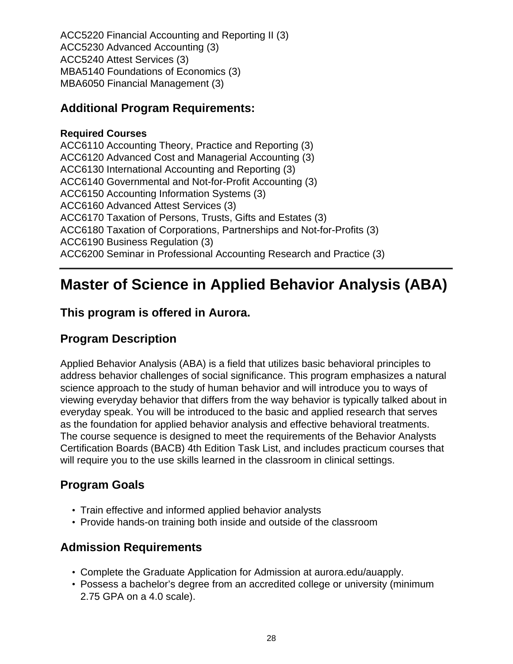ACC5220 Financial Accounting and Reporting II (3) ACC5230 Advanced Accounting (3) ACC5240 Attest Services (3) MBA5140 Foundations of Economics (3) MBA6050 Financial Management (3)

### **Additional Program Requirements:**

#### **Required Courses**

ACC6110 Accounting Theory, Practice and Reporting (3) ACC6120 Advanced Cost and Managerial Accounting (3) ACC6130 International Accounting and Reporting (3) ACC6140 Governmental and Not-for-Profit Accounting (3) ACC6150 Accounting Information Systems (3) ACC6160 Advanced Attest Services (3) ACC6170 Taxation of Persons, Trusts, Gifts and Estates (3) ACC6180 Taxation of Corporations, Partnerships and Not-for-Profits (3) ACC6190 Business Regulation (3) ACC6200 Seminar in Professional Accounting Research and Practice (3)

## **Master of Science in Applied Behavior Analysis (ABA)**

### **This program is offered in Aurora.**

### **Program Description**

Applied Behavior Analysis (ABA) is a field that utilizes basic behavioral principles to address behavior challenges of social significance. This program emphasizes a natural science approach to the study of human behavior and will introduce you to ways of viewing everyday behavior that differs from the way behavior is typically talked about in everyday speak. You will be introduced to the basic and applied research that serves as the foundation for applied behavior analysis and effective behavioral treatments. The course sequence is designed to meet the requirements of the Behavior Analysts Certification Boards (BACB) 4th Edition Task List, and includes practicum courses that will require you to the use skills learned in the classroom in clinical settings.

### **Program Goals**

- Train effective and informed applied behavior analysts
- Provide hands-on training both inside and outside of the classroom

### **Admission Requirements**

- Complete the Graduate Application for Admission at aurora.edu/auapply.
- Possess a bachelor's degree from an accredited college or university (minimum 2.75 GPA on a 4.0 scale).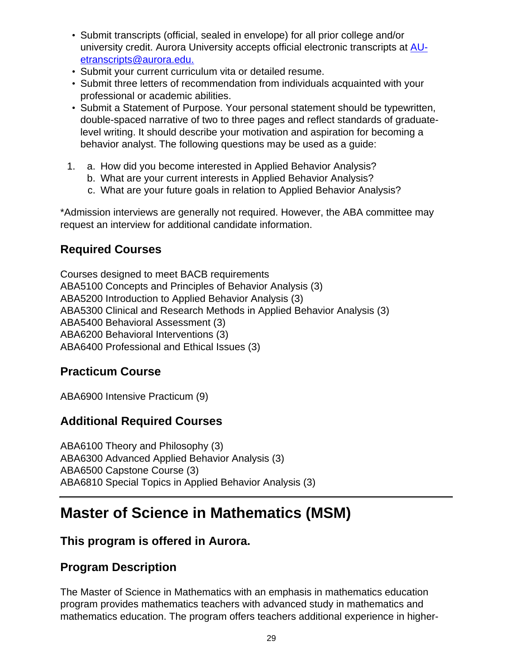- Submit transcripts (official, sealed in envelope) for all prior college and/or university credit. Aurora University accepts official electronic transcripts at [AU](mailto:AU-etranscripts@aurora.edu. )[etranscripts@aurora.edu.](mailto:AU-etranscripts@aurora.edu. )
- Submit your current curriculum vita or detailed resume.
- Submit three letters of recommendation from individuals acquainted with your professional or academic abilities.
- Submit a Statement of Purpose. Your personal statement should be typewritten, double-spaced narrative of two to three pages and reflect standards of graduatelevel writing. It should describe your motivation and aspiration for becoming a behavior analyst. The following questions may be used as a guide:
- 1. a. How did you become interested in Applied Behavior Analysis?
	- b. What are your current interests in Applied Behavior Analysis?
	- c. What are your future goals in relation to Applied Behavior Analysis?

\*Admission interviews are generally not required. However, the ABA committee may request an interview for additional candidate information.

### **Required Courses**

Courses designed to meet BACB requirements ABA5100 Concepts and Principles of Behavior Analysis (3) ABA5200 Introduction to Applied Behavior Analysis (3) ABA5300 Clinical and Research Methods in Applied Behavior Analysis (3) ABA5400 Behavioral Assessment (3) ABA6200 Behavioral Interventions (3) ABA6400 Professional and Ethical Issues (3)

### **Practicum Course**

ABA6900 Intensive Practicum (9)

### **Additional Required Courses**

ABA6100 Theory and Philosophy (3) ABA6300 Advanced Applied Behavior Analysis (3) ABA6500 Capstone Course (3) ABA6810 Special Topics in Applied Behavior Analysis (3)

## **Master of Science in Mathematics (MSM)**

### **This program is offered in Aurora.**

### **Program Description**

The Master of Science in Mathematics with an emphasis in mathematics education program provides mathematics teachers with advanced study in mathematics and mathematics education. The program offers teachers additional experience in higher-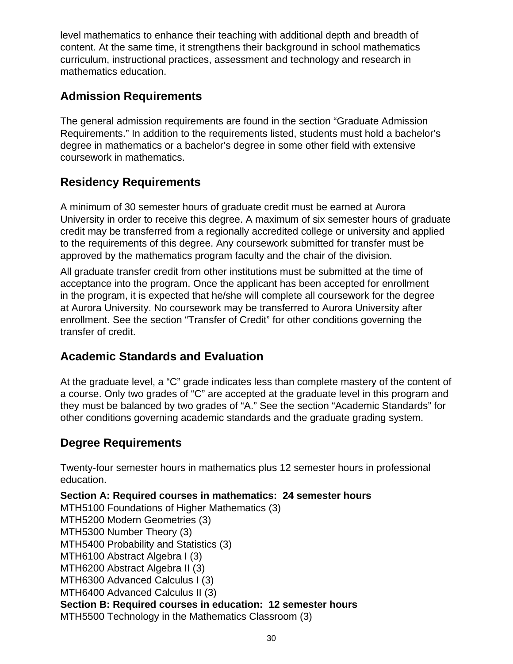level mathematics to enhance their teaching with additional depth and breadth of content. At the same time, it strengthens their background in school mathematics curriculum, instructional practices, assessment and technology and research in mathematics education.

## **Admission Requirements**

The general admission requirements are found in the section "Graduate Admission Requirements." In addition to the requirements listed, students must hold a bachelor's degree in mathematics or a bachelor's degree in some other field with extensive coursework in mathematics.

### **Residency Requirements**

A minimum of 30 semester hours of graduate credit must be earned at Aurora University in order to receive this degree. A maximum of six semester hours of graduate credit may be transferred from a regionally accredited college or university and applied to the requirements of this degree. Any coursework submitted for transfer must be approved by the mathematics program faculty and the chair of the division.

All graduate transfer credit from other institutions must be submitted at the time of acceptance into the program. Once the applicant has been accepted for enrollment in the program, it is expected that he/she will complete all coursework for the degree at Aurora University. No coursework may be transferred to Aurora University after enrollment. See the section "Transfer of Credit" for other conditions governing the transfer of credit.

### **Academic Standards and Evaluation**

At the graduate level, a "C" grade indicates less than complete mastery of the content of a course. Only two grades of "C" are accepted at the graduate level in this program and they must be balanced by two grades of "A." See the section "Academic Standards" for other conditions governing academic standards and the graduate grading system.

### **Degree Requirements**

Twenty-four semester hours in mathematics plus 12 semester hours in professional education.

**Section A: Required courses in mathematics: 24 semester hours** MTH5100 Foundations of Higher Mathematics (3)

MTH5200 Modern Geometries (3)

MTH5300 Number Theory (3)

MTH5400 Probability and Statistics (3)

MTH6100 Abstract Algebra I (3)

MTH6200 Abstract Algebra II (3)

MTH6300 Advanced Calculus I (3)

MTH6400 Advanced Calculus II (3)

**Section B: Required courses in education: 12 semester hours**

MTH5500 Technology in the Mathematics Classroom (3)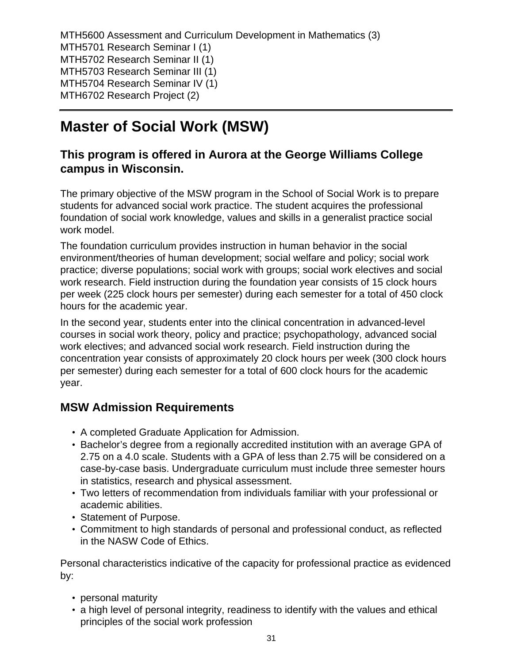MTH5600 Assessment and Curriculum Development in Mathematics (3) MTH5701 Research Seminar I (1) MTH5702 Research Seminar II (1) MTH5703 Research Seminar III (1) MTH5704 Research Seminar IV (1) MTH6702 Research Project (2)

## **Master of Social Work (MSW)**

### **This program is offered in Aurora at the George Williams College campus in Wisconsin.**

The primary objective of the MSW program in the School of Social Work is to prepare students for advanced social work practice. The student acquires the professional foundation of social work knowledge, values and skills in a generalist practice social work model.

The foundation curriculum provides instruction in human behavior in the social environment/theories of human development; social welfare and policy; social work practice; diverse populations; social work with groups; social work electives and social work research. Field instruction during the foundation year consists of 15 clock hours per week (225 clock hours per semester) during each semester for a total of 450 clock hours for the academic year.

In the second year, students enter into the clinical concentration in advanced-level courses in social work theory, policy and practice; psychopathology, advanced social work electives; and advanced social work research. Field instruction during the concentration year consists of approximately 20 clock hours per week (300 clock hours per semester) during each semester for a total of 600 clock hours for the academic year.

### **MSW Admission Requirements**

- A completed Graduate Application for Admission.
- Bachelor's degree from a regionally accredited institution with an average GPA of 2.75 on a 4.0 scale. Students with a GPA of less than 2.75 will be considered on a case-by-case basis. Undergraduate curriculum must include three semester hours in statistics, research and physical assessment.
- Two letters of recommendation from individuals familiar with your professional or academic abilities.
- Statement of Purpose.
- Commitment to high standards of personal and professional conduct, as reflected in the NASW Code of Ethics.

Personal characteristics indicative of the capacity for professional practice as evidenced by:

- personal maturity
- a high level of personal integrity, readiness to identify with the values and ethical principles of the social work profession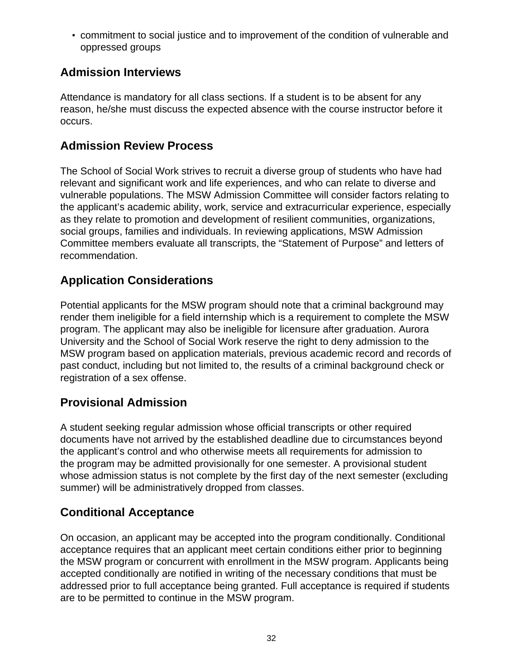• commitment to social justice and to improvement of the condition of vulnerable and oppressed groups

## **Admission Interviews**

Attendance is mandatory for all class sections. If a student is to be absent for any reason, he/she must discuss the expected absence with the course instructor before it occurs.

## **Admission Review Process**

The School of Social Work strives to recruit a diverse group of students who have had relevant and significant work and life experiences, and who can relate to diverse and vulnerable populations. The MSW Admission Committee will consider factors relating to the applicant's academic ability, work, service and extracurricular experience, especially as they relate to promotion and development of resilient communities, organizations, social groups, families and individuals. In reviewing applications, MSW Admission Committee members evaluate all transcripts, the "Statement of Purpose" and letters of recommendation.

## **Application Considerations**

Potential applicants for the MSW program should note that a criminal background may render them ineligible for a field internship which is a requirement to complete the MSW program. The applicant may also be ineligible for licensure after graduation. Aurora University and the School of Social Work reserve the right to deny admission to the MSW program based on application materials, previous academic record and records of past conduct, including but not limited to, the results of a criminal background check or registration of a sex offense.

### **Provisional Admission**

A student seeking regular admission whose official transcripts or other required documents have not arrived by the established deadline due to circumstances beyond the applicant's control and who otherwise meets all requirements for admission to the program may be admitted provisionally for one semester. A provisional student whose admission status is not complete by the first day of the next semester (excluding summer) will be administratively dropped from classes.

## **Conditional Acceptance**

On occasion, an applicant may be accepted into the program conditionally. Conditional acceptance requires that an applicant meet certain conditions either prior to beginning the MSW program or concurrent with enrollment in the MSW program. Applicants being accepted conditionally are notified in writing of the necessary conditions that must be addressed prior to full acceptance being granted. Full acceptance is required if students are to be permitted to continue in the MSW program.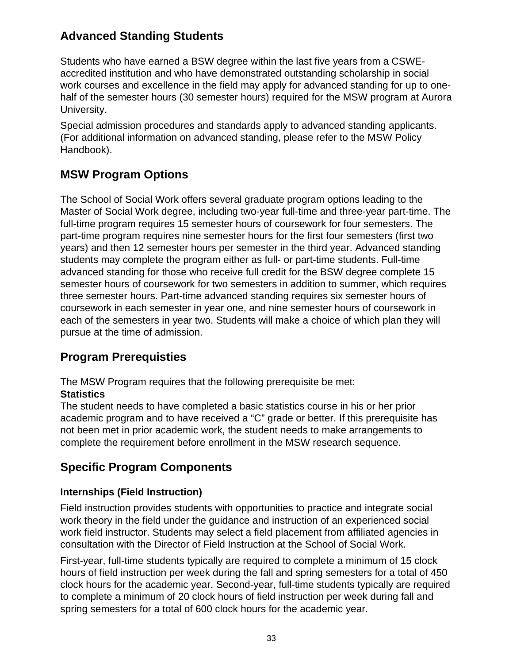### **Advanced Standing Students**

Students who have earned a BSW degree within the last five years from a CSWEaccredited institution and who have demonstrated outstanding scholarship in social work courses and excellence in the field may apply for advanced standing for up to onehalf of the semester hours (30 semester hours) required for the MSW program at Aurora University.

Special admission procedures and standards apply to advanced standing applicants. (For additional information on advanced standing, please refer to the MSW Policy Handbook).

## **MSW Program Options**

The School of Social Work offers several graduate program options leading to the Master of Social Work degree, including two-year full-time and three-year part-time. The full-time program requires 15 semester hours of coursework for four semesters. The part-time program requires nine semester hours for the first four semesters (first two years) and then 12 semester hours per semester in the third year. Advanced standing students may complete the program either as full- or part-time students. Full-time advanced standing for those who receive full credit for the BSW degree complete 15 semester hours of coursework for two semesters in addition to summer, which requires three semester hours. Part-time advanced standing requires six semester hours of coursework in each semester in year one, and nine semester hours of coursework in each of the semesters in year two. Students will make a choice of which plan they will pursue at the time of admission.

## **Program Prerequisties**

The MSW Program requires that the following prerequisite be met:

### **Statistics**

The student needs to have completed a basic statistics course in his or her prior academic program and to have received a "C" grade or better. If this prerequisite has not been met in prior academic work, the student needs to make arrangements to complete the requirement before enrollment in the MSW research sequence.

## **Specific Program Components**

### **Internships (Field Instruction)**

Field instruction provides students with opportunities to practice and integrate social work theory in the field under the guidance and instruction of an experienced social work field instructor. Students may select a field placement from affiliated agencies in consultation with the Director of Field Instruction at the School of Social Work.

First-year, full-time students typically are required to complete a minimum of 15 clock hours of field instruction per week during the fall and spring semesters for a total of 450 clock hours for the academic year. Second-year, full-time students typically are required to complete a minimum of 20 clock hours of field instruction per week during fall and spring semesters for a total of 600 clock hours for the academic year.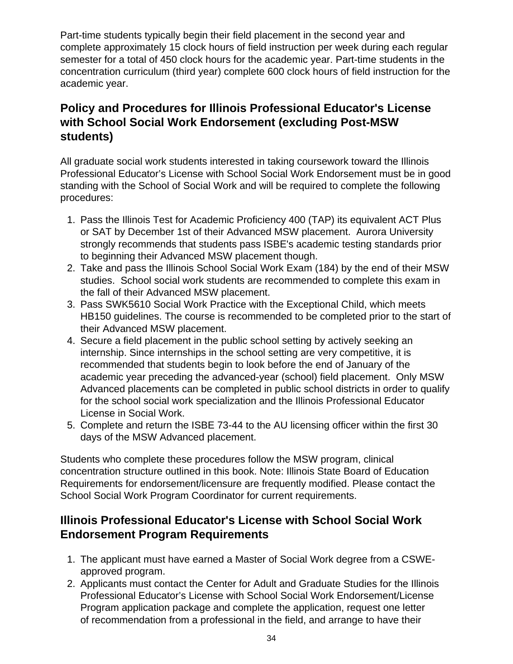Part-time students typically begin their field placement in the second year and complete approximately 15 clock hours of field instruction per week during each regular semester for a total of 450 clock hours for the academic year. Part-time students in the concentration curriculum (third year) complete 600 clock hours of field instruction for the academic year.

### **Policy and Procedures for Illinois Professional Educator's License with School Social Work Endorsement (excluding Post-MSW students)**

All graduate social work students interested in taking coursework toward the Illinois Professional Educator's License with School Social Work Endorsement must be in good standing with the School of Social Work and will be required to complete the following procedures:

- 1. Pass the Illinois Test for Academic Proficiency 400 (TAP) its equivalent ACT Plus or SAT by December 1st of their Advanced MSW placement. Aurora University strongly recommends that students pass ISBE's academic testing standards prior to beginning their Advanced MSW placement though.
- 2. Take and pass the Illinois School Social Work Exam (184) by the end of their MSW studies. School social work students are recommended to complete this exam in the fall of their Advanced MSW placement.
- 3. Pass SWK5610 Social Work Practice with the Exceptional Child, which meets HB150 guidelines. The course is recommended to be completed prior to the start of their Advanced MSW placement.
- 4. Secure a field placement in the public school setting by actively seeking an internship. Since internships in the school setting are very competitive, it is recommended that students begin to look before the end of January of the academic year preceding the advanced-year (school) field placement. Only MSW Advanced placements can be completed in public school districts in order to qualify for the school social work specialization and the Illinois Professional Educator License in Social Work.
- 5. Complete and return the ISBE 73-44 to the AU licensing officer within the first 30 days of the MSW Advanced placement.

Students who complete these procedures follow the MSW program, clinical concentration structure outlined in this book. Note: Illinois State Board of Education Requirements for endorsement/licensure are frequently modified. Please contact the School Social Work Program Coordinator for current requirements.

### **Illinois Professional Educator's License with School Social Work Endorsement Program Requirements**

- 1. The applicant must have earned a Master of Social Work degree from a CSWEapproved program.
- 2. Applicants must contact the Center for Adult and Graduate Studies for the Illinois Professional Educator's License with School Social Work Endorsement/License Program application package and complete the application, request one letter of recommendation from a professional in the field, and arrange to have their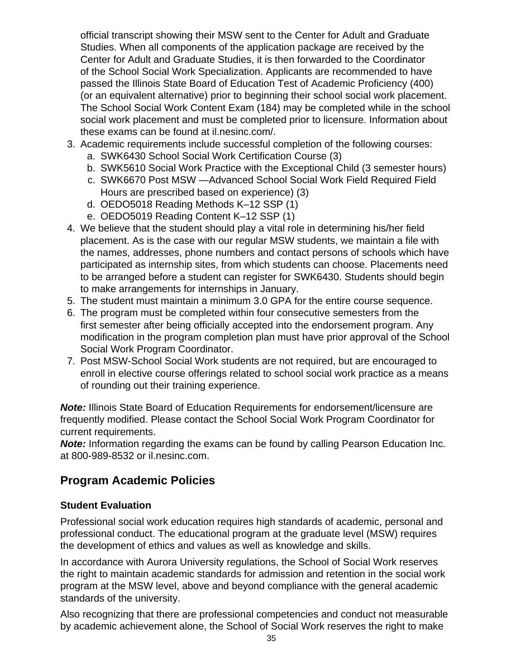official transcript showing their MSW sent to the Center for Adult and Graduate Studies. When all components of the application package are received by the Center for Adult and Graduate Studies, it is then forwarded to the Coordinator of the School Social Work Specialization. Applicants are recommended to have passed the Illinois State Board of Education Test of Academic Proficiency (400) (or an equivalent alternative) prior to beginning their school social work placement. The School Social Work Content Exam (184) may be completed while in the school social work placement and must be completed prior to licensure. Information about these exams can be found at il.nesinc.com/.

- 3. Academic requirements include successful completion of the following courses:
	- a. SWK6430 School Social Work Certification Course (3)
	- b. SWK5610 Social Work Practice with the Exceptional Child (3 semester hours)
	- c. SWK6670 Post MSW —Advanced School Social Work Field Required Field Hours are prescribed based on experience) (3)
	- d. OEDO5018 Reading Methods K–12 SSP (1)
	- e. OEDO5019 Reading Content K–12 SSP (1)
- 4. We believe that the student should play a vital role in determining his/her field placement. As is the case with our regular MSW students, we maintain a file with the names, addresses, phone numbers and contact persons of schools which have participated as internship sites, from which students can choose. Placements need to be arranged before a student can register for SWK6430. Students should begin to make arrangements for internships in January.
- 5. The student must maintain a minimum 3.0 GPA for the entire course sequence.
- 6. The program must be completed within four consecutive semesters from the first semester after being officially accepted into the endorsement program. Any modification in the program completion plan must have prior approval of the School Social Work Program Coordinator.
- 7. Post MSW-School Social Work students are not required, but are encouraged to enroll in elective course offerings related to school social work practice as a means of rounding out their training experience.

**Note:** Illinois State Board of Education Requirements for endorsement/licensure are frequently modified. Please contact the School Social Work Program Coordinator for current requirements.

**Note:** Information regarding the exams can be found by calling Pearson Education Inc. at 800-989-8532 or il.nesinc.com.

## **Program Academic Policies**

### **Student Evaluation**

Professional social work education requires high standards of academic, personal and professional conduct. The educational program at the graduate level (MSW) requires the development of ethics and values as well as knowledge and skills.

In accordance with Aurora University regulations, the School of Social Work reserves the right to maintain academic standards for admission and retention in the social work program at the MSW level, above and beyond compliance with the general academic standards of the university.

Also recognizing that there are professional competencies and conduct not measurable by academic achievement alone, the School of Social Work reserves the right to make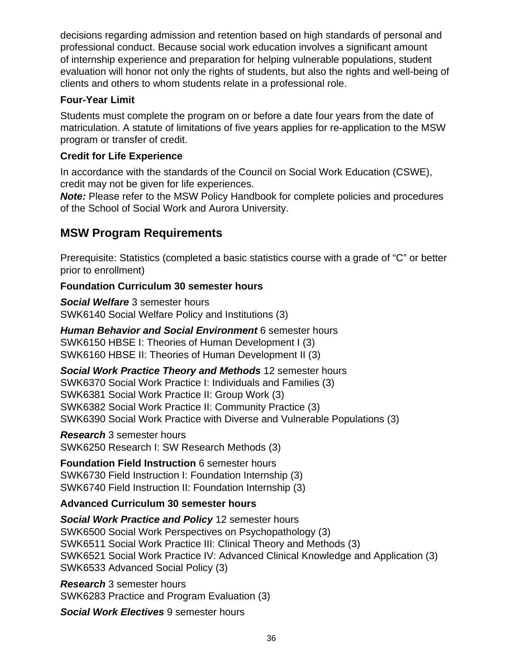decisions regarding admission and retention based on high standards of personal and professional conduct. Because social work education involves a significant amount of internship experience and preparation for helping vulnerable populations, student evaluation will honor not only the rights of students, but also the rights and well-being of clients and others to whom students relate in a professional role.

#### **Four-Year Limit**

Students must complete the program on or before a date four years from the date of matriculation. A statute of limitations of five years applies for re-application to the MSW program or transfer of credit.

### **Credit for Life Experience**

In accordance with the standards of the Council on Social Work Education (CSWE), credit may not be given for life experiences.

**Note:** Please refer to the MSW Policy Handbook for complete policies and procedures of the School of Social Work and Aurora University.

### **MSW Program Requirements**

Prerequisite: Statistics (completed a basic statistics course with a grade of "C" or better prior to enrollment)

#### **Foundation Curriculum 30 semester hours**

**Social Welfare** 3 semester hours SWK6140 Social Welfare Policy and Institutions (3)

**Human Behavior and Social Environment** 6 semester hours SWK6150 HBSE I: Theories of Human Development I (3) SWK6160 HBSE II: Theories of Human Development II (3)

**Social Work Practice Theory and Methods** 12 semester hours SWK6370 Social Work Practice I: Individuals and Families (3) SWK6381 Social Work Practice II: Group Work (3) SWK6382 Social Work Practice II: Community Practice (3) SWK6390 Social Work Practice with Diverse and Vulnerable Populations (3)

**Research** 3 semester hours SWK6250 Research I: SW Research Methods (3)

**Foundation Field Instruction** 6 semester hours SWK6730 Field Instruction I: Foundation Internship (3) SWK6740 Field Instruction II: Foundation Internship (3)

### **Advanced Curriculum 30 semester hours**

**Social Work Practice and Policy** 12 semester hours SWK6500 Social Work Perspectives on Psychopathology (3) SWK6511 Social Work Practice III: Clinical Theory and Methods (3) SWK6521 Social Work Practice IV: Advanced Clinical Knowledge and Application (3) SWK6533 Advanced Social Policy (3)

**Research** 3 semester hours SWK6283 Practice and Program Evaluation (3)

**Social Work Electives** 9 semester hours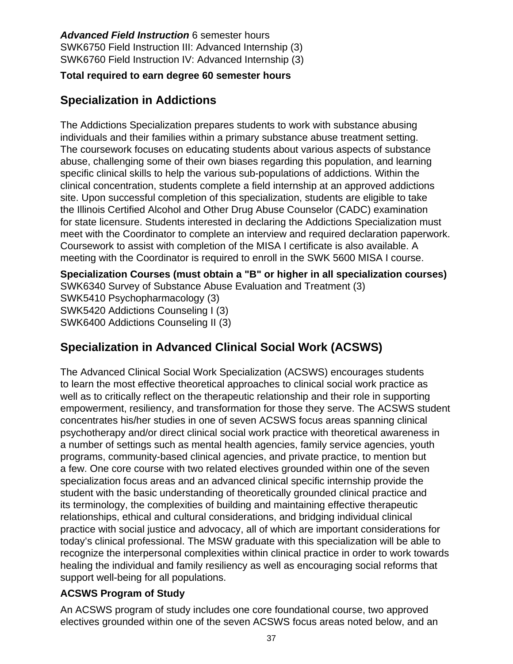**Advanced Field Instruction** 6 semester hours SWK6750 Field Instruction III: Advanced Internship (3) SWK6760 Field Instruction IV: Advanced Internship (3)

### **Total required to earn degree 60 semester hours**

# **Specialization in Addictions**

The Addictions Specialization prepares students to work with substance abusing individuals and their families within a primary substance abuse treatment setting. The coursework focuses on educating students about various aspects of substance abuse, challenging some of their own biases regarding this population, and learning specific clinical skills to help the various sub-populations of addictions. Within the clinical concentration, students complete a field internship at an approved addictions site. Upon successful completion of this specialization, students are eligible to take the Illinois Certified Alcohol and Other Drug Abuse Counselor (CADC) examination for state licensure. Students interested in declaring the Addictions Specialization must meet with the Coordinator to complete an interview and required declaration paperwork. Coursework to assist with completion of the MISA I certificate is also available. A meeting with the Coordinator is required to enroll in the SWK 5600 MISA I course.

**Specialization Courses (must obtain a "B" or higher in all specialization courses)** SWK6340 Survey of Substance Abuse Evaluation and Treatment (3) SWK5410 Psychopharmacology (3)

SWK5420 Addictions Counseling I (3) SWK6400 Addictions Counseling II (3)

# **Specialization in Advanced Clinical Social Work (ACSWS)**

The Advanced Clinical Social Work Specialization (ACSWS) encourages students to learn the most effective theoretical approaches to clinical social work practice as well as to critically reflect on the therapeutic relationship and their role in supporting empowerment, resiliency, and transformation for those they serve. The ACSWS student concentrates his/her studies in one of seven ACSWS focus areas spanning clinical psychotherapy and/or direct clinical social work practice with theoretical awareness in a number of settings such as mental health agencies, family service agencies, youth programs, community-based clinical agencies, and private practice, to mention but a few. One core course with two related electives grounded within one of the seven specialization focus areas and an advanced clinical specific internship provide the student with the basic understanding of theoretically grounded clinical practice and its terminology, the complexities of building and maintaining effective therapeutic relationships, ethical and cultural considerations, and bridging individual clinical practice with social justice and advocacy, all of which are important considerations for today's clinical professional. The MSW graduate with this specialization will be able to recognize the interpersonal complexities within clinical practice in order to work towards healing the individual and family resiliency as well as encouraging social reforms that support well-being for all populations.

### **ACSWS Program of Study**

An ACSWS program of study includes one core foundational course, two approved electives grounded within one of the seven ACSWS focus areas noted below, and an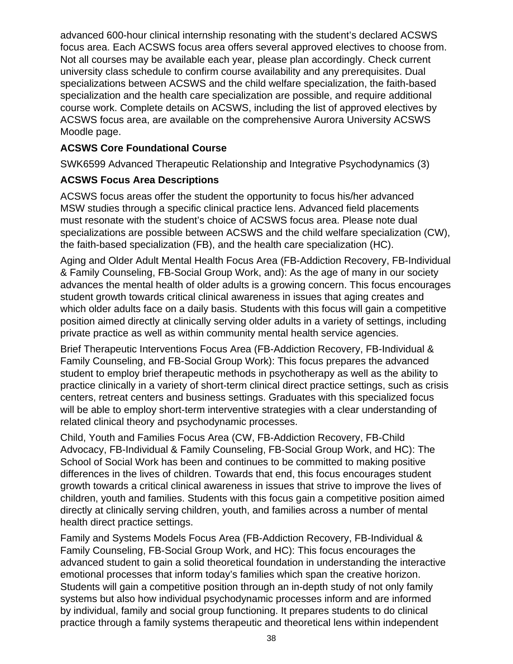advanced 600-hour clinical internship resonating with the student's declared ACSWS focus area. Each ACSWS focus area offers several approved electives to choose from. Not all courses may be available each year, please plan accordingly. Check current university class schedule to confirm course availability and any prerequisites. Dual specializations between ACSWS and the child welfare specialization, the faith-based specialization and the health care specialization are possible, and require additional course work. Complete details on ACSWS, including the list of approved electives by ACSWS focus area, are available on the comprehensive Aurora University ACSWS Moodle page.

### **ACSWS Core Foundational Course**

SWK6599 Advanced Therapeutic Relationship and Integrative Psychodynamics (3)

### **ACSWS Focus Area Descriptions**

ACSWS focus areas offer the student the opportunity to focus his/her advanced MSW studies through a specific clinical practice lens. Advanced field placements must resonate with the student's choice of ACSWS focus area. Please note dual specializations are possible between ACSWS and the child welfare specialization (CW), the faith-based specialization (FB), and the health care specialization (HC).

Aging and Older Adult Mental Health Focus Area (FB-Addiction Recovery, FB-Individual & Family Counseling, FB-Social Group Work, and): As the age of many in our society advances the mental health of older adults is a growing concern. This focus encourages student growth towards critical clinical awareness in issues that aging creates and which older adults face on a daily basis. Students with this focus will gain a competitive position aimed directly at clinically serving older adults in a variety of settings, including private practice as well as within community mental health service agencies.

Brief Therapeutic Interventions Focus Area (FB-Addiction Recovery, FB-Individual & Family Counseling, and FB-Social Group Work): This focus prepares the advanced student to employ brief therapeutic methods in psychotherapy as well as the ability to practice clinically in a variety of short-term clinical direct practice settings, such as crisis centers, retreat centers and business settings. Graduates with this specialized focus will be able to employ short-term interventive strategies with a clear understanding of related clinical theory and psychodynamic processes.

Child, Youth and Families Focus Area (CW, FB-Addiction Recovery, FB-Child Advocacy, FB-Individual & Family Counseling, FB-Social Group Work, and HC): The School of Social Work has been and continues to be committed to making positive differences in the lives of children. Towards that end, this focus encourages student growth towards a critical clinical awareness in issues that strive to improve the lives of children, youth and families. Students with this focus gain a competitive position aimed directly at clinically serving children, youth, and families across a number of mental health direct practice settings.

Family and Systems Models Focus Area (FB-Addiction Recovery, FB-Individual & Family Counseling, FB-Social Group Work, and HC): This focus encourages the advanced student to gain a solid theoretical foundation in understanding the interactive emotional processes that inform today's families which span the creative horizon. Students will gain a competitive position through an in-depth study of not only family systems but also how individual psychodynamic processes inform and are informed by individual, family and social group functioning. It prepares students to do clinical practice through a family systems therapeutic and theoretical lens within independent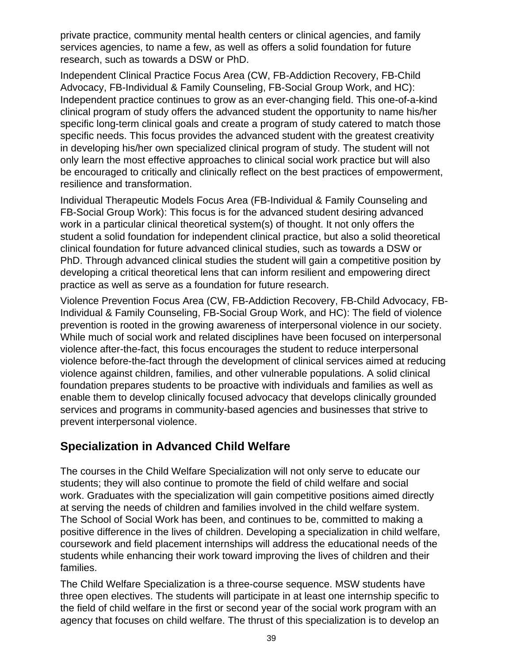private practice, community mental health centers or clinical agencies, and family services agencies, to name a few, as well as offers a solid foundation for future research, such as towards a DSW or PhD.

Independent Clinical Practice Focus Area (CW, FB-Addiction Recovery, FB-Child Advocacy, FB-Individual & Family Counseling, FB-Social Group Work, and HC): Independent practice continues to grow as an ever-changing field. This one-of-a-kind clinical program of study offers the advanced student the opportunity to name his/her specific long-term clinical goals and create a program of study catered to match those specific needs. This focus provides the advanced student with the greatest creativity in developing his/her own specialized clinical program of study. The student will not only learn the most effective approaches to clinical social work practice but will also be encouraged to critically and clinically reflect on the best practices of empowerment, resilience and transformation.

Individual Therapeutic Models Focus Area (FB-Individual & Family Counseling and FB-Social Group Work): This focus is for the advanced student desiring advanced work in a particular clinical theoretical system(s) of thought. It not only offers the student a solid foundation for independent clinical practice, but also a solid theoretical clinical foundation for future advanced clinical studies, such as towards a DSW or PhD. Through advanced clinical studies the student will gain a competitive position by developing a critical theoretical lens that can inform resilient and empowering direct practice as well as serve as a foundation for future research.

Violence Prevention Focus Area (CW, FB-Addiction Recovery, FB-Child Advocacy, FB-Individual & Family Counseling, FB-Social Group Work, and HC): The field of violence prevention is rooted in the growing awareness of interpersonal violence in our society. While much of social work and related disciplines have been focused on interpersonal violence after-the-fact, this focus encourages the student to reduce interpersonal violence before-the-fact through the development of clinical services aimed at reducing violence against children, families, and other vulnerable populations. A solid clinical foundation prepares students to be proactive with individuals and families as well as enable them to develop clinically focused advocacy that develops clinically grounded services and programs in community-based agencies and businesses that strive to prevent interpersonal violence.

# **Specialization in Advanced Child Welfare**

The courses in the Child Welfare Specialization will not only serve to educate our students; they will also continue to promote the field of child welfare and social work. Graduates with the specialization will gain competitive positions aimed directly at serving the needs of children and families involved in the child welfare system. The School of Social Work has been, and continues to be, committed to making a positive difference in the lives of children. Developing a specialization in child welfare, coursework and field placement internships will address the educational needs of the students while enhancing their work toward improving the lives of children and their families.

The Child Welfare Specialization is a three-course sequence. MSW students have three open electives. The students will participate in at least one internship specific to the field of child welfare in the first or second year of the social work program with an agency that focuses on child welfare. The thrust of this specialization is to develop an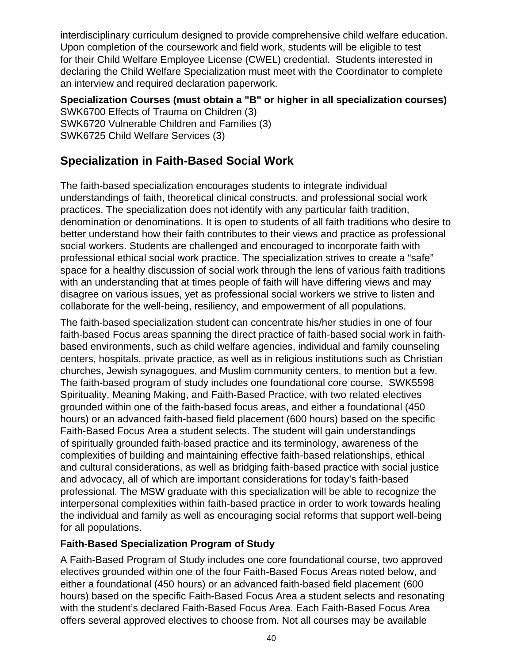interdisciplinary curriculum designed to provide comprehensive child welfare education. Upon completion of the coursework and field work, students will be eligible to test for their Child Welfare Employee License (CWEL) credential. Students interested in declaring the Child Welfare Specialization must meet with the Coordinator to complete an interview and required declaration paperwork.

**Specialization Courses (must obtain a "B" or higher in all specialization courses)** SWK6700 Effects of Trauma on Children (3) SWK6720 Vulnerable Children and Families (3) SWK6725 Child Welfare Services (3)

# **Specialization in Faith-Based Social Work**

The faith-based specialization encourages students to integrate individual understandings of faith, theoretical clinical constructs, and professional social work practices. The specialization does not identify with any particular faith tradition, denomination or denominations. It is open to students of all faith traditions who desire to better understand how their faith contributes to their views and practice as professional social workers. Students are challenged and encouraged to incorporate faith with professional ethical social work practice. The specialization strives to create a "safe" space for a healthy discussion of social work through the lens of various faith traditions with an understanding that at times people of faith will have differing views and may disagree on various issues, yet as professional social workers we strive to listen and collaborate for the well-being, resiliency, and empowerment of all populations.

The faith-based specialization student can concentrate his/her studies in one of four faith-based Focus areas spanning the direct practice of faith-based social work in faithbased environments, such as child welfare agencies, individual and family counseling centers, hospitals, private practice, as well as in religious institutions such as Christian churches, Jewish synagogues, and Muslim community centers, to mention but a few. The faith-based program of study includes one foundational core course, SWK5598 Spirituality, Meaning Making, and Faith-Based Practice, with two related electives grounded within one of the faith-based focus areas, and either a foundational (450 hours) or an advanced faith-based field placement (600 hours) based on the specific Faith-Based Focus Area a student selects. The student will gain understandings of spiritually grounded faith-based practice and its terminology, awareness of the complexities of building and maintaining effective faith-based relationships, ethical and cultural considerations, as well as bridging faith-based practice with social justice and advocacy, all of which are important considerations for today's faith-based professional. The MSW graduate with this specialization will be able to recognize the interpersonal complexities within faith-based practice in order to work towards healing the individual and family as well as encouraging social reforms that support well-being for all populations.

### **Faith-Based Specialization Program of Study**

A Faith-Based Program of Study includes one core foundational course, two approved electives grounded within one of the four Faith-Based Focus Areas noted below, and either a foundational (450 hours) or an advanced faith-based field placement (600 hours) based on the specific Faith-Based Focus Area a student selects and resonating with the student's declared Faith-Based Focus Area. Each Faith-Based Focus Area offers several approved electives to choose from. Not all courses may be available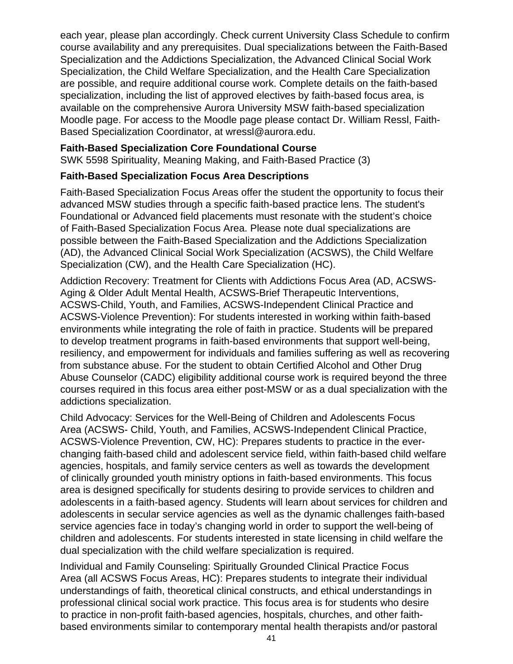each year, please plan accordingly. Check current University Class Schedule to confirm course availability and any prerequisites. Dual specializations between the Faith-Based Specialization and the Addictions Specialization, the Advanced Clinical Social Work Specialization, the Child Welfare Specialization, and the Health Care Specialization are possible, and require additional course work. Complete details on the faith-based specialization, including the list of approved electives by faith-based focus area, is available on the comprehensive Aurora University MSW faith-based specialization Moodle page. For access to the Moodle page please contact Dr. William Ressl, Faith-Based Specialization Coordinator, at wressl@aurora.edu.

### **Faith-Based Specialization Core Foundational Course**

SWK 5598 Spirituality, Meaning Making, and Faith-Based Practice (3)

### **Faith-Based Specialization Focus Area Descriptions**

Faith-Based Specialization Focus Areas offer the student the opportunity to focus their advanced MSW studies through a specific faith-based practice lens. The student's Foundational or Advanced field placements must resonate with the student's choice of Faith-Based Specialization Focus Area. Please note dual specializations are possible between the Faith-Based Specialization and the Addictions Specialization (AD), the Advanced Clinical Social Work Specialization (ACSWS), the Child Welfare Specialization (CW), and the Health Care Specialization (HC).

Addiction Recovery: Treatment for Clients with Addictions Focus Area (AD, ACSWS-Aging & Older Adult Mental Health, ACSWS-Brief Therapeutic Interventions, ACSWS-Child, Youth, and Families, ACSWS-Independent Clinical Practice and ACSWS-Violence Prevention): For students interested in working within faith-based environments while integrating the role of faith in practice. Students will be prepared to develop treatment programs in faith-based environments that support well-being, resiliency, and empowerment for individuals and families suffering as well as recovering from substance abuse. For the student to obtain Certified Alcohol and Other Drug Abuse Counselor (CADC) eligibility additional course work is required beyond the three courses required in this focus area either post-MSW or as a dual specialization with the addictions specialization.

Child Advocacy: Services for the Well-Being of Children and Adolescents Focus Area (ACSWS- Child, Youth, and Families, ACSWS-Independent Clinical Practice, ACSWS-Violence Prevention, CW, HC): Prepares students to practice in the everchanging faith-based child and adolescent service field, within faith-based child welfare agencies, hospitals, and family service centers as well as towards the development of clinically grounded youth ministry options in faith-based environments. This focus area is designed specifically for students desiring to provide services to children and adolescents in a faith-based agency. Students will learn about services for children and adolescents in secular service agencies as well as the dynamic challenges faith-based service agencies face in today's changing world in order to support the well-being of children and adolescents. For students interested in state licensing in child welfare the dual specialization with the child welfare specialization is required.

Individual and Family Counseling: Spiritually Grounded Clinical Practice Focus Area (all ACSWS Focus Areas, HC): Prepares students to integrate their individual understandings of faith, theoretical clinical constructs, and ethical understandings in professional clinical social work practice. This focus area is for students who desire to practice in non-profit faith-based agencies, hospitals, churches, and other faithbased environments similar to contemporary mental health therapists and/or pastoral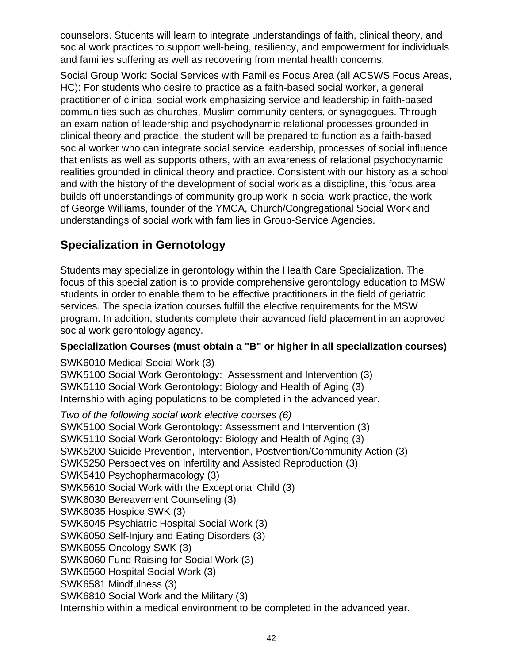counselors. Students will learn to integrate understandings of faith, clinical theory, and social work practices to support well-being, resiliency, and empowerment for individuals and families suffering as well as recovering from mental health concerns.

Social Group Work: Social Services with Families Focus Area (all ACSWS Focus Areas, HC): For students who desire to practice as a faith-based social worker, a general practitioner of clinical social work emphasizing service and leadership in faith-based communities such as churches, Muslim community centers, or synagogues. Through an examination of leadership and psychodynamic relational processes grounded in clinical theory and practice, the student will be prepared to function as a faith-based social worker who can integrate social service leadership, processes of social influence that enlists as well as supports others, with an awareness of relational psychodynamic realities grounded in clinical theory and practice. Consistent with our history as a school and with the history of the development of social work as a discipline, this focus area builds off understandings of community group work in social work practice, the work of George Williams, founder of the YMCA, Church/Congregational Social Work and understandings of social work with families in Group-Service Agencies.

# **Specialization in Gernotology**

Students may specialize in gerontology within the Health Care Specialization. The focus of this specialization is to provide comprehensive gerontology education to MSW students in order to enable them to be effective practitioners in the field of geriatric services. The specialization courses fulfill the elective requirements for the MSW program. In addition, students complete their advanced field placement in an approved social work gerontology agency.

### **Specialization Courses (must obtain a "B" or higher in all specialization courses)**

SWK6010 Medical Social Work (3) SWK5100 Social Work Gerontology: Assessment and Intervention (3) SWK5110 Social Work Gerontology: Biology and Health of Aging (3) Internship with aging populations to be completed in the advanced year.

Two of the following social work elective courses (6) SWK5100 Social Work Gerontology: Assessment and Intervention (3) SWK5110 Social Work Gerontology: Biology and Health of Aging (3) SWK5200 Suicide Prevention, Intervention, Postvention/Community Action (3) SWK5250 Perspectives on Infertility and Assisted Reproduction (3) SWK5410 Psychopharmacology (3) SWK5610 Social Work with the Exceptional Child (3) SWK6030 Bereavement Counseling (3) SWK6035 Hospice SWK (3) SWK6045 Psychiatric Hospital Social Work (3) SWK6050 Self-Injury and Eating Disorders (3) SWK6055 Oncology SWK (3) SWK6060 Fund Raising for Social Work (3) SWK6560 Hospital Social Work (3) SWK6581 Mindfulness (3) SWK6810 Social Work and the Military (3) Internship within a medical environment to be completed in the advanced year.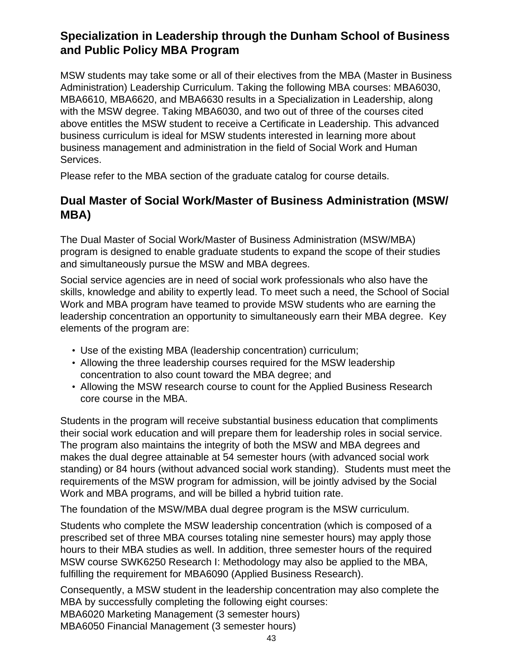# **Specialization in Leadership through the Dunham School of Business and Public Policy MBA Program**

MSW students may take some or all of their electives from the MBA (Master in Business Administration) Leadership Curriculum. Taking the following MBA courses: MBA6030, MBA6610, MBA6620, and MBA6630 results in a Specialization in Leadership, along with the MSW degree. Taking MBA6030, and two out of three of the courses cited above entitles the MSW student to receive a Certificate in Leadership. This advanced business curriculum is ideal for MSW students interested in learning more about business management and administration in the field of Social Work and Human Services.

Please refer to the MBA section of the graduate catalog for course details.

## **Dual Master of Social Work/Master of Business Administration (MSW/ MBA)**

The Dual Master of Social Work/Master of Business Administration (MSW/MBA) program is designed to enable graduate students to expand the scope of their studies and simultaneously pursue the MSW and MBA degrees.

Social service agencies are in need of social work professionals who also have the skills, knowledge and ability to expertly lead. To meet such a need, the School of Social Work and MBA program have teamed to provide MSW students who are earning the leadership concentration an opportunity to simultaneously earn their MBA degree. Key elements of the program are:

- Use of the existing MBA (leadership concentration) curriculum;
- Allowing the three leadership courses required for the MSW leadership concentration to also count toward the MBA degree; and
- Allowing the MSW research course to count for the Applied Business Research core course in the MBA.

Students in the program will receive substantial business education that compliments their social work education and will prepare them for leadership roles in social service. The program also maintains the integrity of both the MSW and MBA degrees and makes the dual degree attainable at 54 semester hours (with advanced social work standing) or 84 hours (without advanced social work standing). Students must meet the requirements of the MSW program for admission, will be jointly advised by the Social Work and MBA programs, and will be billed a hybrid tuition rate.

The foundation of the MSW/MBA dual degree program is the MSW curriculum.

Students who complete the MSW leadership concentration (which is composed of a prescribed set of three MBA courses totaling nine semester hours) may apply those hours to their MBA studies as well. In addition, three semester hours of the required MSW course SWK6250 Research I: Methodology may also be applied to the MBA, fulfilling the requirement for MBA6090 (Applied Business Research).

Consequently, a MSW student in the leadership concentration may also complete the MBA by successfully completing the following eight courses: MBA6020 Marketing Management (3 semester hours) MBA6050 Financial Management (3 semester hours)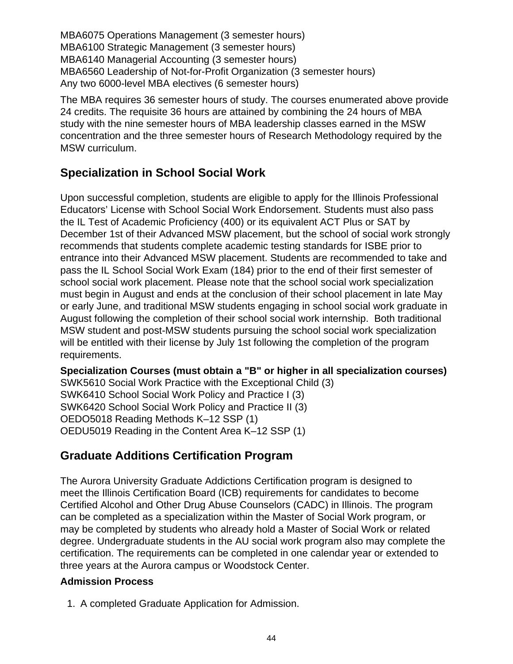MBA6075 Operations Management (3 semester hours) MBA6100 Strategic Management (3 semester hours) MBA6140 Managerial Accounting (3 semester hours) MBA6560 Leadership of Not-for-Profit Organization (3 semester hours) Any two 6000-level MBA electives (6 semester hours)

The MBA requires 36 semester hours of study. The courses enumerated above provide 24 credits. The requisite 36 hours are attained by combining the 24 hours of MBA study with the nine semester hours of MBA leadership classes earned in the MSW concentration and the three semester hours of Research Methodology required by the MSW curriculum.

# **Specialization in School Social Work**

Upon successful completion, students are eligible to apply for the Illinois Professional Educators' License with School Social Work Endorsement. Students must also pass the IL Test of Academic Proficiency (400) or its equivalent ACT Plus or SAT by December 1st of their Advanced MSW placement, but the school of social work strongly recommends that students complete academic testing standards for ISBE prior to entrance into their Advanced MSW placement. Students are recommended to take and pass the IL School Social Work Exam (184) prior to the end of their first semester of school social work placement. Please note that the school social work specialization must begin in August and ends at the conclusion of their school placement in late May or early June, and traditional MSW students engaging in school social work graduate in August following the completion of their school social work internship. Both traditional MSW student and post-MSW students pursuing the school social work specialization will be entitled with their license by July 1st following the completion of the program requirements.

**Specialization Courses (must obtain a "B" or higher in all specialization courses)** SWK5610 Social Work Practice with the Exceptional Child (3) SWK6410 School Social Work Policy and Practice I (3) SWK6420 School Social Work Policy and Practice II (3) OEDO5018 Reading Methods K–12 SSP (1) OEDU5019 Reading in the Content Area K–12 SSP (1)

# **Graduate Additions Certification Program**

The Aurora University Graduate Addictions Certification program is designed to meet the Illinois Certification Board (ICB) requirements for candidates to become Certified Alcohol and Other Drug Abuse Counselors (CADC) in Illinois. The program can be completed as a specialization within the Master of Social Work program, or may be completed by students who already hold a Master of Social Work or related degree. Undergraduate students in the AU social work program also may complete the certification. The requirements can be completed in one calendar year or extended to three years at the Aurora campus or Woodstock Center.

### **Admission Process**

1. A completed Graduate Application for Admission.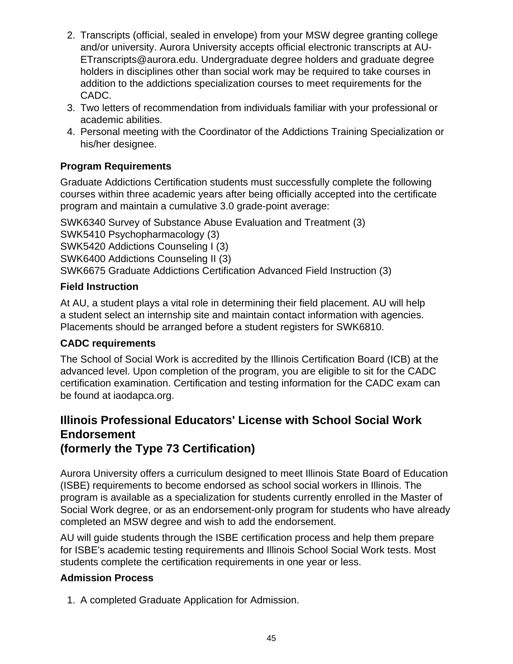- 2. Transcripts (official, sealed in envelope) from your MSW degree granting college and/or university. Aurora University accepts official electronic transcripts at AU-ETranscripts@aurora.edu. Undergraduate degree holders and graduate degree holders in disciplines other than social work may be required to take courses in addition to the addictions specialization courses to meet requirements for the CADC.
- 3. Two letters of recommendation from individuals familiar with your professional or academic abilities.
- 4. Personal meeting with the Coordinator of the Addictions Training Specialization or his/her designee.

### **Program Requirements**

Graduate Addictions Certification students must successfully complete the following courses within three academic years after being officially accepted into the certificate program and maintain a cumulative 3.0 grade-point average:

SWK6340 Survey of Substance Abuse Evaluation and Treatment (3)

SWK5410 Psychopharmacology (3)

SWK5420 Addictions Counseling I (3)

SWK6400 Addictions Counseling II (3)

SWK6675 Graduate Addictions Certification Advanced Field Instruction (3)

### **Field Instruction**

At AU, a student plays a vital role in determining their field placement. AU will help a student select an internship site and maintain contact information with agencies. Placements should be arranged before a student registers for SWK6810.

### **CADC requirements**

The School of Social Work is accredited by the Illinois Certification Board (ICB) at the advanced level. Upon completion of the program, you are eligible to sit for the CADC certification examination. Certification and testing information for the CADC exam can be found at iaodapca.org.

## **Illinois Professional Educators' License with School Social Work Endorsement (formerly the Type 73 Certification)**

Aurora University offers a curriculum designed to meet Illinois State Board of Education (ISBE) requirements to become endorsed as school social workers in Illinois. The program is available as a specialization for students currently enrolled in the Master of Social Work degree, or as an endorsement-only program for students who have already completed an MSW degree and wish to add the endorsement.

AU will guide students through the ISBE certification process and help them prepare for ISBE's academic testing requirements and Illinois School Social Work tests. Most students complete the certification requirements in one year or less.

### **Admission Process**

1. A completed Graduate Application for Admission.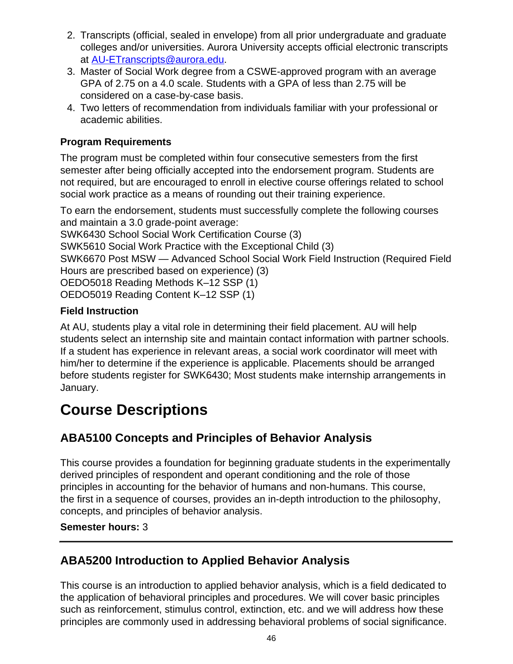- 2. Transcripts (official, sealed in envelope) from all prior undergraduate and graduate colleges and/or universities. Aurora University accepts official electronic transcripts at [AU-ETranscripts@aurora.edu.](mailto:AU-ETranscripts@aurora.edu)
- 3. Master of Social Work degree from a CSWE-approved program with an average GPA of 2.75 on a 4.0 scale. Students with a GPA of less than 2.75 will be considered on a case-by-case basis.
- 4. Two letters of recommendation from individuals familiar with your professional or academic abilities.

### **Program Requirements**

The program must be completed within four consecutive semesters from the first semester after being officially accepted into the endorsement program. Students are not required, but are encouraged to enroll in elective course offerings related to school social work practice as a means of rounding out their training experience.

To earn the endorsement, students must successfully complete the following courses and maintain a 3.0 grade-point average:

SWK6430 School Social Work Certification Course (3)

SWK5610 Social Work Practice with the Exceptional Child (3)

SWK6670 Post MSW — Advanced School Social Work Field Instruction (Required Field Hours are prescribed based on experience) (3)

OEDO5018 Reading Methods K–12 SSP (1)

OEDO5019 Reading Content K–12 SSP (1)

## **Field Instruction**

At AU, students play a vital role in determining their field placement. AU will help students select an internship site and maintain contact information with partner schools. If a student has experience in relevant areas, a social work coordinator will meet with him/her to determine if the experience is applicable. Placements should be arranged before students register for SWK6430; Most students make internship arrangements in January.

# **Course Descriptions**

# **ABA5100 Concepts and Principles of Behavior Analysis**

This course provides a foundation for beginning graduate students in the experimentally derived principles of respondent and operant conditioning and the role of those principles in accounting for the behavior of humans and non-humans. This course, the first in a sequence of courses, provides an in-depth introduction to the philosophy, concepts, and principles of behavior analysis.

### **Semester hours:** 3

# **ABA5200 Introduction to Applied Behavior Analysis**

This course is an introduction to applied behavior analysis, which is a field dedicated to the application of behavioral principles and procedures. We will cover basic principles such as reinforcement, stimulus control, extinction, etc. and we will address how these principles are commonly used in addressing behavioral problems of social significance.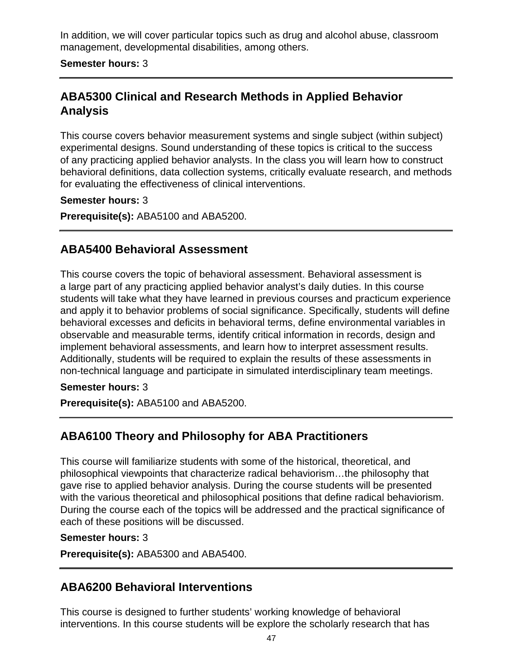In addition, we will cover particular topics such as drug and alcohol abuse, classroom management, developmental disabilities, among others.

### **Semester hours:** 3

# **ABA5300 Clinical and Research Methods in Applied Behavior Analysis**

This course covers behavior measurement systems and single subject (within subject) experimental designs. Sound understanding of these topics is critical to the success of any practicing applied behavior analysts. In the class you will learn how to construct behavioral definitions, data collection systems, critically evaluate research, and methods for evaluating the effectiveness of clinical interventions.

### **Semester hours:** 3

**Prerequisite(s):** ABA5100 and ABA5200.

## **ABA5400 Behavioral Assessment**

This course covers the topic of behavioral assessment. Behavioral assessment is a large part of any practicing applied behavior analyst's daily duties. In this course students will take what they have learned in previous courses and practicum experience and apply it to behavior problems of social significance. Specifically, students will define behavioral excesses and deficits in behavioral terms, define environmental variables in observable and measurable terms, identify critical information in records, design and implement behavioral assessments, and learn how to interpret assessment results. Additionally, students will be required to explain the results of these assessments in non-technical language and participate in simulated interdisciplinary team meetings.

#### **Semester hours:** 3

**Prerequisite(s):** ABA5100 and ABA5200.

## **ABA6100 Theory and Philosophy for ABA Practitioners**

This course will familiarize students with some of the historical, theoretical, and philosophical viewpoints that characterize radical behaviorism…the philosophy that gave rise to applied behavior analysis. During the course students will be presented with the various theoretical and philosophical positions that define radical behaviorism. During the course each of the topics will be addressed and the practical significance of each of these positions will be discussed.

#### **Semester hours:** 3

**Prerequisite(s):** ABA5300 and ABA5400.

## **ABA6200 Behavioral Interventions**

This course is designed to further students' working knowledge of behavioral interventions. In this course students will be explore the scholarly research that has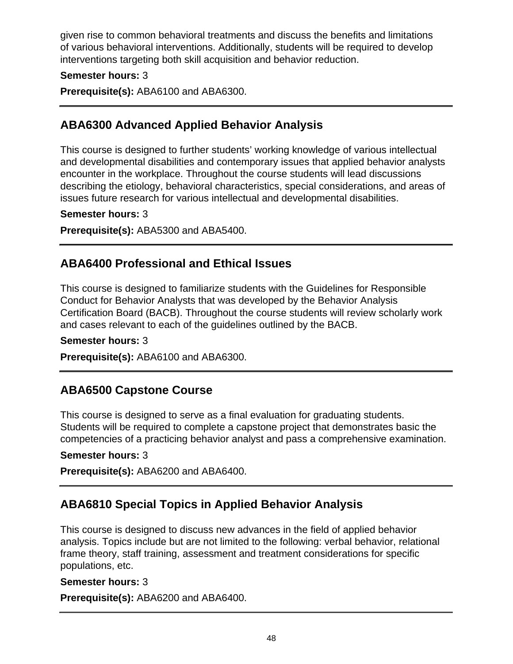given rise to common behavioral treatments and discuss the benefits and limitations of various behavioral interventions. Additionally, students will be required to develop interventions targeting both skill acquisition and behavior reduction.

### **Semester hours:** 3

**Prerequisite(s):** ABA6100 and ABA6300.

## **ABA6300 Advanced Applied Behavior Analysis**

This course is designed to further students' working knowledge of various intellectual and developmental disabilities and contemporary issues that applied behavior analysts encounter in the workplace. Throughout the course students will lead discussions describing the etiology, behavioral characteristics, special considerations, and areas of issues future research for various intellectual and developmental disabilities.

#### **Semester hours:** 3

**Prerequisite(s):** ABA5300 and ABA5400.

## **ABA6400 Professional and Ethical Issues**

This course is designed to familiarize students with the Guidelines for Responsible Conduct for Behavior Analysts that was developed by the Behavior Analysis Certification Board (BACB). Throughout the course students will review scholarly work and cases relevant to each of the guidelines outlined by the BACB.

#### **Semester hours:** 3

**Prerequisite(s):** ABA6100 and ABA6300.

### **ABA6500 Capstone Course**

This course is designed to serve as a final evaluation for graduating students. Students will be required to complete a capstone project that demonstrates basic the competencies of a practicing behavior analyst and pass a comprehensive examination.

#### **Semester hours:** 3

**Prerequisite(s):** ABA6200 and ABA6400.

# **ABA6810 Special Topics in Applied Behavior Analysis**

This course is designed to discuss new advances in the field of applied behavior analysis. Topics include but are not limited to the following: verbal behavior, relational frame theory, staff training, assessment and treatment considerations for specific populations, etc.

#### **Semester hours:** 3

**Prerequisite(s):** ABA6200 and ABA6400.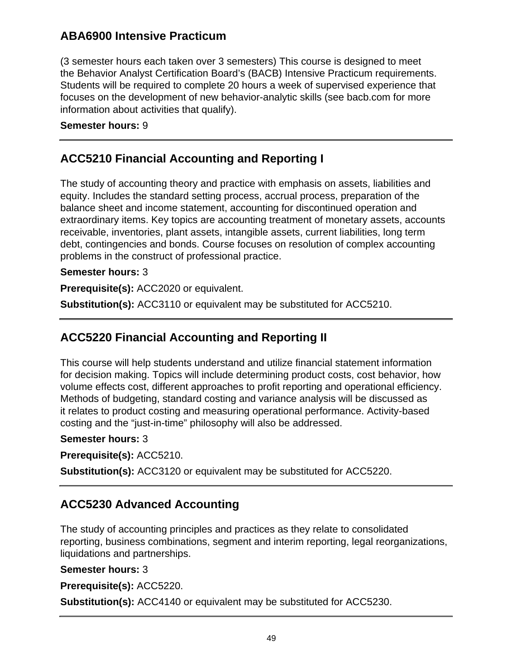# **ABA6900 Intensive Practicum**

(3 semester hours each taken over 3 semesters) This course is designed to meet the Behavior Analyst Certification Board's (BACB) Intensive Practicum requirements. Students will be required to complete 20 hours a week of supervised experience that focuses on the development of new behavior-analytic skills (see bacb.com for more information about activities that qualify).

### **Semester hours:** 9

# **ACC5210 Financial Accounting and Reporting I**

The study of accounting theory and practice with emphasis on assets, liabilities and equity. Includes the standard setting process, accrual process, preparation of the balance sheet and income statement, accounting for discontinued operation and extraordinary items. Key topics are accounting treatment of monetary assets, accounts receivable, inventories, plant assets, intangible assets, current liabilities, long term debt, contingencies and bonds. Course focuses on resolution of complex accounting problems in the construct of professional practice.

### **Semester hours:** 3

**Prerequisite(s):** ACC2020 or equivalent.

**Substitution(s):** ACC3110 or equivalent may be substituted for ACC5210.

# **ACC5220 Financial Accounting and Reporting II**

This course will help students understand and utilize financial statement information for decision making. Topics will include determining product costs, cost behavior, how volume effects cost, different approaches to profit reporting and operational efficiency. Methods of budgeting, standard costing and variance analysis will be discussed as it relates to product costing and measuring operational performance. Activity-based costing and the "just-in-time" philosophy will also be addressed.

### **Semester hours:** 3

**Prerequisite(s):** ACC5210.

**Substitution(s):** ACC3120 or equivalent may be substituted for ACC5220.

# **ACC5230 Advanced Accounting**

The study of accounting principles and practices as they relate to consolidated reporting, business combinations, segment and interim reporting, legal reorganizations, liquidations and partnerships.

### **Semester hours:** 3

**Prerequisite(s):** ACC5220.

**Substitution(s):** ACC4140 or equivalent may be substituted for ACC5230.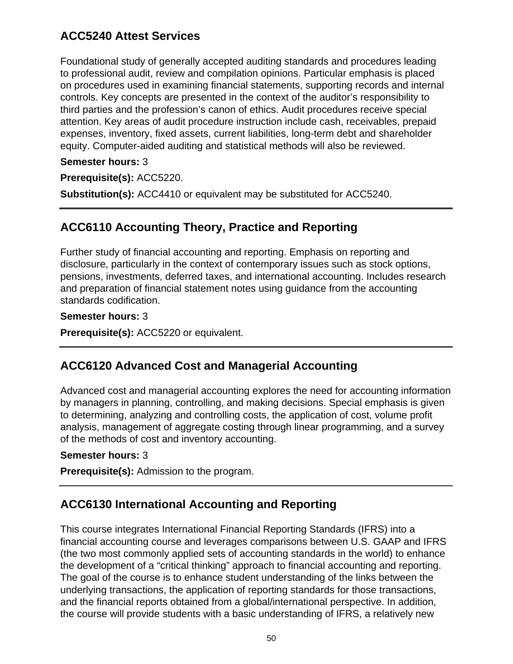# **ACC5240 Attest Services**

Foundational study of generally accepted auditing standards and procedures leading to professional audit, review and compilation opinions. Particular emphasis is placed on procedures used in examining financial statements, supporting records and internal controls. Key concepts are presented in the context of the auditor's responsibility to third parties and the profession's canon of ethics. Audit procedures receive special attention. Key areas of audit procedure instruction include cash, receivables, prepaid expenses, inventory, fixed assets, current liabilities, long-term debt and shareholder equity. Computer-aided auditing and statistical methods will also be reviewed.

### **Semester hours:** 3

**Prerequisite(s):** ACC5220.

**Substitution(s):** ACC4410 or equivalent may be substituted for ACC5240.

# **ACC6110 Accounting Theory, Practice and Reporting**

Further study of financial accounting and reporting. Emphasis on reporting and disclosure, particularly in the context of contemporary issues such as stock options, pensions, investments, deferred taxes, and international accounting. Includes research and preparation of financial statement notes using guidance from the accounting standards codification.

#### **Semester hours:** 3

**Prerequisite(s):** ACC5220 or equivalent.

## **ACC6120 Advanced Cost and Managerial Accounting**

Advanced cost and managerial accounting explores the need for accounting information by managers in planning, controlling, and making decisions. Special emphasis is given to determining, analyzing and controlling costs, the application of cost, volume profit analysis, management of aggregate costing through linear programming, and a survey of the methods of cost and inventory accounting.

#### **Semester hours:** 3

**Prerequisite(s):** Admission to the program.

# **ACC6130 International Accounting and Reporting**

This course integrates International Financial Reporting Standards (IFRS) into a financial accounting course and leverages comparisons between U.S. GAAP and IFRS (the two most commonly applied sets of accounting standards in the world) to enhance the development of a "critical thinking" approach to financial accounting and reporting. The goal of the course is to enhance student understanding of the links between the underlying transactions, the application of reporting standards for those transactions, and the financial reports obtained from a global/international perspective. In addition, the course will provide students with a basic understanding of IFRS, a relatively new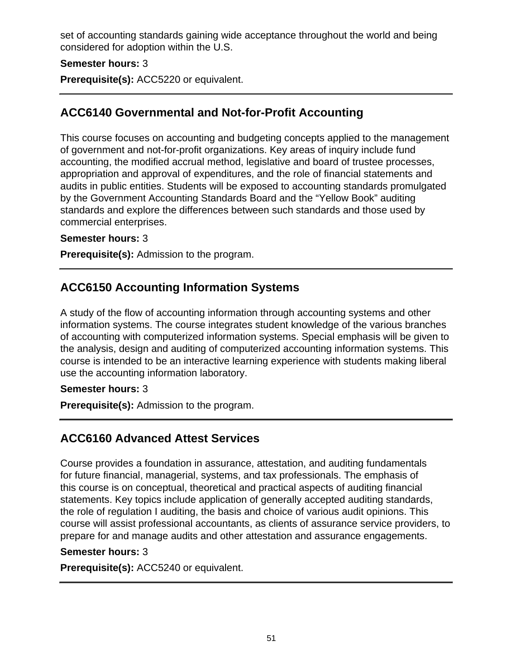set of accounting standards gaining wide acceptance throughout the world and being considered for adoption within the U.S.

### **Semester hours:** 3

**Prerequisite(s):** ACC5220 or equivalent.

## **ACC6140 Governmental and Not-for-Profit Accounting**

This course focuses on accounting and budgeting concepts applied to the management of government and not-for-profit organizations. Key areas of inquiry include fund accounting, the modified accrual method, legislative and board of trustee processes, appropriation and approval of expenditures, and the role of financial statements and audits in public entities. Students will be exposed to accounting standards promulgated by the Government Accounting Standards Board and the "Yellow Book" auditing standards and explore the differences between such standards and those used by commercial enterprises.

### **Semester hours:** 3

**Prerequisite(s):** Admission to the program.

# **ACC6150 Accounting Information Systems**

A study of the flow of accounting information through accounting systems and other information systems. The course integrates student knowledge of the various branches of accounting with computerized information systems. Special emphasis will be given to the analysis, design and auditing of computerized accounting information systems. This course is intended to be an interactive learning experience with students making liberal use the accounting information laboratory.

#### **Semester hours:** 3

**Prerequisite(s):** Admission to the program.

## **ACC6160 Advanced Attest Services**

Course provides a foundation in assurance, attestation, and auditing fundamentals for future financial, managerial, systems, and tax professionals. The emphasis of this course is on conceptual, theoretical and practical aspects of auditing financial statements. Key topics include application of generally accepted auditing standards, the role of regulation I auditing, the basis and choice of various audit opinions. This course will assist professional accountants, as clients of assurance service providers, to prepare for and manage audits and other attestation and assurance engagements.

#### **Semester hours:** 3

**Prerequisite(s):** ACC5240 or equivalent.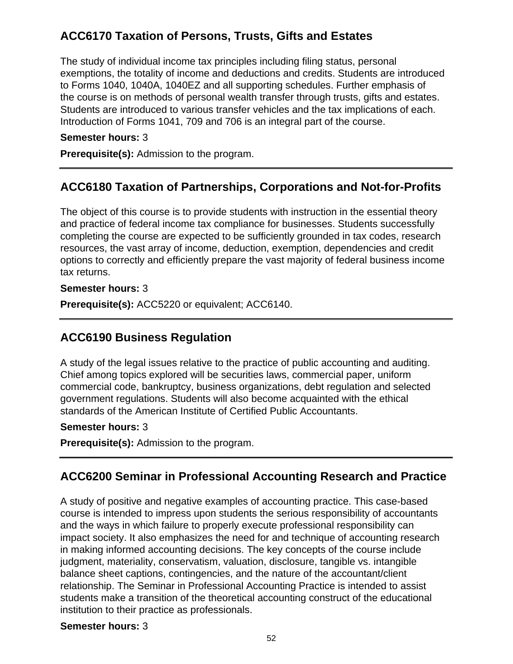# **ACC6170 Taxation of Persons, Trusts, Gifts and Estates**

The study of individual income tax principles including filing status, personal exemptions, the totality of income and deductions and credits. Students are introduced to Forms 1040, 1040A, 1040EZ and all supporting schedules. Further emphasis of the course is on methods of personal wealth transfer through trusts, gifts and estates. Students are introduced to various transfer vehicles and the tax implications of each. Introduction of Forms 1041, 709 and 706 is an integral part of the course.

#### **Semester hours:** 3

**Prerequisite(s):** Admission to the program.

## **ACC6180 Taxation of Partnerships, Corporations and Not-for-Profits**

The object of this course is to provide students with instruction in the essential theory and practice of federal income tax compliance for businesses. Students successfully completing the course are expected to be sufficiently grounded in tax codes, research resources, the vast array of income, deduction, exemption, dependencies and credit options to correctly and efficiently prepare the vast majority of federal business income tax returns.

#### **Semester hours:** 3

**Prerequisite(s):** ACC5220 or equivalent; ACC6140.

# **ACC6190 Business Regulation**

A study of the legal issues relative to the practice of public accounting and auditing. Chief among topics explored will be securities laws, commercial paper, uniform commercial code, bankruptcy, business organizations, debt regulation and selected government regulations. Students will also become acquainted with the ethical standards of the American Institute of Certified Public Accountants.

### **Semester hours:** 3

**Prerequisite(s):** Admission to the program.

# **ACC6200 Seminar in Professional Accounting Research and Practice**

A study of positive and negative examples of accounting practice. This case-based course is intended to impress upon students the serious responsibility of accountants and the ways in which failure to properly execute professional responsibility can impact society. It also emphasizes the need for and technique of accounting research in making informed accounting decisions. The key concepts of the course include judgment, materiality, conservatism, valuation, disclosure, tangible vs. intangible balance sheet captions, contingencies, and the nature of the accountant/client relationship. The Seminar in Professional Accounting Practice is intended to assist students make a transition of the theoretical accounting construct of the educational institution to their practice as professionals.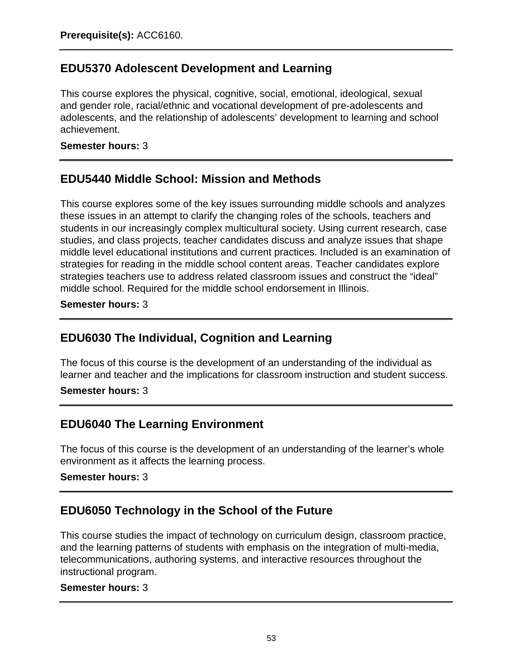# **EDU5370 Adolescent Development and Learning**

This course explores the physical, cognitive, social, emotional, ideological, sexual and gender role, racial/ethnic and vocational development of pre-adolescents and adolescents, and the relationship of adolescents' development to learning and school achievement.

**Semester hours:** 3

## **EDU5440 Middle School: Mission and Methods**

This course explores some of the key issues surrounding middle schools and analyzes these issues in an attempt to clarify the changing roles of the schools, teachers and students in our increasingly complex multicultural society. Using current research, case studies, and class projects, teacher candidates discuss and analyze issues that shape middle level educational institutions and current practices. Included is an examination of strategies for reading in the middle school content areas. Teacher candidates explore strategies teachers use to address related classroom issues and construct the "ideal" middle school. Required for the middle school endorsement in Illinois.

**Semester hours:** 3

# **EDU6030 The Individual, Cognition and Learning**

The focus of this course is the development of an understanding of the individual as learner and teacher and the implications for classroom instruction and student success.

**Semester hours:** 3

## **EDU6040 The Learning Environment**

The focus of this course is the development of an understanding of the learner's whole environment as it affects the learning process.

### **Semester hours:** 3

# **EDU6050 Technology in the School of the Future**

This course studies the impact of technology on curriculum design, classroom practice, and the learning patterns of students with emphasis on the integration of multi-media, telecommunications, authoring systems, and interactive resources throughout the instructional program.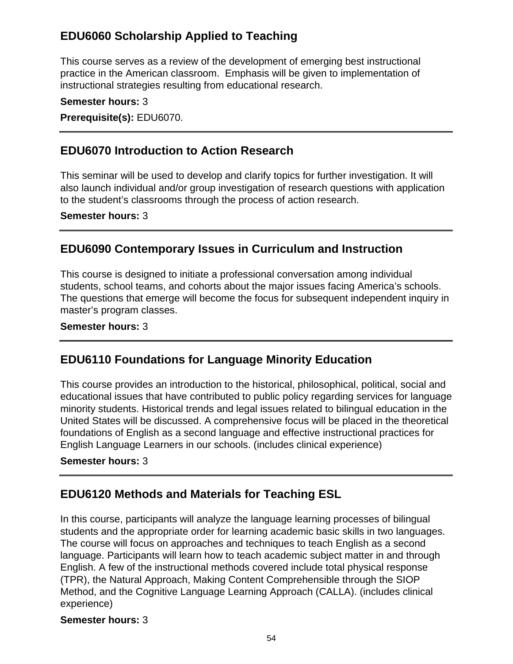# **EDU6060 Scholarship Applied to Teaching**

This course serves as a review of the development of emerging best instructional practice in the American classroom. Emphasis will be given to implementation of instructional strategies resulting from educational research.

**Semester hours:** 3

**Prerequisite(s):** EDU6070.

## **EDU6070 Introduction to Action Research**

This seminar will be used to develop and clarify topics for further investigation. It will also launch individual and/or group investigation of research questions with application to the student's classrooms through the process of action research.

**Semester hours:** 3

## **EDU6090 Contemporary Issues in Curriculum and Instruction**

This course is designed to initiate a professional conversation among individual students, school teams, and cohorts about the major issues facing America's schools. The questions that emerge will become the focus for subsequent independent inquiry in master's program classes.

#### **Semester hours:** 3

## **EDU6110 Foundations for Language Minority Education**

This course provides an introduction to the historical, philosophical, political, social and educational issues that have contributed to public policy regarding services for language minority students. Historical trends and legal issues related to bilingual education in the United States will be discussed. A comprehensive focus will be placed in the theoretical foundations of English as a second language and effective instructional practices for English Language Learners in our schools. (includes clinical experience)

#### **Semester hours:** 3

## **EDU6120 Methods and Materials for Teaching ESL**

In this course, participants will analyze the language learning processes of bilingual students and the appropriate order for learning academic basic skills in two languages. The course will focus on approaches and techniques to teach English as a second language. Participants will learn how to teach academic subject matter in and through English. A few of the instructional methods covered include total physical response (TPR), the Natural Approach, Making Content Comprehensible through the SIOP Method, and the Cognitive Language Learning Approach (CALLA). (includes clinical experience)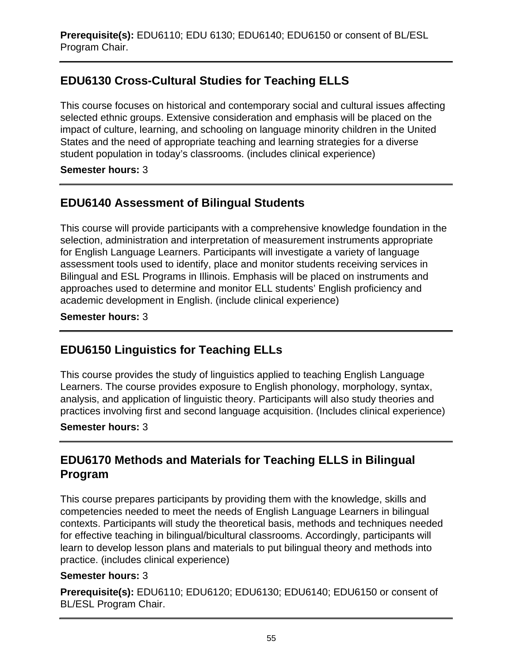# **EDU6130 Cross-Cultural Studies for Teaching ELLS**

This course focuses on historical and contemporary social and cultural issues affecting selected ethnic groups. Extensive consideration and emphasis will be placed on the impact of culture, learning, and schooling on language minority children in the United States and the need of appropriate teaching and learning strategies for a diverse student population in today's classrooms. (includes clinical experience)

### **Semester hours:** 3

# **EDU6140 Assessment of Bilingual Students**

This course will provide participants with a comprehensive knowledge foundation in the selection, administration and interpretation of measurement instruments appropriate for English Language Learners. Participants will investigate a variety of language assessment tools used to identify, place and monitor students receiving services in Bilingual and ESL Programs in Illinois. Emphasis will be placed on instruments and approaches used to determine and monitor ELL students' English proficiency and academic development in English. (include clinical experience)

### **Semester hours:** 3

# **EDU6150 Linguistics for Teaching ELLs**

This course provides the study of linguistics applied to teaching English Language Learners. The course provides exposure to English phonology, morphology, syntax, analysis, and application of linguistic theory. Participants will also study theories and practices involving first and second language acquisition. (Includes clinical experience)

### **Semester hours:** 3

# **EDU6170 Methods and Materials for Teaching ELLS in Bilingual Program**

This course prepares participants by providing them with the knowledge, skills and competencies needed to meet the needs of English Language Learners in bilingual contexts. Participants will study the theoretical basis, methods and techniques needed for effective teaching in bilingual/bicultural classrooms. Accordingly, participants will learn to develop lesson plans and materials to put bilingual theory and methods into practice. (includes clinical experience)

### **Semester hours:** 3

**Prerequisite(s):** EDU6110; EDU6120; EDU6130; EDU6140; EDU6150 or consent of BL/ESL Program Chair.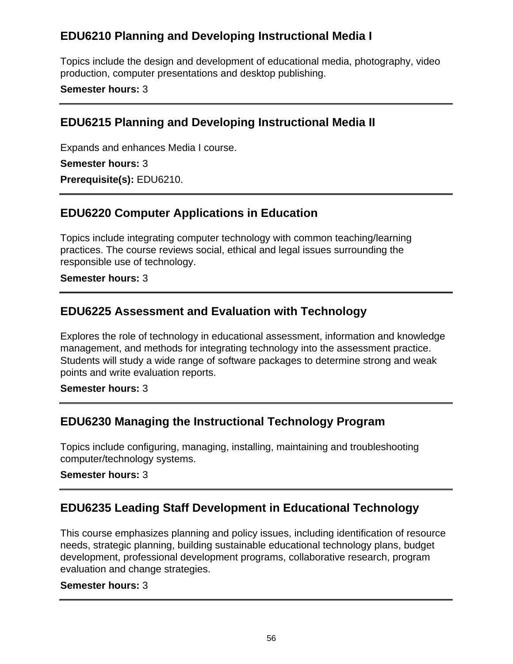# **EDU6210 Planning and Developing Instructional Media I**

Topics include the design and development of educational media, photography, video production, computer presentations and desktop publishing.

### **Semester hours:** 3

## **EDU6215 Planning and Developing Instructional Media II**

Expands and enhances Media I course.

#### **Semester hours:** 3

**Prerequisite(s):** EDU6210.

## **EDU6220 Computer Applications in Education**

Topics include integrating computer technology with common teaching/learning practices. The course reviews social, ethical and legal issues surrounding the responsible use of technology.

### **Semester hours:** 3

# **EDU6225 Assessment and Evaluation with Technology**

Explores the role of technology in educational assessment, information and knowledge management, and methods for integrating technology into the assessment practice. Students will study a wide range of software packages to determine strong and weak points and write evaluation reports.

#### **Semester hours:** 3

# **EDU6230 Managing the Instructional Technology Program**

Topics include configuring, managing, installing, maintaining and troubleshooting computer/technology systems.

### **Semester hours:** 3

# **EDU6235 Leading Staff Development in Educational Technology**

This course emphasizes planning and policy issues, including identification of resource needs, strategic planning, building sustainable educational technology plans, budget development, professional development programs, collaborative research, program evaluation and change strategies.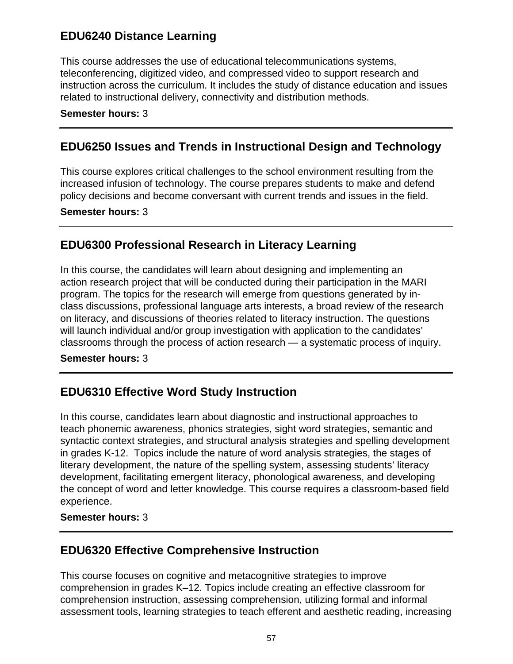## **EDU6240 Distance Learning**

This course addresses the use of educational telecommunications systems, teleconferencing, digitized video, and compressed video to support research and instruction across the curriculum. It includes the study of distance education and issues related to instructional delivery, connectivity and distribution methods.

#### **Semester hours:** 3

## **EDU6250 Issues and Trends in Instructional Design and Technology**

This course explores critical challenges to the school environment resulting from the increased infusion of technology. The course prepares students to make and defend policy decisions and become conversant with current trends and issues in the field.

**Semester hours:** 3

## **EDU6300 Professional Research in Literacy Learning**

In this course, the candidates will learn about designing and implementing an action research project that will be conducted during their participation in the MARI program. The topics for the research will emerge from questions generated by inclass discussions, professional language arts interests, a broad review of the research on literacy, and discussions of theories related to literacy instruction. The questions will launch individual and/or group investigation with application to the candidates' classrooms through the process of action research — a systematic process of inquiry.

### **Semester hours:** 3

# **EDU6310 Effective Word Study Instruction**

In this course, candidates learn about diagnostic and instructional approaches to teach phonemic awareness, phonics strategies, sight word strategies, semantic and syntactic context strategies, and structural analysis strategies and spelling development in grades K-12. Topics include the nature of word analysis strategies, the stages of literary development, the nature of the spelling system, assessing students' literacy development, facilitating emergent literacy, phonological awareness, and developing the concept of word and letter knowledge. This course requires a classroom-based field experience.

### **Semester hours:** 3

## **EDU6320 Effective Comprehensive Instruction**

This course focuses on cognitive and metacognitive strategies to improve comprehension in grades K–12. Topics include creating an effective classroom for comprehension instruction, assessing comprehension, utilizing formal and informal assessment tools, learning strategies to teach efferent and aesthetic reading, increasing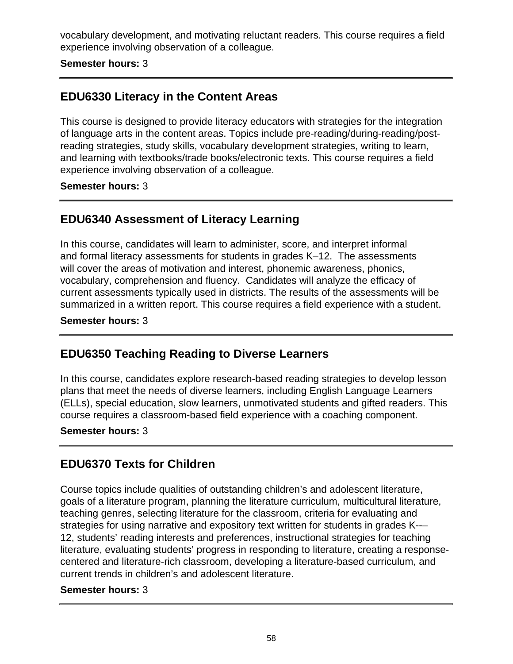vocabulary development, and motivating reluctant readers. This course requires a field experience involving observation of a colleague.

**Semester hours:** 3

## **EDU6330 Literacy in the Content Areas**

This course is designed to provide literacy educators with strategies for the integration of language arts in the content areas. Topics include pre-reading/during-reading/postreading strategies, study skills, vocabulary development strategies, writing to learn, and learning with textbooks/trade books/electronic texts. This course requires a field experience involving observation of a colleague.

#### **Semester hours:** 3

## **EDU6340 Assessment of Literacy Learning**

In this course, candidates will learn to administer, score, and interpret informal and formal literacy assessments for students in grades K–12. The assessments will cover the areas of motivation and interest, phonemic awareness, phonics, vocabulary, comprehension and fluency. Candidates will analyze the efficacy of current assessments typically used in districts. The results of the assessments will be summarized in a written report. This course requires a field experience with a student.

**Semester hours:** 3

# **EDU6350 Teaching Reading to Diverse Learners**

In this course, candidates explore research-based reading strategies to develop lesson plans that meet the needs of diverse learners, including English Language Learners (ELLs), special education, slow learners, unmotivated students and gifted readers. This course requires a classroom-based field experience with a coaching component.

#### **Semester hours:** 3

## **EDU6370 Texts for Children**

Course topics include qualities of outstanding children's and adolescent literature, goals of a literature program, planning the literature curriculum, multicultural literature, teaching genres, selecting literature for the classroom, criteria for evaluating and strategies for using narrative and expository text written for students in grades K--– 12, students' reading interests and preferences, instructional strategies for teaching literature, evaluating students' progress in responding to literature, creating a responsecentered and literature-rich classroom, developing a literature-based curriculum, and current trends in children's and adolescent literature.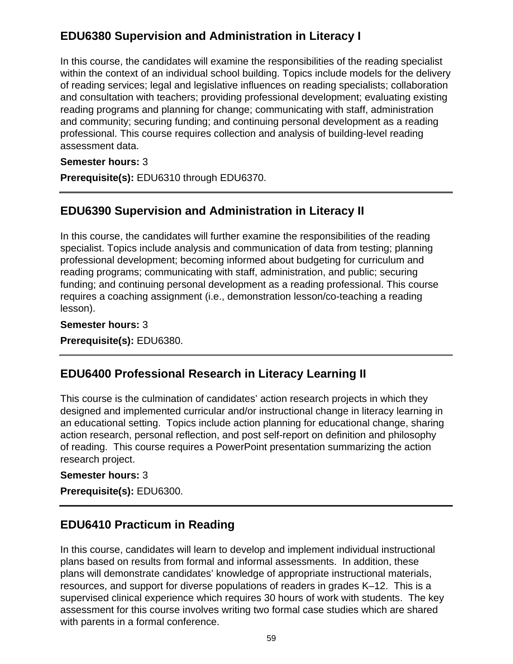# **EDU6380 Supervision and Administration in Literacy I**

In this course, the candidates will examine the responsibilities of the reading specialist within the context of an individual school building. Topics include models for the delivery of reading services; legal and legislative influences on reading specialists; collaboration and consultation with teachers; providing professional development; evaluating existing reading programs and planning for change; communicating with staff, administration and community; securing funding; and continuing personal development as a reading professional. This course requires collection and analysis of building-level reading assessment data.

### **Semester hours:** 3

**Prerequisite(s):** EDU6310 through EDU6370.

# **EDU6390 Supervision and Administration in Literacy II**

In this course, the candidates will further examine the responsibilities of the reading specialist. Topics include analysis and communication of data from testing; planning professional development; becoming informed about budgeting for curriculum and reading programs; communicating with staff, administration, and public; securing funding; and continuing personal development as a reading professional. This course requires a coaching assignment (i.e., demonstration lesson/co-teaching a reading lesson).

### **Semester hours:** 3 **Prerequisite(s):** EDU6380.

## **EDU6400 Professional Research in Literacy Learning II**

This course is the culmination of candidates' action research projects in which they designed and implemented curricular and/or instructional change in literacy learning in an educational setting. Topics include action planning for educational change, sharing action research, personal reflection, and post self-report on definition and philosophy of reading. This course requires a PowerPoint presentation summarizing the action research project.

### **Semester hours:** 3

**Prerequisite(s):** EDU6300.

## **EDU6410 Practicum in Reading**

In this course, candidates will learn to develop and implement individual instructional plans based on results from formal and informal assessments. In addition, these plans will demonstrate candidates' knowledge of appropriate instructional materials, resources, and support for diverse populations of readers in grades K–12. This is a supervised clinical experience which requires 30 hours of work with students. The key assessment for this course involves writing two formal case studies which are shared with parents in a formal conference.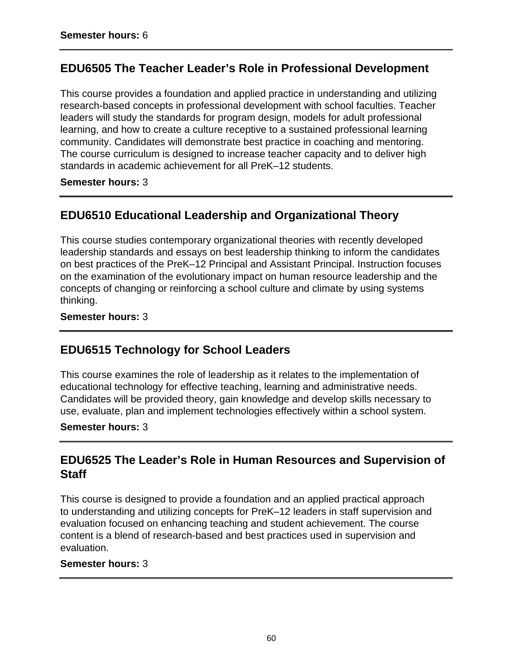## **EDU6505 The Teacher Leader's Role in Professional Development**

This course provides a foundation and applied practice in understanding and utilizing research-based concepts in professional development with school faculties. Teacher leaders will study the standards for program design, models for adult professional learning, and how to create a culture receptive to a sustained professional learning community. Candidates will demonstrate best practice in coaching and mentoring. The course curriculum is designed to increase teacher capacity and to deliver high standards in academic achievement for all PreK–12 students.

#### **Semester hours:** 3

# **EDU6510 Educational Leadership and Organizational Theory**

This course studies contemporary organizational theories with recently developed leadership standards and essays on best leadership thinking to inform the candidates on best practices of the PreK–12 Principal and Assistant Principal. Instruction focuses on the examination of the evolutionary impact on human resource leadership and the concepts of changing or reinforcing a school culture and climate by using systems thinking.

### **Semester hours:** 3

## **EDU6515 Technology for School Leaders**

This course examines the role of leadership as it relates to the implementation of educational technology for effective teaching, learning and administrative needs. Candidates will be provided theory, gain knowledge and develop skills necessary to use, evaluate, plan and implement technologies effectively within a school system.

#### **Semester hours:** 3

## **EDU6525 The Leader's Role in Human Resources and Supervision of Staff**

This course is designed to provide a foundation and an applied practical approach to understanding and utilizing concepts for PreK–12 leaders in staff supervision and evaluation focused on enhancing teaching and student achievement. The course content is a blend of research-based and best practices used in supervision and evaluation.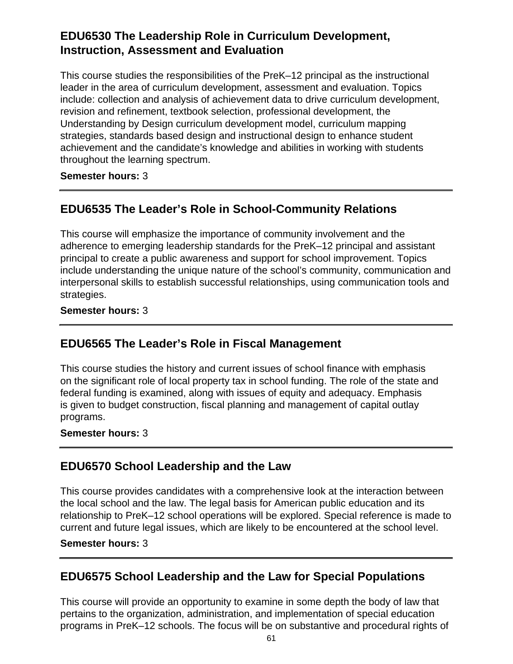## **EDU6530 The Leadership Role in Curriculum Development, Instruction, Assessment and Evaluation**

This course studies the responsibilities of the PreK–12 principal as the instructional leader in the area of curriculum development, assessment and evaluation. Topics include: collection and analysis of achievement data to drive curriculum development, revision and refinement, textbook selection, professional development, the Understanding by Design curriculum development model, curriculum mapping strategies, standards based design and instructional design to enhance student achievement and the candidate's knowledge and abilities in working with students throughout the learning spectrum.

**Semester hours:** 3

# **EDU6535 The Leader's Role in School-Community Relations**

This course will emphasize the importance of community involvement and the adherence to emerging leadership standards for the PreK–12 principal and assistant principal to create a public awareness and support for school improvement. Topics include understanding the unique nature of the school's community, communication and interpersonal skills to establish successful relationships, using communication tools and strategies.

### **Semester hours:** 3

## **EDU6565 The Leader's Role in Fiscal Management**

This course studies the history and current issues of school finance with emphasis on the significant role of local property tax in school funding. The role of the state and federal funding is examined, along with issues of equity and adequacy. Emphasis is given to budget construction, fiscal planning and management of capital outlay programs.

### **Semester hours:** 3

## **EDU6570 School Leadership and the Law**

This course provides candidates with a comprehensive look at the interaction between the local school and the law. The legal basis for American public education and its relationship to PreK–12 school operations will be explored. Special reference is made to current and future legal issues, which are likely to be encountered at the school level.

#### **Semester hours:** 3

## **EDU6575 School Leadership and the Law for Special Populations**

This course will provide an opportunity to examine in some depth the body of law that pertains to the organization, administration, and implementation of special education programs in PreK–12 schools. The focus will be on substantive and procedural rights of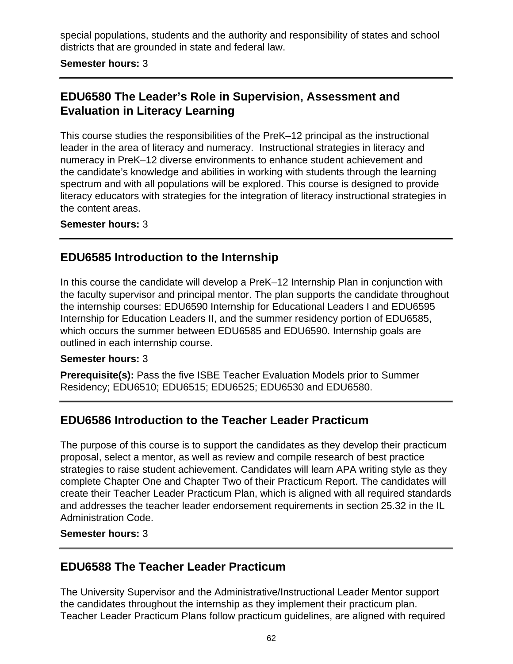special populations, students and the authority and responsibility of states and school districts that are grounded in state and federal law.

**Semester hours:** 3

# **EDU6580 The Leader's Role in Supervision, Assessment and Evaluation in Literacy Learning**

This course studies the responsibilities of the PreK–12 principal as the instructional leader in the area of literacy and numeracy. Instructional strategies in literacy and numeracy in PreK–12 diverse environments to enhance student achievement and the candidate's knowledge and abilities in working with students through the learning spectrum and with all populations will be explored. This course is designed to provide literacy educators with strategies for the integration of literacy instructional strategies in the content areas.

#### **Semester hours:** 3

## **EDU6585 Introduction to the Internship**

In this course the candidate will develop a PreK–12 Internship Plan in conjunction with the faculty supervisor and principal mentor. The plan supports the candidate throughout the internship courses: EDU6590 Internship for Educational Leaders I and EDU6595 Internship for Education Leaders II, and the summer residency portion of EDU6585, which occurs the summer between EDU6585 and EDU6590. Internship goals are outlined in each internship course.

#### **Semester hours:** 3

**Prerequisite(s):** Pass the five ISBE Teacher Evaluation Models prior to Summer Residency; EDU6510; EDU6515; EDU6525; EDU6530 and EDU6580.

## **EDU6586 Introduction to the Teacher Leader Practicum**

The purpose of this course is to support the candidates as they develop their practicum proposal, select a mentor, as well as review and compile research of best practice strategies to raise student achievement. Candidates will learn APA writing style as they complete Chapter One and Chapter Two of their Practicum Report. The candidates will create their Teacher Leader Practicum Plan, which is aligned with all required standards and addresses the teacher leader endorsement requirements in section 25.32 in the IL Administration Code.

#### **Semester hours:** 3

### **EDU6588 The Teacher Leader Practicum**

The University Supervisor and the Administrative/Instructional Leader Mentor support the candidates throughout the internship as they implement their practicum plan. Teacher Leader Practicum Plans follow practicum guidelines, are aligned with required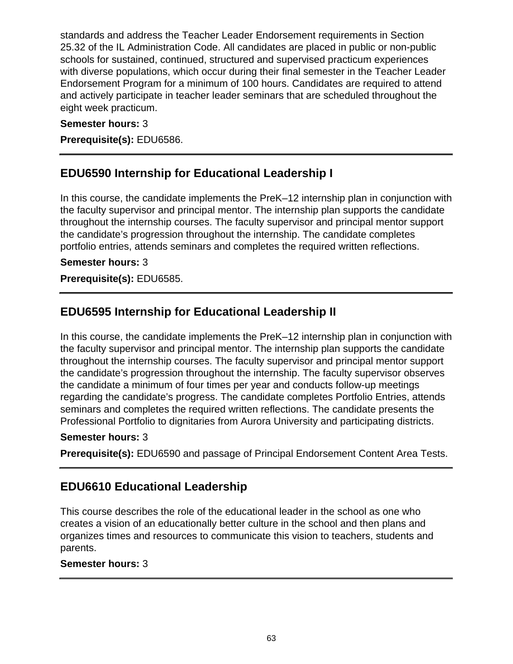standards and address the Teacher Leader Endorsement requirements in Section 25.32 of the IL Administration Code. All candidates are placed in public or non-public schools for sustained, continued, structured and supervised practicum experiences with diverse populations, which occur during their final semester in the Teacher Leader Endorsement Program for a minimum of 100 hours. Candidates are required to attend and actively participate in teacher leader seminars that are scheduled throughout the eight week practicum.

#### **Semester hours:** 3

**Prerequisite(s):** EDU6586.

## **EDU6590 Internship for Educational Leadership I**

In this course, the candidate implements the PreK–12 internship plan in conjunction with the faculty supervisor and principal mentor. The internship plan supports the candidate throughout the internship courses. The faculty supervisor and principal mentor support the candidate's progression throughout the internship. The candidate completes portfolio entries, attends seminars and completes the required written reflections.

### **Semester hours:** 3

**Prerequisite(s):** EDU6585.

## **EDU6595 Internship for Educational Leadership II**

In this course, the candidate implements the PreK–12 internship plan in conjunction with the faculty supervisor and principal mentor. The internship plan supports the candidate throughout the internship courses. The faculty supervisor and principal mentor support the candidate's progression throughout the internship. The faculty supervisor observes the candidate a minimum of four times per year and conducts follow-up meetings regarding the candidate's progress. The candidate completes Portfolio Entries, attends seminars and completes the required written reflections. The candidate presents the Professional Portfolio to dignitaries from Aurora University and participating districts.

#### **Semester hours:** 3

**Prerequisite(s):** EDU6590 and passage of Principal Endorsement Content Area Tests.

## **EDU6610 Educational Leadership**

This course describes the role of the educational leader in the school as one who creates a vision of an educationally better culture in the school and then plans and organizes times and resources to communicate this vision to teachers, students and parents.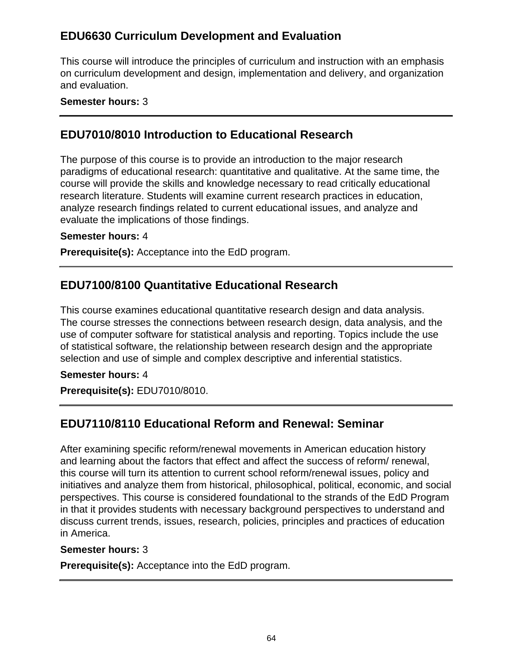## **EDU6630 Curriculum Development and Evaluation**

This course will introduce the principles of curriculum and instruction with an emphasis on curriculum development and design, implementation and delivery, and organization and evaluation.

### **Semester hours:** 3

## **EDU7010/8010 Introduction to Educational Research**

The purpose of this course is to provide an introduction to the major research paradigms of educational research: quantitative and qualitative. At the same time, the course will provide the skills and knowledge necessary to read critically educational research literature. Students will examine current research practices in education, analyze research findings related to current educational issues, and analyze and evaluate the implications of those findings.

#### **Semester hours:** 4

**Prerequisite(s):** Acceptance into the EdD program.

## **EDU7100/8100 Quantitative Educational Research**

This course examines educational quantitative research design and data analysis. The course stresses the connections between research design, data analysis, and the use of computer software for statistical analysis and reporting. Topics include the use of statistical software, the relationship between research design and the appropriate selection and use of simple and complex descriptive and inferential statistics.

#### **Semester hours:** 4

**Prerequisite(s):** EDU7010/8010.

## **EDU7110/8110 Educational Reform and Renewal: Seminar**

After examining specific reform/renewal movements in American education history and learning about the factors that effect and affect the success of reform/ renewal, this course will turn its attention to current school reform/renewal issues, policy and initiatives and analyze them from historical, philosophical, political, economic, and social perspectives. This course is considered foundational to the strands of the EdD Program in that it provides students with necessary background perspectives to understand and discuss current trends, issues, research, policies, principles and practices of education in America.

#### **Semester hours:** 3

**Prerequisite(s):** Acceptance into the EdD program.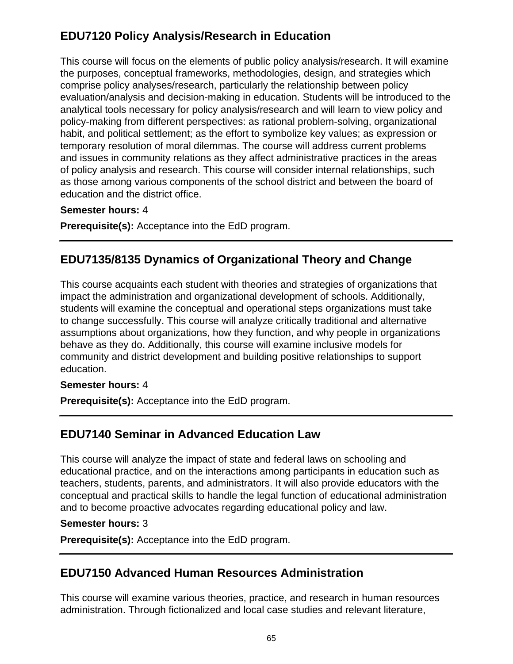# **EDU7120 Policy Analysis/Research in Education**

This course will focus on the elements of public policy analysis/research. It will examine the purposes, conceptual frameworks, methodologies, design, and strategies which comprise policy analyses/research, particularly the relationship between policy evaluation/analysis and decision-making in education. Students will be introduced to the analytical tools necessary for policy analysis/research and will learn to view policy and policy-making from different perspectives: as rational problem-solving, organizational habit, and political settlement; as the effort to symbolize key values; as expression or temporary resolution of moral dilemmas. The course will address current problems and issues in community relations as they affect administrative practices in the areas of policy analysis and research. This course will consider internal relationships, such as those among various components of the school district and between the board of education and the district office.

### **Semester hours:** 4

**Prerequisite(s):** Acceptance into the EdD program.

# **EDU7135/8135 Dynamics of Organizational Theory and Change**

This course acquaints each student with theories and strategies of organizations that impact the administration and organizational development of schools. Additionally, students will examine the conceptual and operational steps organizations must take to change successfully. This course will analyze critically traditional and alternative assumptions about organizations, how they function, and why people in organizations behave as they do. Additionally, this course will examine inclusive models for community and district development and building positive relationships to support education.

### **Semester hours:** 4

**Prerequisite(s):** Acceptance into the EdD program.

# **EDU7140 Seminar in Advanced Education Law**

This course will analyze the impact of state and federal laws on schooling and educational practice, and on the interactions among participants in education such as teachers, students, parents, and administrators. It will also provide educators with the conceptual and practical skills to handle the legal function of educational administration and to become proactive advocates regarding educational policy and law.

### **Semester hours:** 3

**Prerequisite(s):** Acceptance into the EdD program.

## **EDU7150 Advanced Human Resources Administration**

This course will examine various theories, practice, and research in human resources administration. Through fictionalized and local case studies and relevant literature,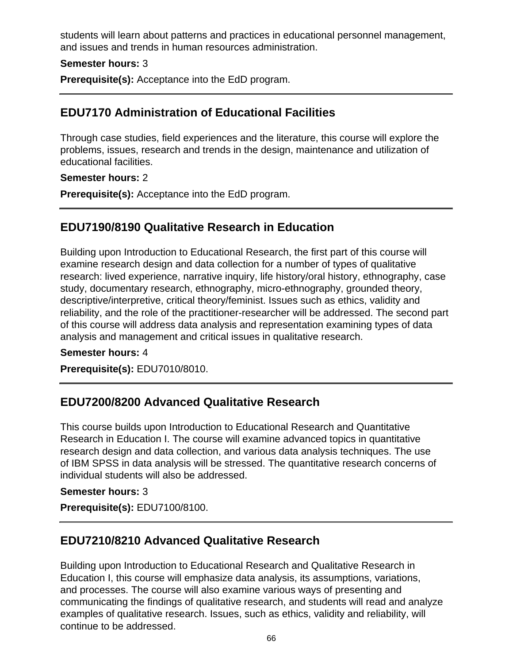students will learn about patterns and practices in educational personnel management, and issues and trends in human resources administration.

### **Semester hours:** 3

**Prerequisite(s):** Acceptance into the EdD program.

## **EDU7170 Administration of Educational Facilities**

Through case studies, field experiences and the literature, this course will explore the problems, issues, research and trends in the design, maintenance and utilization of educational facilities.

#### **Semester hours:** 2

**Prerequisite(s):** Acceptance into the EdD program.

## **EDU7190/8190 Qualitative Research in Education**

Building upon Introduction to Educational Research, the first part of this course will examine research design and data collection for a number of types of qualitative research: lived experience, narrative inquiry, life history/oral history, ethnography, case study, documentary research, ethnography, micro-ethnography, grounded theory, descriptive/interpretive, critical theory/feminist. Issues such as ethics, validity and reliability, and the role of the practitioner-researcher will be addressed. The second part of this course will address data analysis and representation examining types of data analysis and management and critical issues in qualitative research.

#### **Semester hours:** 4

**Prerequisite(s):** EDU7010/8010.

## **EDU7200/8200 Advanced Qualitative Research**

This course builds upon Introduction to Educational Research and Quantitative Research in Education I. The course will examine advanced topics in quantitative research design and data collection, and various data analysis techniques. The use of IBM SPSS in data analysis will be stressed. The quantitative research concerns of individual students will also be addressed.

#### **Semester hours:** 3

**Prerequisite(s):** EDU7100/8100.

## **EDU7210/8210 Advanced Qualitative Research**

Building upon Introduction to Educational Research and Qualitative Research in Education I, this course will emphasize data analysis, its assumptions, variations, and processes. The course will also examine various ways of presenting and communicating the findings of qualitative research, and students will read and analyze examples of qualitative research. Issues, such as ethics, validity and reliability, will continue to be addressed.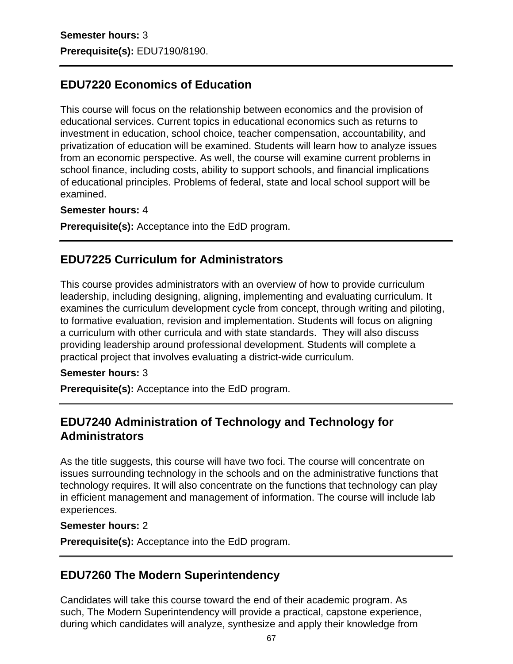## **EDU7220 Economics of Education**

This course will focus on the relationship between economics and the provision of educational services. Current topics in educational economics such as returns to investment in education, school choice, teacher compensation, accountability, and privatization of education will be examined. Students will learn how to analyze issues from an economic perspective. As well, the course will examine current problems in school finance, including costs, ability to support schools, and financial implications of educational principles. Problems of federal, state and local school support will be examined.

#### **Semester hours:** 4

**Prerequisite(s):** Acceptance into the EdD program.

## **EDU7225 Curriculum for Administrators**

This course provides administrators with an overview of how to provide curriculum leadership, including designing, aligning, implementing and evaluating curriculum. It examines the curriculum development cycle from concept, through writing and piloting, to formative evaluation, revision and implementation. Students will focus on aligning a curriculum with other curricula and with state standards. They will also discuss providing leadership around professional development. Students will complete a practical project that involves evaluating a district-wide curriculum.

#### **Semester hours:** 3

**Prerequisite(s):** Acceptance into the EdD program.

## **EDU7240 Administration of Technology and Technology for Administrators**

As the title suggests, this course will have two foci. The course will concentrate on issues surrounding technology in the schools and on the administrative functions that technology requires. It will also concentrate on the functions that technology can play in efficient management and management of information. The course will include lab experiences.

#### **Semester hours:** 2

**Prerequisite(s):** Acceptance into the EdD program.

### **EDU7260 The Modern Superintendency**

Candidates will take this course toward the end of their academic program. As such, The Modern Superintendency will provide a practical, capstone experience, during which candidates will analyze, synthesize and apply their knowledge from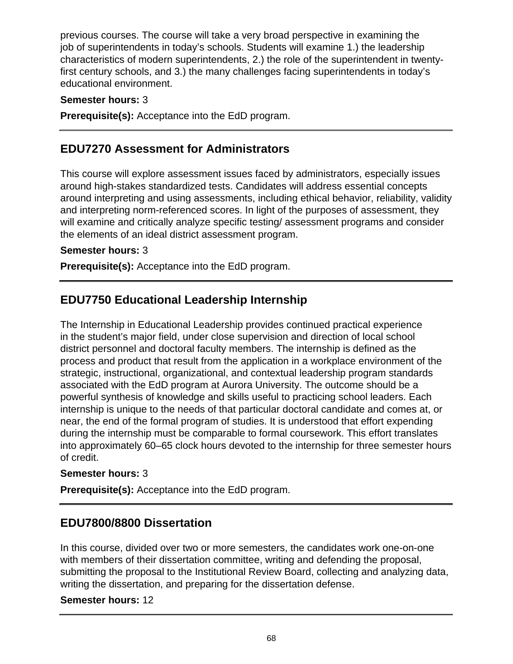previous courses. The course will take a very broad perspective in examining the job of superintendents in today's schools. Students will examine 1.) the leadership characteristics of modern superintendents, 2.) the role of the superintendent in twentyfirst century schools, and 3.) the many challenges facing superintendents in today's educational environment.

### **Semester hours:** 3

**Prerequisite(s):** Acceptance into the EdD program.

## **EDU7270 Assessment for Administrators**

This course will explore assessment issues faced by administrators, especially issues around high-stakes standardized tests. Candidates will address essential concepts around interpreting and using assessments, including ethical behavior, reliability, validity and interpreting norm-referenced scores. In light of the purposes of assessment, they will examine and critically analyze specific testing/ assessment programs and consider the elements of an ideal district assessment program.

### **Semester hours:** 3

**Prerequisite(s):** Acceptance into the EdD program.

## **EDU7750 Educational Leadership Internship**

The Internship in Educational Leadership provides continued practical experience in the student's major field, under close supervision and direction of local school district personnel and doctoral faculty members. The internship is defined as the process and product that result from the application in a workplace environment of the strategic, instructional, organizational, and contextual leadership program standards associated with the EdD program at Aurora University. The outcome should be a powerful synthesis of knowledge and skills useful to practicing school leaders. Each internship is unique to the needs of that particular doctoral candidate and comes at, or near, the end of the formal program of studies. It is understood that effort expending during the internship must be comparable to formal coursework. This effort translates into approximately 60–65 clock hours devoted to the internship for three semester hours of credit.

### **Semester hours:** 3

**Prerequisite(s):** Acceptance into the EdD program.

## **EDU7800/8800 Dissertation**

In this course, divided over two or more semesters, the candidates work one-on-one with members of their dissertation committee, writing and defending the proposal, submitting the proposal to the Institutional Review Board, collecting and analyzing data, writing the dissertation, and preparing for the dissertation defense.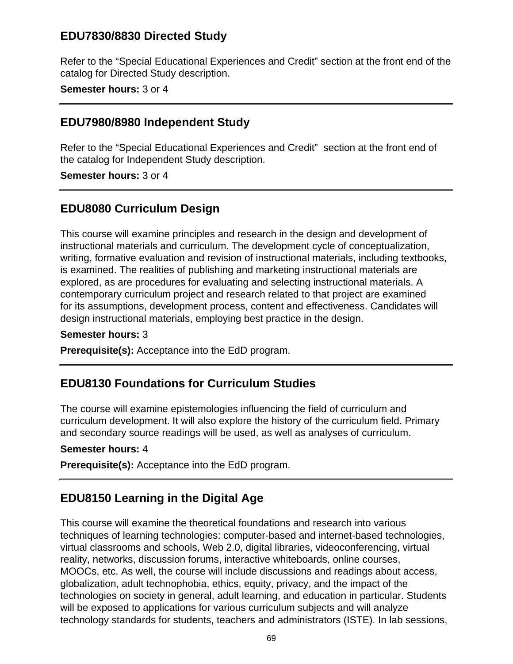## **EDU7830/8830 Directed Study**

Refer to the "Special Educational Experiences and Credit" section at the front end of the catalog for Directed Study description.

#### **Semester hours:** 3 or 4

### **EDU7980/8980 Independent Study**

Refer to the "Special Educational Experiences and Credit" section at the front end of the catalog for Independent Study description.

**Semester hours:** 3 or 4

## **EDU8080 Curriculum Design**

This course will examine principles and research in the design and development of instructional materials and curriculum. The development cycle of conceptualization, writing, formative evaluation and revision of instructional materials, including textbooks, is examined. The realities of publishing and marketing instructional materials are explored, as are procedures for evaluating and selecting instructional materials. A contemporary curriculum project and research related to that project are examined for its assumptions, development process, content and effectiveness. Candidates will design instructional materials, employing best practice in the design.

#### **Semester hours:** 3

**Prerequisite(s):** Acceptance into the EdD program.

### **EDU8130 Foundations for Curriculum Studies**

The course will examine epistemologies influencing the field of curriculum and curriculum development. It will also explore the history of the curriculum field. Primary and secondary source readings will be used, as well as analyses of curriculum.

#### **Semester hours:** 4

**Prerequisite(s):** Acceptance into the EdD program.

## **EDU8150 Learning in the Digital Age**

This course will examine the theoretical foundations and research into various techniques of learning technologies: computer-based and internet-based technologies, virtual classrooms and schools, Web 2.0, digital libraries, videoconferencing, virtual reality, networks, discussion forums, interactive whiteboards, online courses, MOOCs, etc. As well, the course will include discussions and readings about access, globalization, adult technophobia, ethics, equity, privacy, and the impact of the technologies on society in general, adult learning, and education in particular. Students will be exposed to applications for various curriculum subjects and will analyze technology standards for students, teachers and administrators (ISTE). In lab sessions,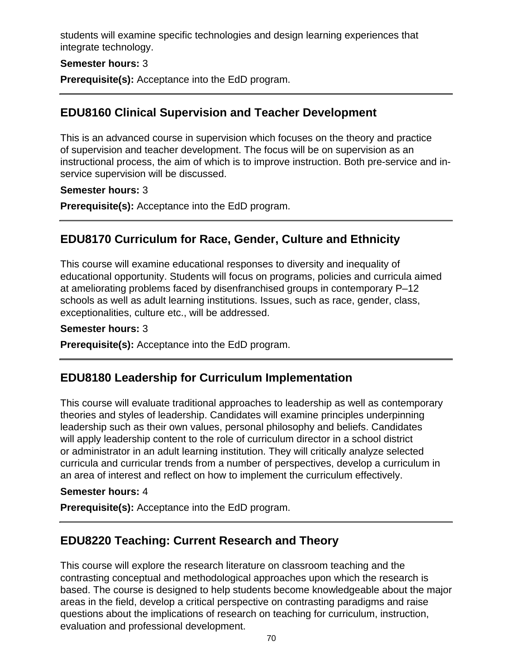students will examine specific technologies and design learning experiences that integrate technology.

#### **Semester hours:** 3

**Prerequisite(s):** Acceptance into the EdD program.

## **EDU8160 Clinical Supervision and Teacher Development**

This is an advanced course in supervision which focuses on the theory and practice of supervision and teacher development. The focus will be on supervision as an instructional process, the aim of which is to improve instruction. Both pre-service and inservice supervision will be discussed.

### **Semester hours:** 3

**Prerequisite(s):** Acceptance into the EdD program.

# **EDU8170 Curriculum for Race, Gender, Culture and Ethnicity**

This course will examine educational responses to diversity and inequality of educational opportunity. Students will focus on programs, policies and curricula aimed at ameliorating problems faced by disenfranchised groups in contemporary P–12 schools as well as adult learning institutions. Issues, such as race, gender, class, exceptionalities, culture etc., will be addressed.

### **Semester hours:** 3

**Prerequisite(s):** Acceptance into the EdD program.

## **EDU8180 Leadership for Curriculum Implementation**

This course will evaluate traditional approaches to leadership as well as contemporary theories and styles of leadership. Candidates will examine principles underpinning leadership such as their own values, personal philosophy and beliefs. Candidates will apply leadership content to the role of curriculum director in a school district or administrator in an adult learning institution. They will critically analyze selected curricula and curricular trends from a number of perspectives, develop a curriculum in an area of interest and reflect on how to implement the curriculum effectively.

### **Semester hours:** 4

**Prerequisite(s):** Acceptance into the EdD program.

# **EDU8220 Teaching: Current Research and Theory**

This course will explore the research literature on classroom teaching and the contrasting conceptual and methodological approaches upon which the research is based. The course is designed to help students become knowledgeable about the major areas in the field, develop a critical perspective on contrasting paradigms and raise questions about the implications of research on teaching for curriculum, instruction, evaluation and professional development.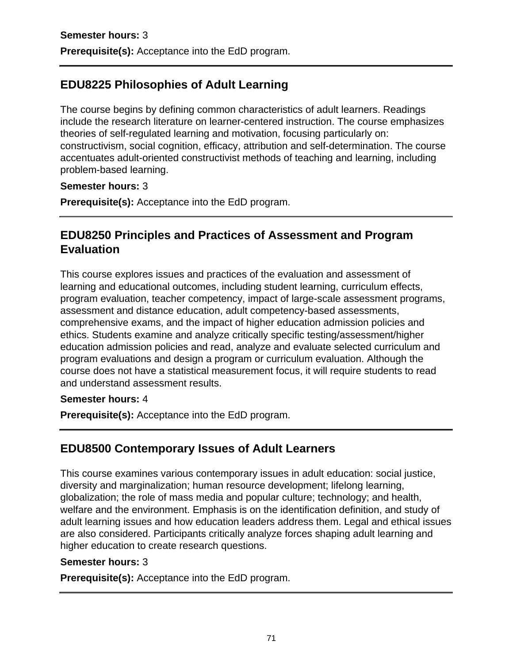# **EDU8225 Philosophies of Adult Learning**

The course begins by defining common characteristics of adult learners. Readings include the research literature on learner-centered instruction. The course emphasizes theories of self-regulated learning and motivation, focusing particularly on: constructivism, social cognition, efficacy, attribution and self-determination. The course accentuates adult-oriented constructivist methods of teaching and learning, including problem-based learning.

### **Semester hours:** 3

**Prerequisite(s):** Acceptance into the EdD program.

# **EDU8250 Principles and Practices of Assessment and Program Evaluation**

This course explores issues and practices of the evaluation and assessment of learning and educational outcomes, including student learning, curriculum effects, program evaluation, teacher competency, impact of large-scale assessment programs, assessment and distance education, adult competency-based assessments, comprehensive exams, and the impact of higher education admission policies and ethics. Students examine and analyze critically specific testing/assessment/higher education admission policies and read, analyze and evaluate selected curriculum and program evaluations and design a program or curriculum evaluation. Although the course does not have a statistical measurement focus, it will require students to read and understand assessment results.

### **Semester hours:** 4

**Prerequisite(s):** Acceptance into the EdD program.

# **EDU8500 Contemporary Issues of Adult Learners**

This course examines various contemporary issues in adult education: social justice, diversity and marginalization; human resource development; lifelong learning, globalization; the role of mass media and popular culture; technology; and health, welfare and the environment. Emphasis is on the identification definition, and study of adult learning issues and how education leaders address them. Legal and ethical issues are also considered. Participants critically analyze forces shaping adult learning and higher education to create research questions.

### **Semester hours:** 3

**Prerequisite(s):** Acceptance into the EdD program.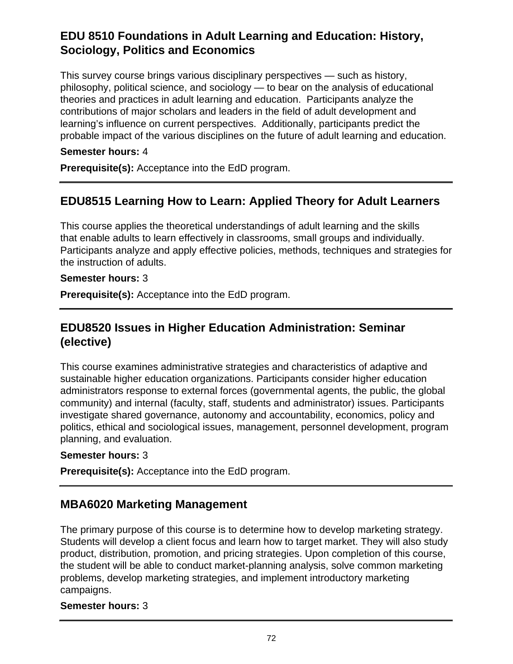# **EDU 8510 Foundations in Adult Learning and Education: History, Sociology, Politics and Economics**

This survey course brings various disciplinary perspectives — such as history, philosophy, political science, and sociology — to bear on the analysis of educational theories and practices in adult learning and education. Participants analyze the contributions of major scholars and leaders in the field of adult development and learning's influence on current perspectives. Additionally, participants predict the probable impact of the various disciplines on the future of adult learning and education.

### **Semester hours:** 4

**Prerequisite(s):** Acceptance into the EdD program.

## **EDU8515 Learning How to Learn: Applied Theory for Adult Learners**

This course applies the theoretical understandings of adult learning and the skills that enable adults to learn effectively in classrooms, small groups and individually. Participants analyze and apply effective policies, methods, techniques and strategies for the instruction of adults.

#### **Semester hours:** 3

**Prerequisite(s):** Acceptance into the EdD program.

## **EDU8520 Issues in Higher Education Administration: Seminar (elective)**

This course examines administrative strategies and characteristics of adaptive and sustainable higher education organizations. Participants consider higher education administrators response to external forces (governmental agents, the public, the global community) and internal (faculty, staff, students and administrator) issues. Participants investigate shared governance, autonomy and accountability, economics, policy and politics, ethical and sociological issues, management, personnel development, program planning, and evaluation.

### **Semester hours:** 3

**Prerequisite(s):** Acceptance into the EdD program.

## **MBA6020 Marketing Management**

The primary purpose of this course is to determine how to develop marketing strategy. Students will develop a client focus and learn how to target market. They will also study product, distribution, promotion, and pricing strategies. Upon completion of this course, the student will be able to conduct market-planning analysis, solve common marketing problems, develop marketing strategies, and implement introductory marketing campaigns.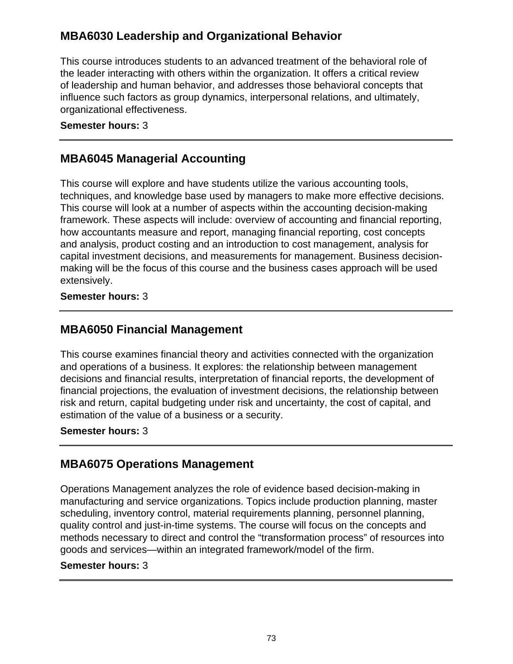# **MBA6030 Leadership and Organizational Behavior**

This course introduces students to an advanced treatment of the behavioral role of the leader interacting with others within the organization. It offers a critical review of leadership and human behavior, and addresses those behavioral concepts that influence such factors as group dynamics, interpersonal relations, and ultimately, organizational effectiveness.

#### **Semester hours:** 3

## **MBA6045 Managerial Accounting**

This course will explore and have students utilize the various accounting tools, techniques, and knowledge base used by managers to make more effective decisions. This course will look at a number of aspects within the accounting decision-making framework. These aspects will include: overview of accounting and financial reporting, how accountants measure and report, managing financial reporting, cost concepts and analysis, product costing and an introduction to cost management, analysis for capital investment decisions, and measurements for management. Business decisionmaking will be the focus of this course and the business cases approach will be used extensively.

### **Semester hours:** 3

## **MBA6050 Financial Management**

This course examines financial theory and activities connected with the organization and operations of a business. It explores: the relationship between management decisions and financial results, interpretation of financial reports, the development of financial projections, the evaluation of investment decisions, the relationship between risk and return, capital budgeting under risk and uncertainty, the cost of capital, and estimation of the value of a business or a security.

#### **Semester hours:** 3

## **MBA6075 Operations Management**

Operations Management analyzes the role of evidence based decision-making in manufacturing and service organizations. Topics include production planning, master scheduling, inventory control, material requirements planning, personnel planning, quality control and just-in-time systems. The course will focus on the concepts and methods necessary to direct and control the "transformation process" of resources into goods and services—within an integrated framework/model of the firm.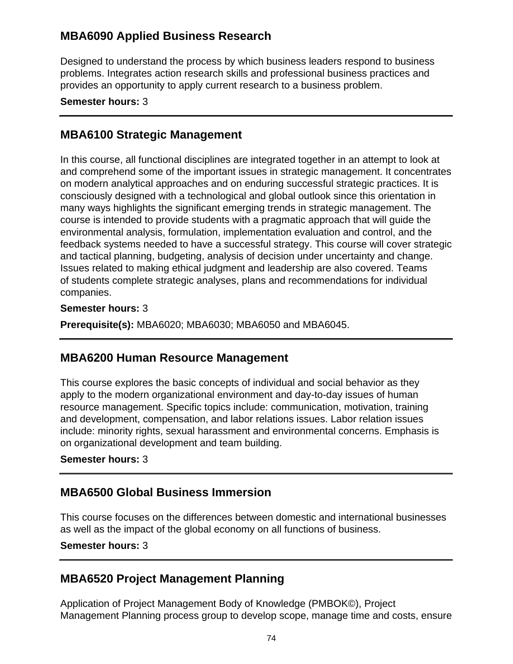# **MBA6090 Applied Business Research**

Designed to understand the process by which business leaders respond to business problems. Integrates action research skills and professional business practices and provides an opportunity to apply current research to a business problem.

#### **Semester hours:** 3

## **MBA6100 Strategic Management**

In this course, all functional disciplines are integrated together in an attempt to look at and comprehend some of the important issues in strategic management. It concentrates on modern analytical approaches and on enduring successful strategic practices. It is consciously designed with a technological and global outlook since this orientation in many ways highlights the significant emerging trends in strategic management. The course is intended to provide students with a pragmatic approach that will guide the environmental analysis, formulation, implementation evaluation and control, and the feedback systems needed to have a successful strategy. This course will cover strategic and tactical planning, budgeting, analysis of decision under uncertainty and change. Issues related to making ethical judgment and leadership are also covered. Teams of students complete strategic analyses, plans and recommendations for individual companies.

### **Semester hours:** 3

**Prerequisite(s):** MBA6020; MBA6030; MBA6050 and MBA6045.

## **MBA6200 Human Resource Management**

This course explores the basic concepts of individual and social behavior as they apply to the modern organizational environment and day-to-day issues of human resource management. Specific topics include: communication, motivation, training and development, compensation, and labor relations issues. Labor relation issues include: minority rights, sexual harassment and environmental concerns. Emphasis is on organizational development and team building.

### **Semester hours:** 3

## **MBA6500 Global Business Immersion**

This course focuses on the differences between domestic and international businesses as well as the impact of the global economy on all functions of business.

### **Semester hours:** 3

## **MBA6520 Project Management Planning**

Application of Project Management Body of Knowledge (PMBOK©), Project Management Planning process group to develop scope, manage time and costs, ensure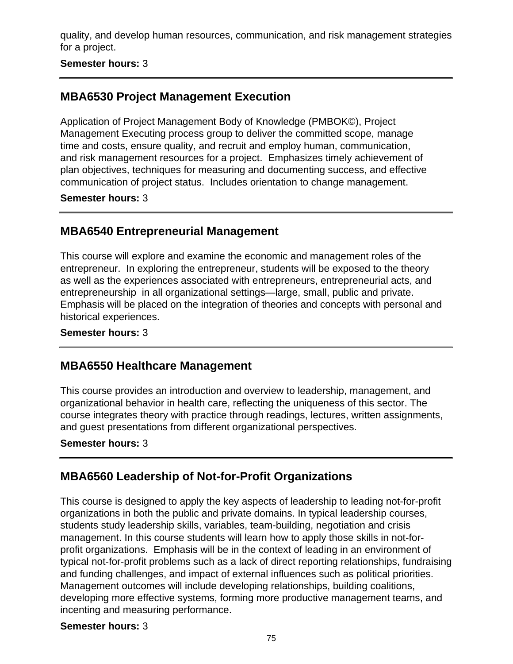quality, and develop human resources, communication, and risk management strategies for a project.

**Semester hours:** 3

# **MBA6530 Project Management Execution**

Application of Project Management Body of Knowledge (PMBOK©), Project Management Executing process group to deliver the committed scope, manage time and costs, ensure quality, and recruit and employ human, communication, and risk management resources for a project. Emphasizes timely achievement of plan objectives, techniques for measuring and documenting success, and effective communication of project status. Includes orientation to change management.

**Semester hours:** 3

# **MBA6540 Entrepreneurial Management**

This course will explore and examine the economic and management roles of the entrepreneur. In exploring the entrepreneur, students will be exposed to the theory as well as the experiences associated with entrepreneurs, entrepreneurial acts, and entrepreneurship in all organizational settings—large, small, public and private. Emphasis will be placed on the integration of theories and concepts with personal and historical experiences.

**Semester hours:** 3

## **MBA6550 Healthcare Management**

This course provides an introduction and overview to leadership, management, and organizational behavior in health care, reflecting the uniqueness of this sector. The course integrates theory with practice through readings, lectures, written assignments, and guest presentations from different organizational perspectives.

**Semester hours:** 3

# **MBA6560 Leadership of Not-for-Profit Organizations**

This course is designed to apply the key aspects of leadership to leading not-for-profit organizations in both the public and private domains. In typical leadership courses, students study leadership skills, variables, team-building, negotiation and crisis management. In this course students will learn how to apply those skills in not-forprofit organizations. Emphasis will be in the context of leading in an environment of typical not-for-profit problems such as a lack of direct reporting relationships, fundraising and funding challenges, and impact of external influences such as political priorities. Management outcomes will include developing relationships, building coalitions, developing more effective systems, forming more productive management teams, and incenting and measuring performance.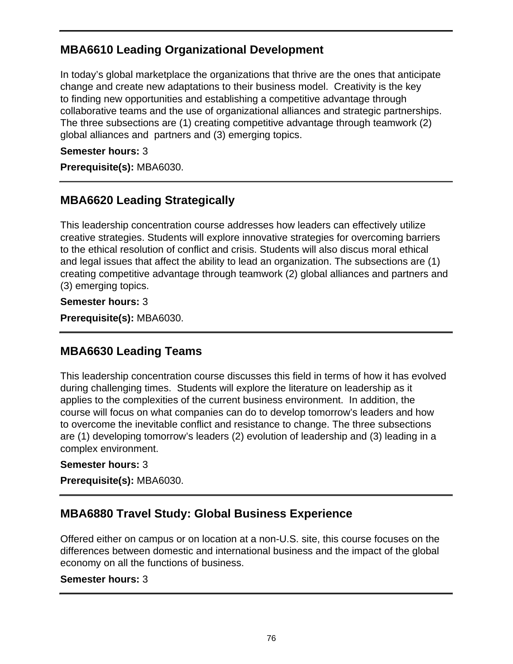# **MBA6610 Leading Organizational Development**

In today's global marketplace the organizations that thrive are the ones that anticipate change and create new adaptations to their business model. Creativity is the key to finding new opportunities and establishing a competitive advantage through collaborative teams and the use of organizational alliances and strategic partnerships. The three subsections are (1) creating competitive advantage through teamwork (2) global alliances and partners and (3) emerging topics.

**Semester hours:** 3

**Prerequisite(s):** MBA6030.

# **MBA6620 Leading Strategically**

This leadership concentration course addresses how leaders can effectively utilize creative strategies. Students will explore innovative strategies for overcoming barriers to the ethical resolution of conflict and crisis. Students will also discus moral ethical and legal issues that affect the ability to lead an organization. The subsections are (1) creating competitive advantage through teamwork (2) global alliances and partners and (3) emerging topics.

### **Semester hours:** 3

**Prerequisite(s):** MBA6030.

# **MBA6630 Leading Teams**

This leadership concentration course discusses this field in terms of how it has evolved during challenging times. Students will explore the literature on leadership as it applies to the complexities of the current business environment. In addition, the course will focus on what companies can do to develop tomorrow's leaders and how to overcome the inevitable conflict and resistance to change. The three subsections are (1) developing tomorrow's leaders (2) evolution of leadership and (3) leading in a complex environment.

### **Semester hours:** 3

**Prerequisite(s):** MBA6030.

# **MBA6880 Travel Study: Global Business Experience**

Offered either on campus or on location at a non-U.S. site, this course focuses on the differences between domestic and international business and the impact of the global economy on all the functions of business.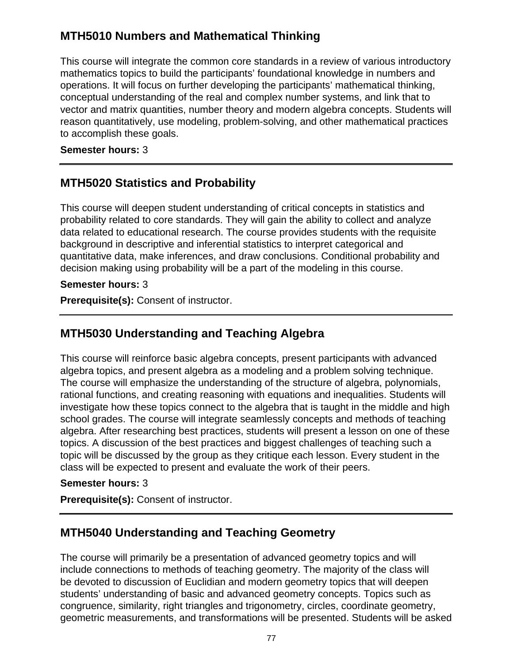# **MTH5010 Numbers and Mathematical Thinking**

This course will integrate the common core standards in a review of various introductory mathematics topics to build the participants' foundational knowledge in numbers and operations. It will focus on further developing the participants' mathematical thinking, conceptual understanding of the real and complex number systems, and link that to vector and matrix quantities, number theory and modern algebra concepts. Students will reason quantitatively, use modeling, problem-solving, and other mathematical practices to accomplish these goals.

**Semester hours:** 3

# **MTH5020 Statistics and Probability**

This course will deepen student understanding of critical concepts in statistics and probability related to core standards. They will gain the ability to collect and analyze data related to educational research. The course provides students with the requisite background in descriptive and inferential statistics to interpret categorical and quantitative data, make inferences, and draw conclusions. Conditional probability and decision making using probability will be a part of the modeling in this course.

### **Semester hours:** 3

**Prerequisite(s):** Consent of instructor.

# **MTH5030 Understanding and Teaching Algebra**

This course will reinforce basic algebra concepts, present participants with advanced algebra topics, and present algebra as a modeling and a problem solving technique. The course will emphasize the understanding of the structure of algebra, polynomials, rational functions, and creating reasoning with equations and inequalities. Students will investigate how these topics connect to the algebra that is taught in the middle and high school grades. The course will integrate seamlessly concepts and methods of teaching algebra. After researching best practices, students will present a lesson on one of these topics. A discussion of the best practices and biggest challenges of teaching such a topic will be discussed by the group as they critique each lesson. Every student in the class will be expected to present and evaluate the work of their peers.

## **Semester hours:** 3

**Prerequisite(s):** Consent of instructor.

# **MTH5040 Understanding and Teaching Geometry**

The course will primarily be a presentation of advanced geometry topics and will include connections to methods of teaching geometry. The majority of the class will be devoted to discussion of Euclidian and modern geometry topics that will deepen students' understanding of basic and advanced geometry concepts. Topics such as congruence, similarity, right triangles and trigonometry, circles, coordinate geometry, geometric measurements, and transformations will be presented. Students will be asked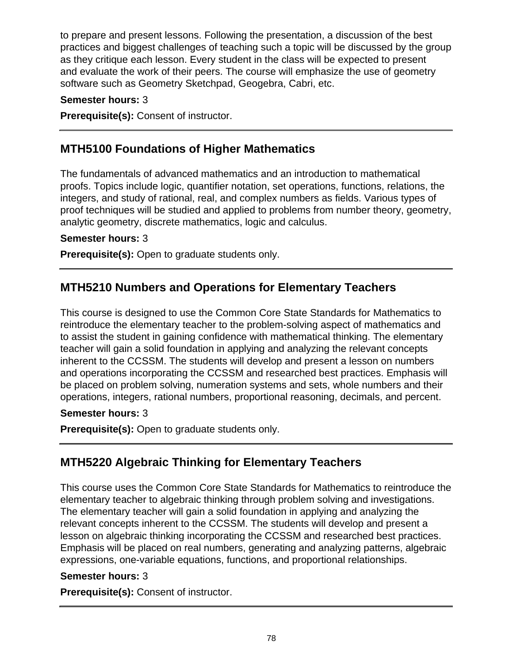to prepare and present lessons. Following the presentation, a discussion of the best practices and biggest challenges of teaching such a topic will be discussed by the group as they critique each lesson. Every student in the class will be expected to present and evaluate the work of their peers. The course will emphasize the use of geometry software such as Geometry Sketchpad, Geogebra, Cabri, etc.

### **Semester hours:** 3

**Prerequisite(s):** Consent of instructor.

# **MTH5100 Foundations of Higher Mathematics**

The fundamentals of advanced mathematics and an introduction to mathematical proofs. Topics include logic, quantifier notation, set operations, functions, relations, the integers, and study of rational, real, and complex numbers as fields. Various types of proof techniques will be studied and applied to problems from number theory, geometry, analytic geometry, discrete mathematics, logic and calculus.

### **Semester hours:** 3

**Prerequisite(s):** Open to graduate students only.

# **MTH5210 Numbers and Operations for Elementary Teachers**

This course is designed to use the Common Core State Standards for Mathematics to reintroduce the elementary teacher to the problem-solving aspect of mathematics and to assist the student in gaining confidence with mathematical thinking. The elementary teacher will gain a solid foundation in applying and analyzing the relevant concepts inherent to the CCSSM. The students will develop and present a lesson on numbers and operations incorporating the CCSSM and researched best practices. Emphasis will be placed on problem solving, numeration systems and sets, whole numbers and their operations, integers, rational numbers, proportional reasoning, decimals, and percent.

### **Semester hours:** 3

**Prerequisite(s):** Open to graduate students only.

# **MTH5220 Algebraic Thinking for Elementary Teachers**

This course uses the Common Core State Standards for Mathematics to reintroduce the elementary teacher to algebraic thinking through problem solving and investigations. The elementary teacher will gain a solid foundation in applying and analyzing the relevant concepts inherent to the CCSSM. The students will develop and present a lesson on algebraic thinking incorporating the CCSSM and researched best practices. Emphasis will be placed on real numbers, generating and analyzing patterns, algebraic expressions, one-variable equations, functions, and proportional relationships.

### **Semester hours:** 3

**Prerequisite(s):** Consent of instructor.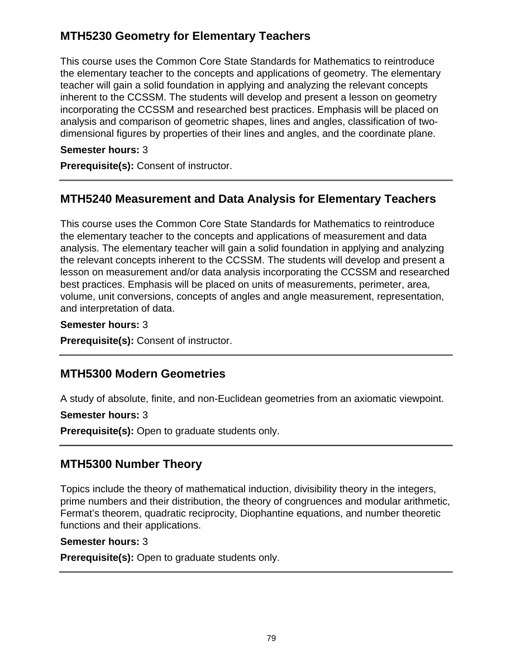# **MTH5230 Geometry for Elementary Teachers**

This course uses the Common Core State Standards for Mathematics to reintroduce the elementary teacher to the concepts and applications of geometry. The elementary teacher will gain a solid foundation in applying and analyzing the relevant concepts inherent to the CCSSM. The students will develop and present a lesson on geometry incorporating the CCSSM and researched best practices. Emphasis will be placed on analysis and comparison of geometric shapes, lines and angles, classification of twodimensional figures by properties of their lines and angles, and the coordinate plane.

### **Semester hours:** 3

**Prerequisite(s):** Consent of instructor.

# **MTH5240 Measurement and Data Analysis for Elementary Teachers**

This course uses the Common Core State Standards for Mathematics to reintroduce the elementary teacher to the concepts and applications of measurement and data analysis. The elementary teacher will gain a solid foundation in applying and analyzing the relevant concepts inherent to the CCSSM. The students will develop and present a lesson on measurement and/or data analysis incorporating the CCSSM and researched best practices. Emphasis will be placed on units of measurements, perimeter, area, volume, unit conversions, concepts of angles and angle measurement, representation, and interpretation of data.

**Semester hours:** 3

**Prerequisite(s):** Consent of instructor.

# **MTH5300 Modern Geometries**

A study of absolute, finite, and non-Euclidean geometries from an axiomatic viewpoint.

### **Semester hours:** 3

**Prerequisite(s):** Open to graduate students only.

# **MTH5300 Number Theory**

Topics include the theory of mathematical induction, divisibility theory in the integers, prime numbers and their distribution, the theory of congruences and modular arithmetic, Fermat's theorem, quadratic reciprocity, Diophantine equations, and number theoretic functions and their applications.

### **Semester hours:** 3

**Prerequisite(s):** Open to graduate students only.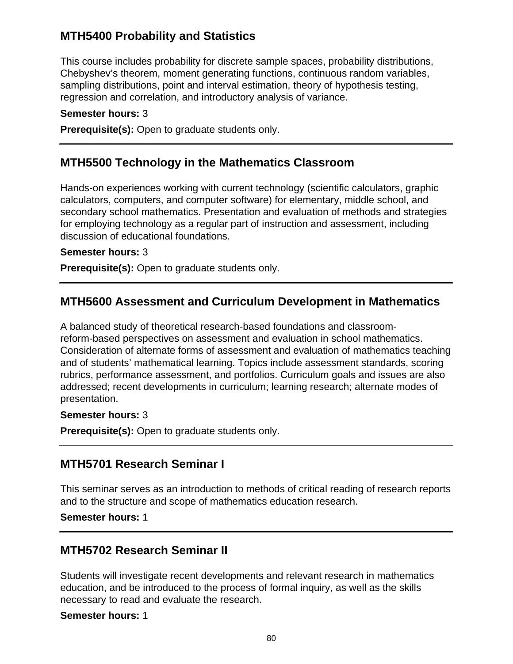# **MTH5400 Probability and Statistics**

This course includes probability for discrete sample spaces, probability distributions, Chebyshev's theorem, moment generating functions, continuous random variables, sampling distributions, point and interval estimation, theory of hypothesis testing, regression and correlation, and introductory analysis of variance.

#### **Semester hours:** 3

**Prerequisite(s):** Open to graduate students only.

## **MTH5500 Technology in the Mathematics Classroom**

Hands-on experiences working with current technology (scientific calculators, graphic calculators, computers, and computer software) for elementary, middle school, and secondary school mathematics. Presentation and evaluation of methods and strategies for employing technology as a regular part of instruction and assessment, including discussion of educational foundations.

#### **Semester hours:** 3

**Prerequisite(s):** Open to graduate students only.

## **MTH5600 Assessment and Curriculum Development in Mathematics**

A balanced study of theoretical research-based foundations and classroomreform-based perspectives on assessment and evaluation in school mathematics. Consideration of alternate forms of assessment and evaluation of mathematics teaching and of students' mathematical learning. Topics include assessment standards, scoring rubrics, performance assessment, and portfolios. Curriculum goals and issues are also addressed; recent developments in curriculum; learning research; alternate modes of presentation.

#### **Semester hours:** 3

**Prerequisite(s):** Open to graduate students only.

## **MTH5701 Research Seminar I**

This seminar serves as an introduction to methods of critical reading of research reports and to the structure and scope of mathematics education research.

**Semester hours:** 1

## **MTH5702 Research Seminar II**

Students will investigate recent developments and relevant research in mathematics education, and be introduced to the process of formal inquiry, as well as the skills necessary to read and evaluate the research.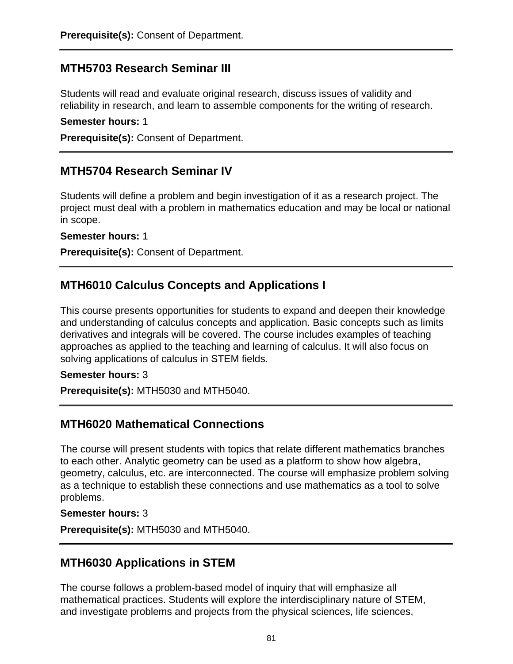## **MTH5703 Research Seminar III**

Students will read and evaluate original research, discuss issues of validity and reliability in research, and learn to assemble components for the writing of research.

#### **Semester hours:** 1

**Prerequisite(s):** Consent of Department.

## **MTH5704 Research Seminar IV**

Students will define a problem and begin investigation of it as a research project. The project must deal with a problem in mathematics education and may be local or national in scope.

**Semester hours:** 1

**Prerequisite(s):** Consent of Department.

## **MTH6010 Calculus Concepts and Applications I**

This course presents opportunities for students to expand and deepen their knowledge and understanding of calculus concepts and application. Basic concepts such as limits derivatives and integrals will be covered. The course includes examples of teaching approaches as applied to the teaching and learning of calculus. It will also focus on solving applications of calculus in STEM fields.

### **Semester hours:** 3

**Prerequisite(s):** MTH5030 and MTH5040.

## **MTH6020 Mathematical Connections**

The course will present students with topics that relate different mathematics branches to each other. Analytic geometry can be used as a platform to show how algebra, geometry, calculus, etc. are interconnected. The course will emphasize problem solving as a technique to establish these connections and use mathematics as a tool to solve problems.

### **Semester hours:** 3

**Prerequisite(s):** MTH5030 and MTH5040.

## **MTH6030 Applications in STEM**

The course follows a problem-based model of inquiry that will emphasize all mathematical practices. Students will explore the interdisciplinary nature of STEM, and investigate problems and projects from the physical sciences, life sciences,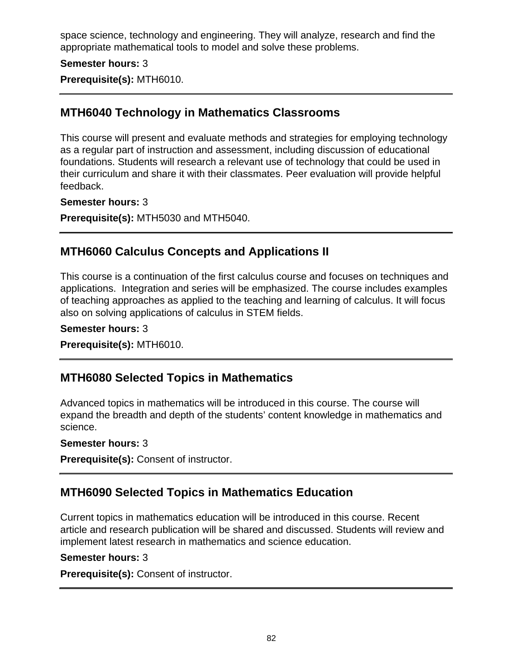space science, technology and engineering. They will analyze, research and find the appropriate mathematical tools to model and solve these problems.

### **Semester hours:** 3

**Prerequisite(s):** MTH6010.

# **MTH6040 Technology in Mathematics Classrooms**

This course will present and evaluate methods and strategies for employing technology as a regular part of instruction and assessment, including discussion of educational foundations. Students will research a relevant use of technology that could be used in their curriculum and share it with their classmates. Peer evaluation will provide helpful feedback.

### **Semester hours:** 3

**Prerequisite(s):** MTH5030 and MTH5040.

## **MTH6060 Calculus Concepts and Applications II**

This course is a continuation of the first calculus course and focuses on techniques and applications. Integration and series will be emphasized. The course includes examples of teaching approaches as applied to the teaching and learning of calculus. It will focus also on solving applications of calculus in STEM fields.

### **Semester hours:** 3

**Prerequisite(s):** MTH6010.

## **MTH6080 Selected Topics in Mathematics**

Advanced topics in mathematics will be introduced in this course. The course will expand the breadth and depth of the students' content knowledge in mathematics and science.

### **Semester hours:** 3

**Prerequisite(s):** Consent of instructor.

# **MTH6090 Selected Topics in Mathematics Education**

Current topics in mathematics education will be introduced in this course. Recent article and research publication will be shared and discussed. Students will review and implement latest research in mathematics and science education.

### **Semester hours:** 3

**Prerequisite(s):** Consent of instructor.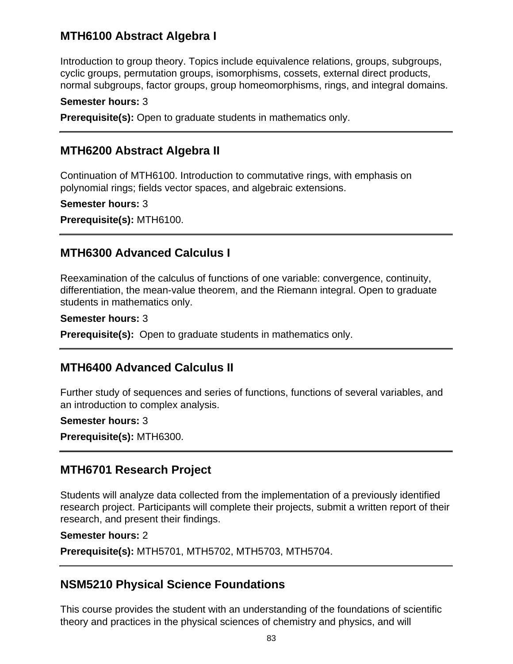## **MTH6100 Abstract Algebra I**

Introduction to group theory. Topics include equivalence relations, groups, subgroups, cyclic groups, permutation groups, isomorphisms, cossets, external direct products, normal subgroups, factor groups, group homeomorphisms, rings, and integral domains.

### **Semester hours:** 3

**Prerequisite(s):** Open to graduate students in mathematics only.

## **MTH6200 Abstract Algebra II**

Continuation of MTH6100. Introduction to commutative rings, with emphasis on polynomial rings; fields vector spaces, and algebraic extensions.

#### **Semester hours:** 3

**Prerequisite(s):** MTH6100.

## **MTH6300 Advanced Calculus I**

Reexamination of the calculus of functions of one variable: convergence, continuity, differentiation, the mean-value theorem, and the Riemann integral. Open to graduate students in mathematics only.

#### **Semester hours:** 3

**Prerequisite(s):** Open to graduate students in mathematics only.

## **MTH6400 Advanced Calculus II**

Further study of sequences and series of functions, functions of several variables, and an introduction to complex analysis.

### **Semester hours:** 3

**Prerequisite(s):** MTH6300.

## **MTH6701 Research Project**

Students will analyze data collected from the implementation of a previously identified research project. Participants will complete their projects, submit a written report of their research, and present their findings.

#### **Semester hours:** 2

**Prerequisite(s):** MTH5701, MTH5702, MTH5703, MTH5704.

## **NSM5210 Physical Science Foundations**

This course provides the student with an understanding of the foundations of scientific theory and practices in the physical sciences of chemistry and physics, and will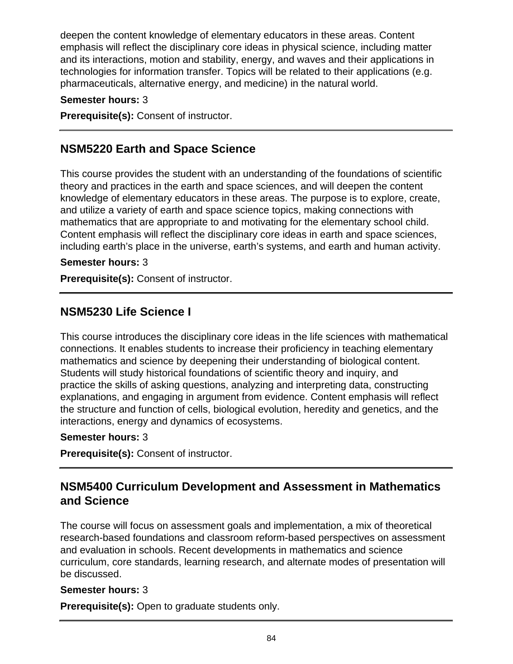deepen the content knowledge of elementary educators in these areas. Content emphasis will reflect the disciplinary core ideas in physical science, including matter and its interactions, motion and stability, energy, and waves and their applications in technologies for information transfer. Topics will be related to their applications (e.g. pharmaceuticals, alternative energy, and medicine) in the natural world.

### **Semester hours:** 3

**Prerequisite(s):** Consent of instructor.

# **NSM5220 Earth and Space Science**

This course provides the student with an understanding of the foundations of scientific theory and practices in the earth and space sciences, and will deepen the content knowledge of elementary educators in these areas. The purpose is to explore, create, and utilize a variety of earth and space science topics, making connections with mathematics that are appropriate to and motivating for the elementary school child. Content emphasis will reflect the disciplinary core ideas in earth and space sciences, including earth's place in the universe, earth's systems, and earth and human activity.

### **Semester hours:** 3

**Prerequisite(s):** Consent of instructor.

## **NSM5230 Life Science I**

This course introduces the disciplinary core ideas in the life sciences with mathematical connections. It enables students to increase their proficiency in teaching elementary mathematics and science by deepening their understanding of biological content. Students will study historical foundations of scientific theory and inquiry, and practice the skills of asking questions, analyzing and interpreting data, constructing explanations, and engaging in argument from evidence. Content emphasis will reflect the structure and function of cells, biological evolution, heredity and genetics, and the interactions, energy and dynamics of ecosystems.

### **Semester hours:** 3

**Prerequisite(s):** Consent of instructor.

# **NSM5400 Curriculum Development and Assessment in Mathematics and Science**

The course will focus on assessment goals and implementation, a mix of theoretical research-based foundations and classroom reform-based perspectives on assessment and evaluation in schools. Recent developments in mathematics and science curriculum, core standards, learning research, and alternate modes of presentation will be discussed.

### **Semester hours:** 3

**Prerequisite(s):** Open to graduate students only.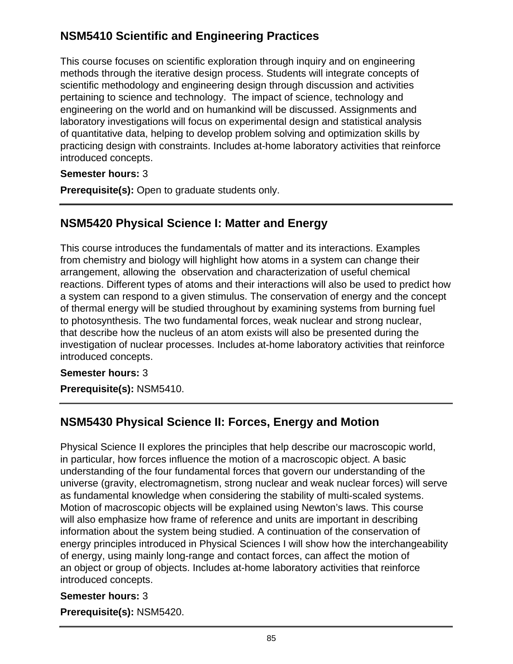# **NSM5410 Scientific and Engineering Practices**

This course focuses on scientific exploration through inquiry and on engineering methods through the iterative design process. Students will integrate concepts of scientific methodology and engineering design through discussion and activities pertaining to science and technology. The impact of science, technology and engineering on the world and on humankind will be discussed. Assignments and laboratory investigations will focus on experimental design and statistical analysis of quantitative data, helping to develop problem solving and optimization skills by practicing design with constraints. Includes at-home laboratory activities that reinforce introduced concepts.

## **Semester hours:** 3

**Prerequisite(s):** Open to graduate students only.

# **NSM5420 Physical Science I: Matter and Energy**

This course introduces the fundamentals of matter and its interactions. Examples from chemistry and biology will highlight how atoms in a system can change their arrangement, allowing the observation and characterization of useful chemical reactions. Different types of atoms and their interactions will also be used to predict how a system can respond to a given stimulus. The conservation of energy and the concept of thermal energy will be studied throughout by examining systems from burning fuel to photosynthesis. The two fundamental forces, weak nuclear and strong nuclear, that describe how the nucleus of an atom exists will also be presented during the investigation of nuclear processes. Includes at-home laboratory activities that reinforce introduced concepts.

## **Semester hours:** 3

**Prerequisite(s):** NSM5410.

# **NSM5430 Physical Science II: Forces, Energy and Motion**

Physical Science II explores the principles that help describe our macroscopic world, in particular, how forces influence the motion of a macroscopic object. A basic understanding of the four fundamental forces that govern our understanding of the universe (gravity, electromagnetism, strong nuclear and weak nuclear forces) will serve as fundamental knowledge when considering the stability of multi-scaled systems. Motion of macroscopic objects will be explained using Newton's laws. This course will also emphasize how frame of reference and units are important in describing information about the system being studied. A continuation of the conservation of energy principles introduced in Physical Sciences I will show how the interchangeability of energy, using mainly long-range and contact forces, can affect the motion of an object or group of objects. Includes at-home laboratory activities that reinforce introduced concepts.

## **Semester hours:** 3

**Prerequisite(s):** NSM5420.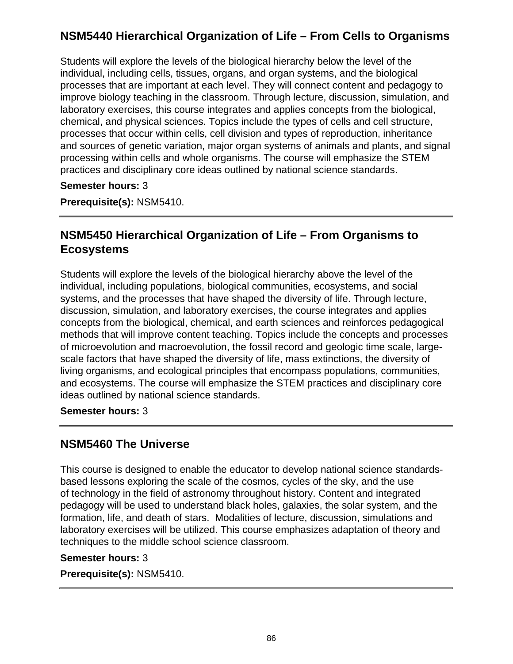# **NSM5440 Hierarchical Organization of Life – From Cells to Organisms**

Students will explore the levels of the biological hierarchy below the level of the individual, including cells, tissues, organs, and organ systems, and the biological processes that are important at each level. They will connect content and pedagogy to improve biology teaching in the classroom. Through lecture, discussion, simulation, and laboratory exercises, this course integrates and applies concepts from the biological, chemical, and physical sciences. Topics include the types of cells and cell structure, processes that occur within cells, cell division and types of reproduction, inheritance and sources of genetic variation, major organ systems of animals and plants, and signal processing within cells and whole organisms. The course will emphasize the STEM practices and disciplinary core ideas outlined by national science standards.

### **Semester hours:** 3

**Prerequisite(s):** NSM5410.

# **NSM5450 Hierarchical Organization of Life – From Organisms to Ecosystems**

Students will explore the levels of the biological hierarchy above the level of the individual, including populations, biological communities, ecosystems, and social systems, and the processes that have shaped the diversity of life. Through lecture, discussion, simulation, and laboratory exercises, the course integrates and applies concepts from the biological, chemical, and earth sciences and reinforces pedagogical methods that will improve content teaching. Topics include the concepts and processes of microevolution and macroevolution, the fossil record and geologic time scale, largescale factors that have shaped the diversity of life, mass extinctions, the diversity of living organisms, and ecological principles that encompass populations, communities, and ecosystems. The course will emphasize the STEM practices and disciplinary core ideas outlined by national science standards.

**Semester hours:** 3

# **NSM5460 The Universe**

This course is designed to enable the educator to develop national science standardsbased lessons exploring the scale of the cosmos, cycles of the sky, and the use of technology in the field of astronomy throughout history. Content and integrated pedagogy will be used to understand black holes, galaxies, the solar system, and the formation, life, and death of stars. Modalities of lecture, discussion, simulations and laboratory exercises will be utilized. This course emphasizes adaptation of theory and techniques to the middle school science classroom.

### **Semester hours:** 3

**Prerequisite(s):** NSM5410.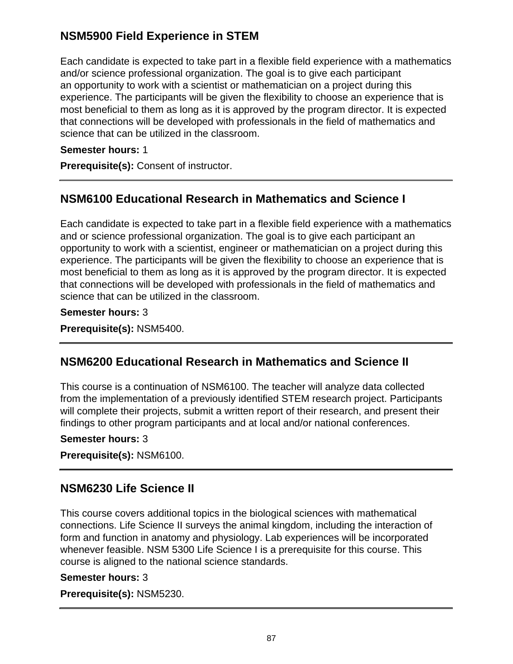# **NSM5900 Field Experience in STEM**

Each candidate is expected to take part in a flexible field experience with a mathematics and/or science professional organization. The goal is to give each participant an opportunity to work with a scientist or mathematician on a project during this experience. The participants will be given the flexibility to choose an experience that is most beneficial to them as long as it is approved by the program director. It is expected that connections will be developed with professionals in the field of mathematics and science that can be utilized in the classroom.

## **Semester hours:** 1

**Prerequisite(s):** Consent of instructor.

# **NSM6100 Educational Research in Mathematics and Science I**

Each candidate is expected to take part in a flexible field experience with a mathematics and or science professional organization. The goal is to give each participant an opportunity to work with a scientist, engineer or mathematician on a project during this experience. The participants will be given the flexibility to choose an experience that is most beneficial to them as long as it is approved by the program director. It is expected that connections will be developed with professionals in the field of mathematics and science that can be utilized in the classroom.

## **Semester hours:** 3

**Prerequisite(s):** NSM5400.

# **NSM6200 Educational Research in Mathematics and Science II**

This course is a continuation of NSM6100. The teacher will analyze data collected from the implementation of a previously identified STEM research project. Participants will complete their projects, submit a written report of their research, and present their findings to other program participants and at local and/or national conferences.

## **Semester hours:** 3

**Prerequisite(s):** NSM6100.

# **NSM6230 Life Science II**

This course covers additional topics in the biological sciences with mathematical connections. Life Science II surveys the animal kingdom, including the interaction of form and function in anatomy and physiology. Lab experiences will be incorporated whenever feasible. NSM 5300 Life Science I is a prerequisite for this course. This course is aligned to the national science standards.

## **Semester hours:** 3

**Prerequisite(s):** NSM5230.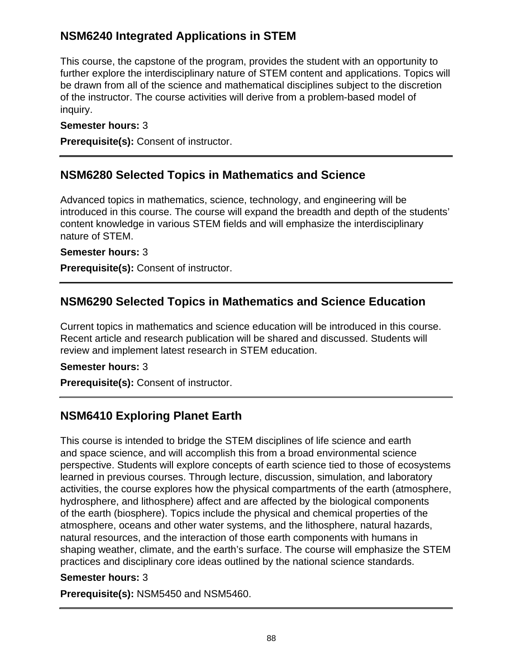# **NSM6240 Integrated Applications in STEM**

This course, the capstone of the program, provides the student with an opportunity to further explore the interdisciplinary nature of STEM content and applications. Topics will be drawn from all of the science and mathematical disciplines subject to the discretion of the instructor. The course activities will derive from a problem-based model of inquiry.

## **Semester hours:** 3

**Prerequisite(s):** Consent of instructor.

# **NSM6280 Selected Topics in Mathematics and Science**

Advanced topics in mathematics, science, technology, and engineering will be introduced in this course. The course will expand the breadth and depth of the students' content knowledge in various STEM fields and will emphasize the interdisciplinary nature of STEM.

## **Semester hours:** 3

**Prerequisite(s):** Consent of instructor.

# **NSM6290 Selected Topics in Mathematics and Science Education**

Current topics in mathematics and science education will be introduced in this course. Recent article and research publication will be shared and discussed. Students will review and implement latest research in STEM education.

## **Semester hours:** 3

**Prerequisite(s):** Consent of instructor.

# **NSM6410 Exploring Planet Earth**

This course is intended to bridge the STEM disciplines of life science and earth and space science, and will accomplish this from a broad environmental science perspective. Students will explore concepts of earth science tied to those of ecosystems learned in previous courses. Through lecture, discussion, simulation, and laboratory activities, the course explores how the physical compartments of the earth (atmosphere, hydrosphere, and lithosphere) affect and are affected by the biological components of the earth (biosphere). Topics include the physical and chemical properties of the atmosphere, oceans and other water systems, and the lithosphere, natural hazards, natural resources, and the interaction of those earth components with humans in shaping weather, climate, and the earth's surface. The course will emphasize the STEM practices and disciplinary core ideas outlined by the national science standards.

## **Semester hours:** 3

**Prerequisite(s):** NSM5450 and NSM5460.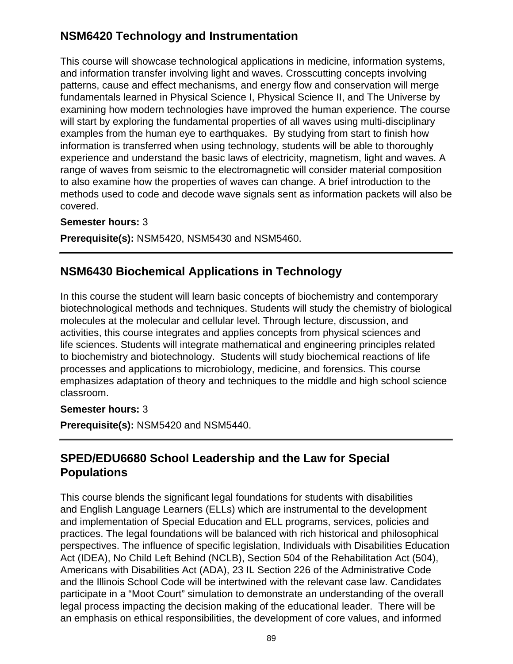# **NSM6420 Technology and Instrumentation**

This course will showcase technological applications in medicine, information systems, and information transfer involving light and waves. Crosscutting concepts involving patterns, cause and effect mechanisms, and energy flow and conservation will merge fundamentals learned in Physical Science I, Physical Science II, and The Universe by examining how modern technologies have improved the human experience. The course will start by exploring the fundamental properties of all waves using multi-disciplinary examples from the human eye to earthquakes. By studying from start to finish how information is transferred when using technology, students will be able to thoroughly experience and understand the basic laws of electricity, magnetism, light and waves. A range of waves from seismic to the electromagnetic will consider material composition to also examine how the properties of waves can change. A brief introduction to the methods used to code and decode wave signals sent as information packets will also be covered.

### **Semester hours:** 3

**Prerequisite(s):** NSM5420, NSM5430 and NSM5460.

# **NSM6430 Biochemical Applications in Technology**

In this course the student will learn basic concepts of biochemistry and contemporary biotechnological methods and techniques. Students will study the chemistry of biological molecules at the molecular and cellular level. Through lecture, discussion, and activities, this course integrates and applies concepts from physical sciences and life sciences. Students will integrate mathematical and engineering principles related to biochemistry and biotechnology. Students will study biochemical reactions of life processes and applications to microbiology, medicine, and forensics. This course emphasizes adaptation of theory and techniques to the middle and high school science classroom.

### **Semester hours:** 3

**Prerequisite(s):** NSM5420 and NSM5440.

# **SPED/EDU6680 School Leadership and the Law for Special Populations**

This course blends the significant legal foundations for students with disabilities and English Language Learners (ELLs) which are instrumental to the development and implementation of Special Education and ELL programs, services, policies and practices. The legal foundations will be balanced with rich historical and philosophical perspectives. The influence of specific legislation, Individuals with Disabilities Education Act (IDEA), No Child Left Behind (NCLB), Section 504 of the Rehabilitation Act (504), Americans with Disabilities Act (ADA), 23 IL Section 226 of the Administrative Code and the Illinois School Code will be intertwined with the relevant case law. Candidates participate in a "Moot Court" simulation to demonstrate an understanding of the overall legal process impacting the decision making of the educational leader. There will be an emphasis on ethical responsibilities, the development of core values, and informed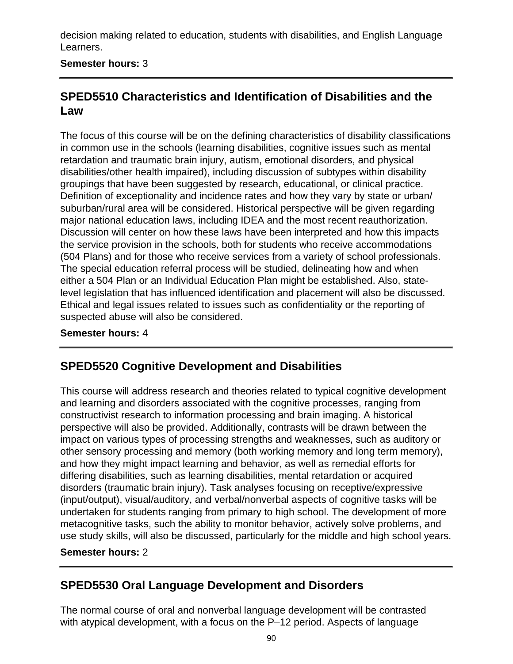decision making related to education, students with disabilities, and English Language Learners.

## **Semester hours:** 3

# **SPED5510 Characteristics and Identification of Disabilities and the Law**

The focus of this course will be on the defining characteristics of disability classifications in common use in the schools (learning disabilities, cognitive issues such as mental retardation and traumatic brain injury, autism, emotional disorders, and physical disabilities/other health impaired), including discussion of subtypes within disability groupings that have been suggested by research, educational, or clinical practice. Definition of exceptionality and incidence rates and how they vary by state or urban/ suburban/rural area will be considered. Historical perspective will be given regarding major national education laws, including IDEA and the most recent reauthorization. Discussion will center on how these laws have been interpreted and how this impacts the service provision in the schools, both for students who receive accommodations (504 Plans) and for those who receive services from a variety of school professionals. The special education referral process will be studied, delineating how and when either a 504 Plan or an Individual Education Plan might be established. Also, statelevel legislation that has influenced identification and placement will also be discussed. Ethical and legal issues related to issues such as confidentiality or the reporting of suspected abuse will also be considered.

### **Semester hours:** 4

# **SPED5520 Cognitive Development and Disabilities**

This course will address research and theories related to typical cognitive development and learning and disorders associated with the cognitive processes, ranging from constructivist research to information processing and brain imaging. A historical perspective will also be provided. Additionally, contrasts will be drawn between the impact on various types of processing strengths and weaknesses, such as auditory or other sensory processing and memory (both working memory and long term memory), and how they might impact learning and behavior, as well as remedial efforts for differing disabilities, such as learning disabilities, mental retardation or acquired disorders (traumatic brain injury). Task analyses focusing on receptive/expressive (input/output), visual/auditory, and verbal/nonverbal aspects of cognitive tasks will be undertaken for students ranging from primary to high school. The development of more metacognitive tasks, such the ability to monitor behavior, actively solve problems, and use study skills, will also be discussed, particularly for the middle and high school years.

### **Semester hours:** 2

# **SPED5530 Oral Language Development and Disorders**

The normal course of oral and nonverbal language development will be contrasted with atypical development, with a focus on the P-12 period. Aspects of language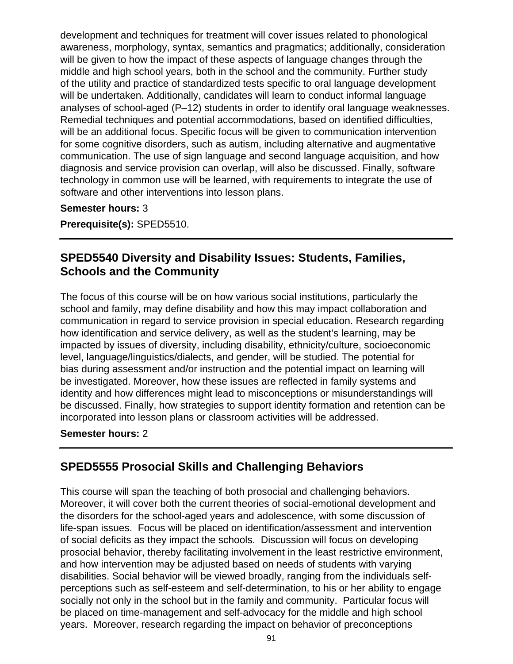development and techniques for treatment will cover issues related to phonological awareness, morphology, syntax, semantics and pragmatics; additionally, consideration will be given to how the impact of these aspects of language changes through the middle and high school years, both in the school and the community. Further study of the utility and practice of standardized tests specific to oral language development will be undertaken. Additionally, candidates will learn to conduct informal language analyses of school-aged (P–12) students in order to identify oral language weaknesses. Remedial techniques and potential accommodations, based on identified difficulties, will be an additional focus. Specific focus will be given to communication intervention for some cognitive disorders, such as autism, including alternative and augmentative communication. The use of sign language and second language acquisition, and how diagnosis and service provision can overlap, will also be discussed. Finally, software technology in common use will be learned, with requirements to integrate the use of software and other interventions into lesson plans.

#### **Semester hours:** 3

**Prerequisite(s):** SPED5510.

# **SPED5540 Diversity and Disability Issues: Students, Families, Schools and the Community**

The focus of this course will be on how various social institutions, particularly the school and family, may define disability and how this may impact collaboration and communication in regard to service provision in special education. Research regarding how identification and service delivery, as well as the student's learning, may be impacted by issues of diversity, including disability, ethnicity/culture, socioeconomic level, language/linguistics/dialects, and gender, will be studied. The potential for bias during assessment and/or instruction and the potential impact on learning will be investigated. Moreover, how these issues are reflected in family systems and identity and how differences might lead to misconceptions or misunderstandings will be discussed. Finally, how strategies to support identity formation and retention can be incorporated into lesson plans or classroom activities will be addressed.

### **Semester hours:** 2

# **SPED5555 Prosocial Skills and Challenging Behaviors**

This course will span the teaching of both prosocial and challenging behaviors. Moreover, it will cover both the current theories of social-emotional development and the disorders for the school-aged years and adolescence, with some discussion of life-span issues. Focus will be placed on identification/assessment and intervention of social deficits as they impact the schools. Discussion will focus on developing prosocial behavior, thereby facilitating involvement in the least restrictive environment, and how intervention may be adjusted based on needs of students with varying disabilities. Social behavior will be viewed broadly, ranging from the individuals selfperceptions such as self-esteem and self-determination, to his or her ability to engage socially not only in the school but in the family and community. Particular focus will be placed on time-management and self-advocacy for the middle and high school years. Moreover, research regarding the impact on behavior of preconceptions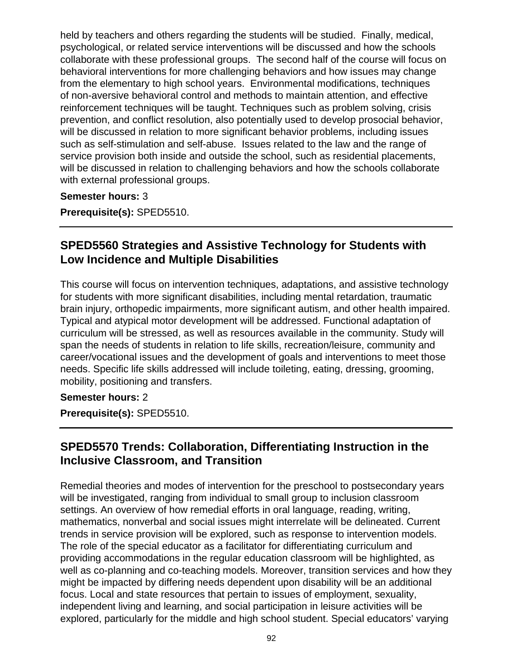held by teachers and others regarding the students will be studied. Finally, medical, psychological, or related service interventions will be discussed and how the schools collaborate with these professional groups. The second half of the course will focus on behavioral interventions for more challenging behaviors and how issues may change from the elementary to high school years. Environmental modifications, techniques of non-aversive behavioral control and methods to maintain attention, and effective reinforcement techniques will be taught. Techniques such as problem solving, crisis prevention, and conflict resolution, also potentially used to develop prosocial behavior, will be discussed in relation to more significant behavior problems, including issues such as self-stimulation and self-abuse. Issues related to the law and the range of service provision both inside and outside the school, such as residential placements, will be discussed in relation to challenging behaviors and how the schools collaborate with external professional groups.

**Semester hours:** 3

**Prerequisite(s):** SPED5510.

# **SPED5560 Strategies and Assistive Technology for Students with Low Incidence and Multiple Disabilities**

This course will focus on intervention techniques, adaptations, and assistive technology for students with more significant disabilities, including mental retardation, traumatic brain injury, orthopedic impairments, more significant autism, and other health impaired. Typical and atypical motor development will be addressed. Functional adaptation of curriculum will be stressed, as well as resources available in the community. Study will span the needs of students in relation to life skills, recreation/leisure, community and career/vocational issues and the development of goals and interventions to meet those needs. Specific life skills addressed will include toileting, eating, dressing, grooming, mobility, positioning and transfers.

## **Semester hours:** 2

**Prerequisite(s):** SPED5510.

# **SPED5570 Trends: Collaboration, Differentiating Instruction in the Inclusive Classroom, and Transition**

Remedial theories and modes of intervention for the preschool to postsecondary years will be investigated, ranging from individual to small group to inclusion classroom settings. An overview of how remedial efforts in oral language, reading, writing, mathematics, nonverbal and social issues might interrelate will be delineated. Current trends in service provision will be explored, such as response to intervention models. The role of the special educator as a facilitator for differentiating curriculum and providing accommodations in the regular education classroom will be highlighted, as well as co-planning and co-teaching models. Moreover, transition services and how they might be impacted by differing needs dependent upon disability will be an additional focus. Local and state resources that pertain to issues of employment, sexuality, independent living and learning, and social participation in leisure activities will be explored, particularly for the middle and high school student. Special educators' varying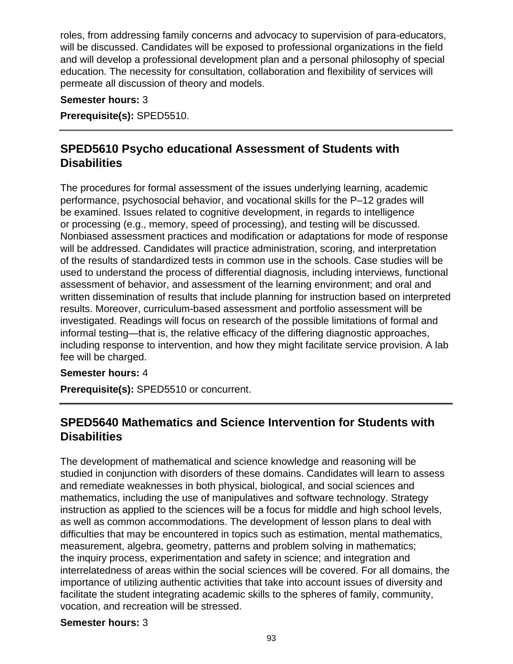roles, from addressing family concerns and advocacy to supervision of para-educators, will be discussed. Candidates will be exposed to professional organizations in the field and will develop a professional development plan and a personal philosophy of special education. The necessity for consultation, collaboration and flexibility of services will permeate all discussion of theory and models.

### **Semester hours:** 3

**Prerequisite(s):** SPED5510.

# **SPED5610 Psycho educational Assessment of Students with Disabilities**

The procedures for formal assessment of the issues underlying learning, academic performance, psychosocial behavior, and vocational skills for the P–12 grades will be examined. Issues related to cognitive development, in regards to intelligence or processing (e.g., memory, speed of processing), and testing will be discussed. Nonbiased assessment practices and modification or adaptations for mode of response will be addressed. Candidates will practice administration, scoring, and interpretation of the results of standardized tests in common use in the schools. Case studies will be used to understand the process of differential diagnosis, including interviews, functional assessment of behavior, and assessment of the learning environment; and oral and written dissemination of results that include planning for instruction based on interpreted results. Moreover, curriculum-based assessment and portfolio assessment will be investigated. Readings will focus on research of the possible limitations of formal and informal testing—that is, the relative efficacy of the differing diagnostic approaches, including response to intervention, and how they might facilitate service provision. A lab fee will be charged.

### **Semester hours:** 4

**Prerequisite(s):** SPED5510 or concurrent.

# **SPED5640 Mathematics and Science Intervention for Students with Disabilities**

The development of mathematical and science knowledge and reasoning will be studied in conjunction with disorders of these domains. Candidates will learn to assess and remediate weaknesses in both physical, biological, and social sciences and mathematics, including the use of manipulatives and software technology. Strategy instruction as applied to the sciences will be a focus for middle and high school levels, as well as common accommodations. The development of lesson plans to deal with difficulties that may be encountered in topics such as estimation, mental mathematics, measurement, algebra, geometry, patterns and problem solving in mathematics; the inquiry process, experimentation and safety in science; and integration and interrelatedness of areas within the social sciences will be covered. For all domains, the importance of utilizing authentic activities that take into account issues of diversity and facilitate the student integrating academic skills to the spheres of family, community, vocation, and recreation will be stressed.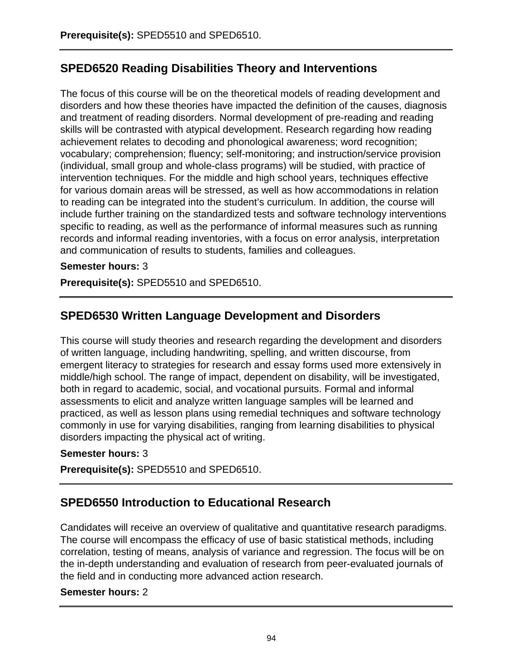# **SPED6520 Reading Disabilities Theory and Interventions**

The focus of this course will be on the theoretical models of reading development and disorders and how these theories have impacted the definition of the causes, diagnosis and treatment of reading disorders. Normal development of pre-reading and reading skills will be contrasted with atypical development. Research regarding how reading achievement relates to decoding and phonological awareness; word recognition; vocabulary; comprehension; fluency; self-monitoring; and instruction/service provision (individual, small group and whole-class programs) will be studied, with practice of intervention techniques. For the middle and high school years, techniques effective for various domain areas will be stressed, as well as how accommodations in relation to reading can be integrated into the student's curriculum. In addition, the course will include further training on the standardized tests and software technology interventions specific to reading, as well as the performance of informal measures such as running records and informal reading inventories, with a focus on error analysis, interpretation and communication of results to students, families and colleagues.

## **Semester hours:** 3

**Prerequisite(s):** SPED5510 and SPED6510.

# **SPED6530 Written Language Development and Disorders**

This course will study theories and research regarding the development and disorders of written language, including handwriting, spelling, and written discourse, from emergent literacy to strategies for research and essay forms used more extensively in middle/high school. The range of impact, dependent on disability, will be investigated, both in regard to academic, social, and vocational pursuits. Formal and informal assessments to elicit and analyze written language samples will be learned and practiced, as well as lesson plans using remedial techniques and software technology commonly in use for varying disabilities, ranging from learning disabilities to physical disorders impacting the physical act of writing.

## **Semester hours:** 3

**Prerequisite(s):** SPED5510 and SPED6510.

# **SPED6550 Introduction to Educational Research**

Candidates will receive an overview of qualitative and quantitative research paradigms. The course will encompass the efficacy of use of basic statistical methods, including correlation, testing of means, analysis of variance and regression. The focus will be on the in-depth understanding and evaluation of research from peer-evaluated journals of the field and in conducting more advanced action research.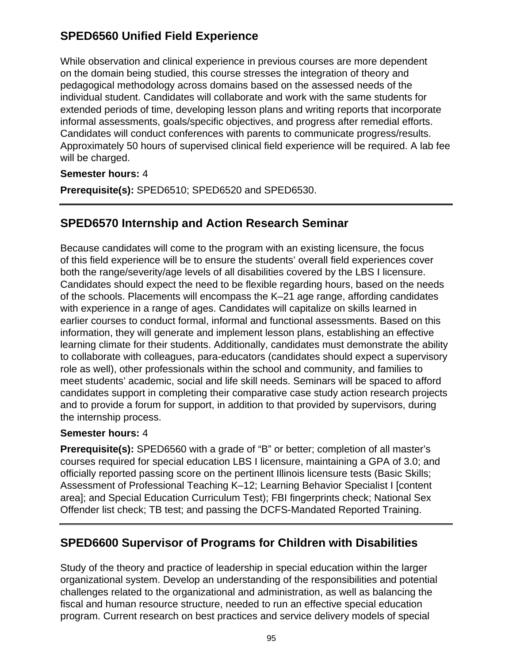# **SPED6560 Unified Field Experience**

While observation and clinical experience in previous courses are more dependent on the domain being studied, this course stresses the integration of theory and pedagogical methodology across domains based on the assessed needs of the individual student. Candidates will collaborate and work with the same students for extended periods of time, developing lesson plans and writing reports that incorporate informal assessments, goals/specific objectives, and progress after remedial efforts. Candidates will conduct conferences with parents to communicate progress/results. Approximately 50 hours of supervised clinical field experience will be required. A lab fee will be charged.

## **Semester hours:** 4

**Prerequisite(s):** SPED6510; SPED6520 and SPED6530.

# **SPED6570 Internship and Action Research Seminar**

Because candidates will come to the program with an existing licensure, the focus of this field experience will be to ensure the students' overall field experiences cover both the range/severity/age levels of all disabilities covered by the LBS I licensure. Candidates should expect the need to be flexible regarding hours, based on the needs of the schools. Placements will encompass the K–21 age range, affording candidates with experience in a range of ages. Candidates will capitalize on skills learned in earlier courses to conduct formal, informal and functional assessments. Based on this information, they will generate and implement lesson plans, establishing an effective learning climate for their students. Additionally, candidates must demonstrate the ability to collaborate with colleagues, para-educators (candidates should expect a supervisory role as well), other professionals within the school and community, and families to meet students' academic, social and life skill needs. Seminars will be spaced to afford candidates support in completing their comparative case study action research projects and to provide a forum for support, in addition to that provided by supervisors, during the internship process.

## **Semester hours:** 4

**Prerequisite(s):** SPED6560 with a grade of "B" or better; completion of all master's courses required for special education LBS I licensure, maintaining a GPA of 3.0; and officially reported passing score on the pertinent Illinois licensure tests (Basic Skills; Assessment of Professional Teaching K–12; Learning Behavior Specialist I [content area]; and Special Education Curriculum Test); FBI fingerprints check; National Sex Offender list check; TB test; and passing the DCFS-Mandated Reported Training.

# **SPED6600 Supervisor of Programs for Children with Disabilities**

Study of the theory and practice of leadership in special education within the larger organizational system. Develop an understanding of the responsibilities and potential challenges related to the organizational and administration, as well as balancing the fiscal and human resource structure, needed to run an effective special education program. Current research on best practices and service delivery models of special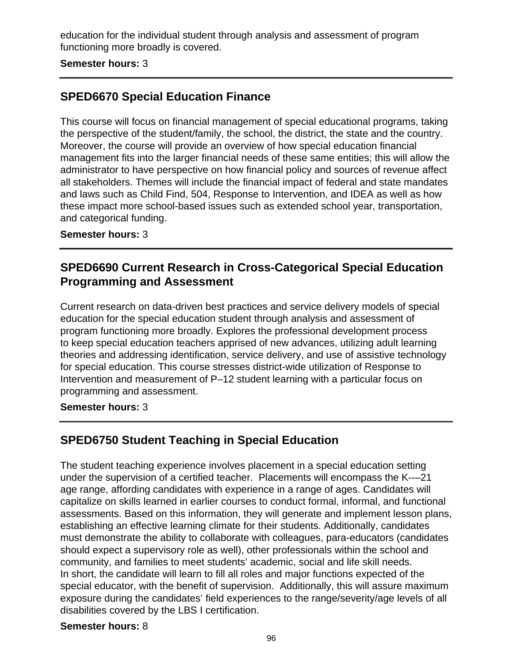education for the individual student through analysis and assessment of program functioning more broadly is covered.

#### **Semester hours:** 3

# **SPED6670 Special Education Finance**

This course will focus on financial management of special educational programs, taking the perspective of the student/family, the school, the district, the state and the country. Moreover, the course will provide an overview of how special education financial management fits into the larger financial needs of these same entities; this will allow the administrator to have perspective on how financial policy and sources of revenue affect all stakeholders. Themes will include the financial impact of federal and state mandates and laws such as Child Find, 504, Response to Intervention, and IDEA as well as how these impact more school-based issues such as extended school year, transportation, and categorical funding.

#### **Semester hours:** 3

## **SPED6690 Current Research in Cross-Categorical Special Education Programming and Assessment**

Current research on data-driven best practices and service delivery models of special education for the special education student through analysis and assessment of program functioning more broadly. Explores the professional development process to keep special education teachers apprised of new advances, utilizing adult learning theories and addressing identification, service delivery, and use of assistive technology for special education. This course stresses district-wide utilization of Response to Intervention and measurement of P–12 student learning with a particular focus on programming and assessment.

### **Semester hours:** 3

## **SPED6750 Student Teaching in Special Education**

The student teaching experience involves placement in a special education setting under the supervision of a certified teacher. Placements will encompass the K--–21 age range, affording candidates with experience in a range of ages. Candidates will capitalize on skills learned in earlier courses to conduct formal, informal, and functional assessments. Based on this information, they will generate and implement lesson plans, establishing an effective learning climate for their students. Additionally, candidates must demonstrate the ability to collaborate with colleagues, para-educators (candidates should expect a supervisory role as well), other professionals within the school and community, and families to meet students' academic, social and life skill needs. In short, the candidate will learn to fill all roles and major functions expected of the special educator, with the benefit of supervision. Additionally, this will assure maximum exposure during the candidates' field experiences to the range/severity/age levels of all disabilities covered by the LBS I certification.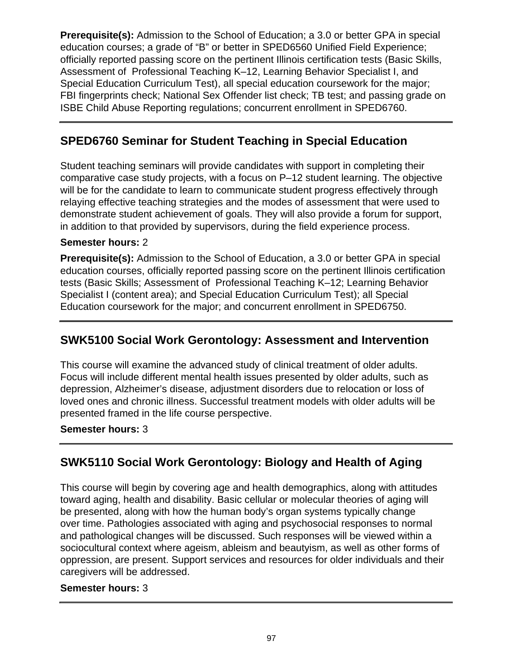**Prerequisite(s):** Admission to the School of Education; a 3.0 or better GPA in special education courses; a grade of "B" or better in SPED6560 Unified Field Experience; officially reported passing score on the pertinent Illinois certification tests (Basic Skills, Assessment of Professional Teaching K–12, Learning Behavior Specialist I, and Special Education Curriculum Test), all special education coursework for the major; FBI fingerprints check; National Sex Offender list check; TB test; and passing grade on ISBE Child Abuse Reporting regulations; concurrent enrollment in SPED6760.

# **SPED6760 Seminar for Student Teaching in Special Education**

Student teaching seminars will provide candidates with support in completing their comparative case study projects, with a focus on P–12 student learning. The objective will be for the candidate to learn to communicate student progress effectively through relaying effective teaching strategies and the modes of assessment that were used to demonstrate student achievement of goals. They will also provide a forum for support, in addition to that provided by supervisors, during the field experience process.

## **Semester hours:** 2

**Prerequisite(s):** Admission to the School of Education, a 3.0 or better GPA in special education courses, officially reported passing score on the pertinent Illinois certification tests (Basic Skills; Assessment of Professional Teaching K–12; Learning Behavior Specialist I (content area); and Special Education Curriculum Test); all Special Education coursework for the major; and concurrent enrollment in SPED6750.

# **SWK5100 Social Work Gerontology: Assessment and Intervention**

This course will examine the advanced study of clinical treatment of older adults. Focus will include different mental health issues presented by older adults, such as depression, Alzheimer's disease, adjustment disorders due to relocation or loss of loved ones and chronic illness. Successful treatment models with older adults will be presented framed in the life course perspective.

## **Semester hours:** 3

# **SWK5110 Social Work Gerontology: Biology and Health of Aging**

This course will begin by covering age and health demographics, along with attitudes toward aging, health and disability. Basic cellular or molecular theories of aging will be presented, along with how the human body's organ systems typically change over time. Pathologies associated with aging and psychosocial responses to normal and pathological changes will be discussed. Such responses will be viewed within a sociocultural context where ageism, ableism and beautyism, as well as other forms of oppression, are present. Support services and resources for older individuals and their caregivers will be addressed.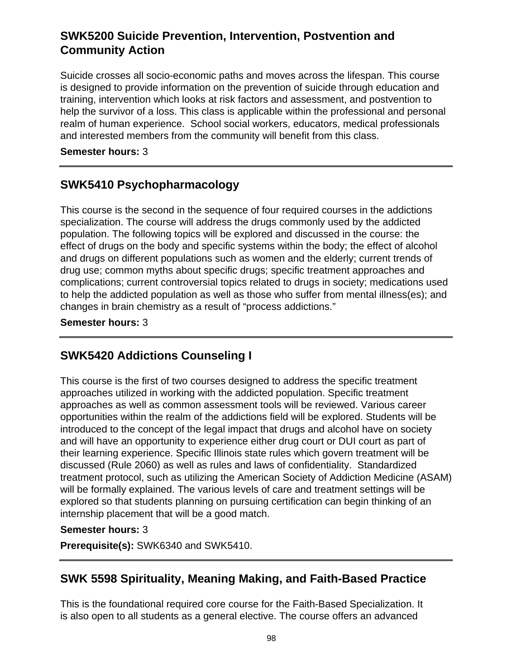# **SWK5200 Suicide Prevention, Intervention, Postvention and Community Action**

Suicide crosses all socio-economic paths and moves across the lifespan. This course is designed to provide information on the prevention of suicide through education and training, intervention which looks at risk factors and assessment, and postvention to help the survivor of a loss. This class is applicable within the professional and personal realm of human experience. School social workers, educators, medical professionals and interested members from the community will benefit from this class.

**Semester hours:** 3

# **SWK5410 Psychopharmacology**

This course is the second in the sequence of four required courses in the addictions specialization. The course will address the drugs commonly used by the addicted population. The following topics will be explored and discussed in the course: the effect of drugs on the body and specific systems within the body; the effect of alcohol and drugs on different populations such as women and the elderly; current trends of drug use; common myths about specific drugs; specific treatment approaches and complications; current controversial topics related to drugs in society; medications used to help the addicted population as well as those who suffer from mental illness(es); and changes in brain chemistry as a result of "process addictions."

**Semester hours:** 3

# **SWK5420 Addictions Counseling I**

This course is the first of two courses designed to address the specific treatment approaches utilized in working with the addicted population. Specific treatment approaches as well as common assessment tools will be reviewed. Various career opportunities within the realm of the addictions field will be explored. Students will be introduced to the concept of the legal impact that drugs and alcohol have on society and will have an opportunity to experience either drug court or DUI court as part of their learning experience. Specific Illinois state rules which govern treatment will be discussed (Rule 2060) as well as rules and laws of confidentiality. Standardized treatment protocol, such as utilizing the American Society of Addiction Medicine (ASAM) will be formally explained. The various levels of care and treatment settings will be explored so that students planning on pursuing certification can begin thinking of an internship placement that will be a good match.

## **Semester hours:** 3

**Prerequisite(s):** SWK6340 and SWK5410.

## **SWK 5598 Spirituality, Meaning Making, and Faith-Based Practice**

This is the foundational required core course for the Faith-Based Specialization. It is also open to all students as a general elective. The course offers an advanced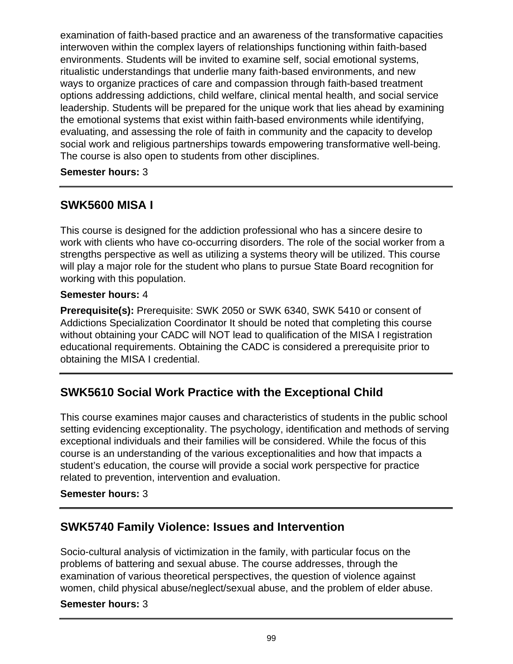examination of faith-based practice and an awareness of the transformative capacities interwoven within the complex layers of relationships functioning within faith-based environments. Students will be invited to examine self, social emotional systems, ritualistic understandings that underlie many faith-based environments, and new ways to organize practices of care and compassion through faith-based treatment options addressing addictions, child welfare, clinical mental health, and social service leadership. Students will be prepared for the unique work that lies ahead by examining the emotional systems that exist within faith-based environments while identifying, evaluating, and assessing the role of faith in community and the capacity to develop social work and religious partnerships towards empowering transformative well-being. The course is also open to students from other disciplines.

### **Semester hours:** 3

# **SWK5600 MISA I**

This course is designed for the addiction professional who has a sincere desire to work with clients who have co-occurring disorders. The role of the social worker from a strengths perspective as well as utilizing a systems theory will be utilized. This course will play a major role for the student who plans to pursue State Board recognition for working with this population.

### **Semester hours:** 4

**Prerequisite(s):** Prerequisite: SWK 2050 or SWK 6340, SWK 5410 or consent of Addictions Specialization Coordinator It should be noted that completing this course without obtaining your CADC will NOT lead to qualification of the MISA I registration educational requirements. Obtaining the CADC is considered a prerequisite prior to obtaining the MISA I credential.

# **SWK5610 Social Work Practice with the Exceptional Child**

This course examines major causes and characteristics of students in the public school setting evidencing exceptionality. The psychology, identification and methods of serving exceptional individuals and their families will be considered. While the focus of this course is an understanding of the various exceptionalities and how that impacts a student's education, the course will provide a social work perspective for practice related to prevention, intervention and evaluation.

## **Semester hours:** 3

# **SWK5740 Family Violence: Issues and Intervention**

Socio-cultural analysis of victimization in the family, with particular focus on the problems of battering and sexual abuse. The course addresses, through the examination of various theoretical perspectives, the question of violence against women, child physical abuse/neglect/sexual abuse, and the problem of elder abuse.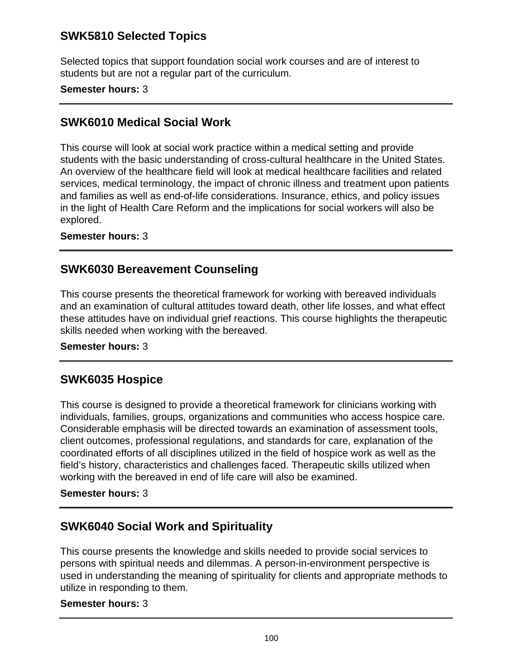# **SWK5810 Selected Topics**

Selected topics that support foundation social work courses and are of interest to students but are not a regular part of the curriculum.

### **Semester hours:** 3

## **SWK6010 Medical Social Work**

This course will look at social work practice within a medical setting and provide students with the basic understanding of cross-cultural healthcare in the United States. An overview of the healthcare field will look at medical healthcare facilities and related services, medical terminology, the impact of chronic illness and treatment upon patients and families as well as end-of-life considerations. Insurance, ethics, and policy issues in the light of Health Care Reform and the implications for social workers will also be explored.

### **Semester hours:** 3

## **SWK6030 Bereavement Counseling**

This course presents the theoretical framework for working with bereaved individuals and an examination of cultural attitudes toward death, other life losses, and what effect these attitudes have on individual grief reactions. This course highlights the therapeutic skills needed when working with the bereaved.

### **Semester hours:** 3

## **SWK6035 Hospice**

This course is designed to provide a theoretical framework for clinicians working with individuals, families, groups, organizations and communities who access hospice care. Considerable emphasis will be directed towards an examination of assessment tools, client outcomes, professional regulations, and standards for care, explanation of the coordinated efforts of all disciplines utilized in the field of hospice work as well as the field's history, characteristics and challenges faced. Therapeutic skills utilized when working with the bereaved in end of life care will also be examined.

### **Semester hours:** 3

## **SWK6040 Social Work and Spirituality**

This course presents the knowledge and skills needed to provide social services to persons with spiritual needs and dilemmas. A person-in-environment perspective is used in understanding the meaning of spirituality for clients and appropriate methods to utilize in responding to them.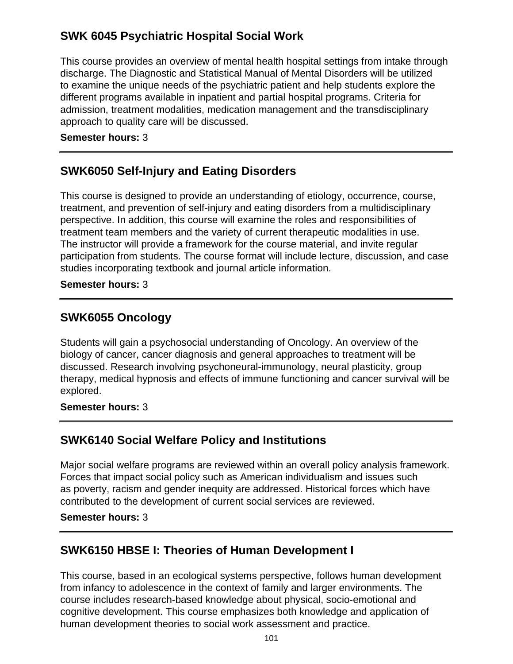# **SWK 6045 Psychiatric Hospital Social Work**

This course provides an overview of mental health hospital settings from intake through discharge. The Diagnostic and Statistical Manual of Mental Disorders will be utilized to examine the unique needs of the psychiatric patient and help students explore the different programs available in inpatient and partial hospital programs. Criteria for admission, treatment modalities, medication management and the transdisciplinary approach to quality care will be discussed.

### **Semester hours:** 3

# **SWK6050 Self-Injury and Eating Disorders**

This course is designed to provide an understanding of etiology, occurrence, course, treatment, and prevention of self-injury and eating disorders from a multidisciplinary perspective. In addition, this course will examine the roles and responsibilities of treatment team members and the variety of current therapeutic modalities in use. The instructor will provide a framework for the course material, and invite regular participation from students. The course format will include lecture, discussion, and case studies incorporating textbook and journal article information.

#### **Semester hours:** 3

## **SWK6055 Oncology**

Students will gain a psychosocial understanding of Oncology. An overview of the biology of cancer, cancer diagnosis and general approaches to treatment will be discussed. Research involving psychoneural-immunology, neural plasticity, group therapy, medical hypnosis and effects of immune functioning and cancer survival will be explored.

### **Semester hours:** 3

# **SWK6140 Social Welfare Policy and Institutions**

Major social welfare programs are reviewed within an overall policy analysis framework. Forces that impact social policy such as American individualism and issues such as poverty, racism and gender inequity are addressed. Historical forces which have contributed to the development of current social services are reviewed.

#### **Semester hours:** 3

# **SWK6150 HBSE I: Theories of Human Development I**

This course, based in an ecological systems perspective, follows human development from infancy to adolescence in the context of family and larger environments. The course includes research-based knowledge about physical, socio-emotional and cognitive development. This course emphasizes both knowledge and application of human development theories to social work assessment and practice.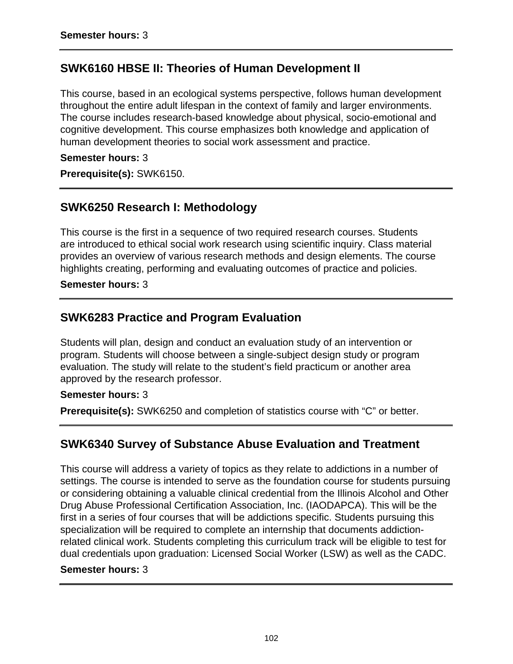# **SWK6160 HBSE II: Theories of Human Development II**

This course, based in an ecological systems perspective, follows human development throughout the entire adult lifespan in the context of family and larger environments. The course includes research-based knowledge about physical, socio-emotional and cognitive development. This course emphasizes both knowledge and application of human development theories to social work assessment and practice.

#### **Semester hours:** 3

**Prerequisite(s):** SWK6150.

## **SWK6250 Research I: Methodology**

This course is the first in a sequence of two required research courses. Students are introduced to ethical social work research using scientific inquiry. Class material provides an overview of various research methods and design elements. The course highlights creating, performing and evaluating outcomes of practice and policies.

#### **Semester hours:** 3

## **SWK6283 Practice and Program Evaluation**

Students will plan, design and conduct an evaluation study of an intervention or program. Students will choose between a single-subject design study or program evaluation. The study will relate to the student's field practicum or another area approved by the research professor.

### **Semester hours:** 3

**Prerequisite(s):** SWK6250 and completion of statistics course with "C" or better.

## **SWK6340 Survey of Substance Abuse Evaluation and Treatment**

This course will address a variety of topics as they relate to addictions in a number of settings. The course is intended to serve as the foundation course for students pursuing or considering obtaining a valuable clinical credential from the Illinois Alcohol and Other Drug Abuse Professional Certification Association, Inc. (IAODAPCA). This will be the first in a series of four courses that will be addictions specific. Students pursuing this specialization will be required to complete an internship that documents addictionrelated clinical work. Students completing this curriculum track will be eligible to test for dual credentials upon graduation: Licensed Social Worker (LSW) as well as the CADC.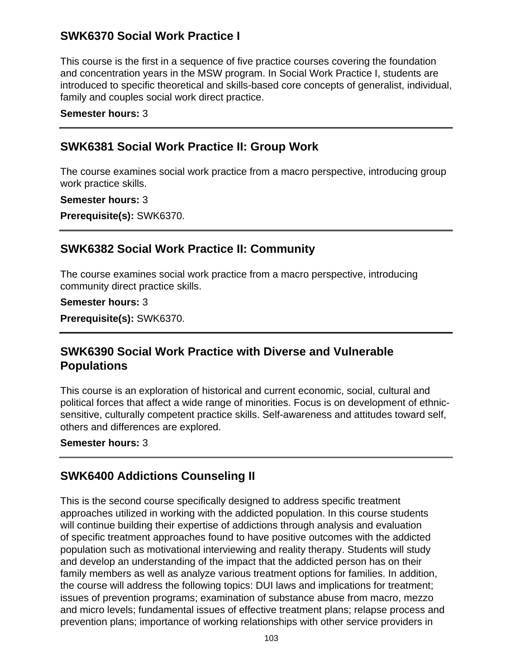# **SWK6370 Social Work Practice I**

This course is the first in a sequence of five practice courses covering the foundation and concentration years in the MSW program. In Social Work Practice I, students are introduced to specific theoretical and skills-based core concepts of generalist, individual, family and couples social work direct practice.

#### **Semester hours:** 3

## **SWK6381 Social Work Practice II: Group Work**

The course examines social work practice from a macro perspective, introducing group work practice skills.

#### **Semester hours:** 3

**Prerequisite(s):** SWK6370.

## **SWK6382 Social Work Practice II: Community**

The course examines social work practice from a macro perspective, introducing community direct practice skills.

**Semester hours:** 3

**Prerequisite(s):** SWK6370.

# **SWK6390 Social Work Practice with Diverse and Vulnerable Populations**

This course is an exploration of historical and current economic, social, cultural and political forces that affect a wide range of minorities. Focus is on development of ethnicsensitive, culturally competent practice skills. Self-awareness and attitudes toward self, others and differences are explored.

**Semester hours:** 3

# **SWK6400 Addictions Counseling II**

This is the second course specifically designed to address specific treatment approaches utilized in working with the addicted population. In this course students will continue building their expertise of addictions through analysis and evaluation of specific treatment approaches found to have positive outcomes with the addicted population such as motivational interviewing and reality therapy. Students will study and develop an understanding of the impact that the addicted person has on their family members as well as analyze various treatment options for families. In addition, the course will address the following topics: DUI laws and implications for treatment; issues of prevention programs; examination of substance abuse from macro, mezzo and micro levels; fundamental issues of effective treatment plans; relapse process and prevention plans; importance of working relationships with other service providers in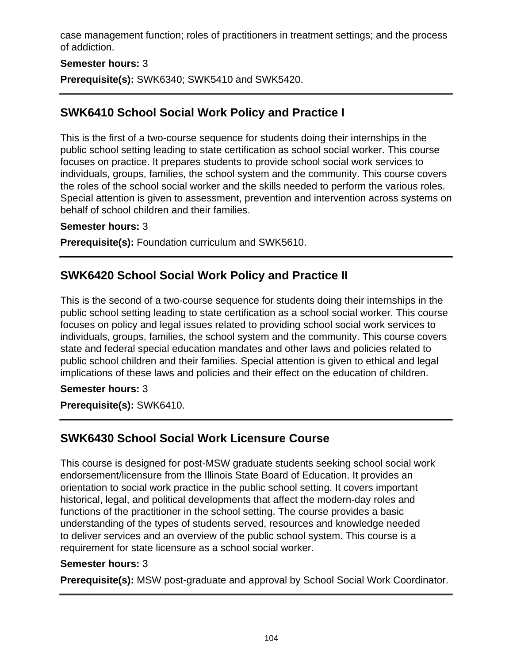case management function; roles of practitioners in treatment settings; and the process of addiction.

## **Semester hours:** 3

**Prerequisite(s):** SWK6340; SWK5410 and SWK5420.

# **SWK6410 School Social Work Policy and Practice I**

This is the first of a two-course sequence for students doing their internships in the public school setting leading to state certification as school social worker. This course focuses on practice. It prepares students to provide school social work services to individuals, groups, families, the school system and the community. This course covers the roles of the school social worker and the skills needed to perform the various roles. Special attention is given to assessment, prevention and intervention across systems on behalf of school children and their families.

### **Semester hours:** 3

**Prerequisite(s):** Foundation curriculum and SWK5610.

# **SWK6420 School Social Work Policy and Practice II**

This is the second of a two-course sequence for students doing their internships in the public school setting leading to state certification as a school social worker. This course focuses on policy and legal issues related to providing school social work services to individuals, groups, families, the school system and the community. This course covers state and federal special education mandates and other laws and policies related to public school children and their families. Special attention is given to ethical and legal implications of these laws and policies and their effect on the education of children.

### **Semester hours:** 3

**Prerequisite(s):** SWK6410.

# **SWK6430 School Social Work Licensure Course**

This course is designed for post-MSW graduate students seeking school social work endorsement/licensure from the Illinois State Board of Education. It provides an orientation to social work practice in the public school setting. It covers important historical, legal, and political developments that affect the modern-day roles and functions of the practitioner in the school setting. The course provides a basic understanding of the types of students served, resources and knowledge needed to deliver services and an overview of the public school system. This course is a requirement for state licensure as a school social worker.

### **Semester hours:** 3

**Prerequisite(s):** MSW post-graduate and approval by School Social Work Coordinator.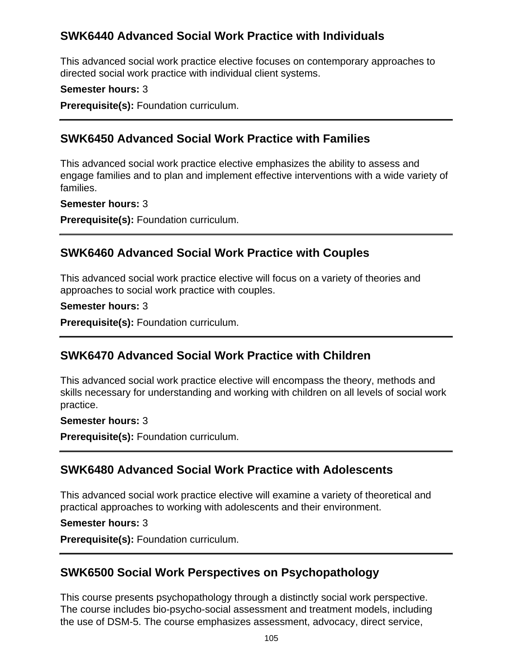# **SWK6440 Advanced Social Work Practice with Individuals**

This advanced social work practice elective focuses on contemporary approaches to directed social work practice with individual client systems.

### **Semester hours:** 3

**Prerequisite(s):** Foundation curriculum.

# **SWK6450 Advanced Social Work Practice with Families**

This advanced social work practice elective emphasizes the ability to assess and engage families and to plan and implement effective interventions with a wide variety of families.

**Semester hours:** 3

**Prerequisite(s):** Foundation curriculum.

# **SWK6460 Advanced Social Work Practice with Couples**

This advanced social work practice elective will focus on a variety of theories and approaches to social work practice with couples.

**Semester hours:** 3

**Prerequisite(s):** Foundation curriculum.

# **SWK6470 Advanced Social Work Practice with Children**

This advanced social work practice elective will encompass the theory, methods and skills necessary for understanding and working with children on all levels of social work practice.

### **Semester hours:** 3

**Prerequisite(s):** Foundation curriculum.

# **SWK6480 Advanced Social Work Practice with Adolescents**

This advanced social work practice elective will examine a variety of theoretical and practical approaches to working with adolescents and their environment.

### **Semester hours:** 3

**Prerequisite(s):** Foundation curriculum.

## **SWK6500 Social Work Perspectives on Psychopathology**

This course presents psychopathology through a distinctly social work perspective. The course includes bio-psycho-social assessment and treatment models, including the use of DSM-5. The course emphasizes assessment, advocacy, direct service,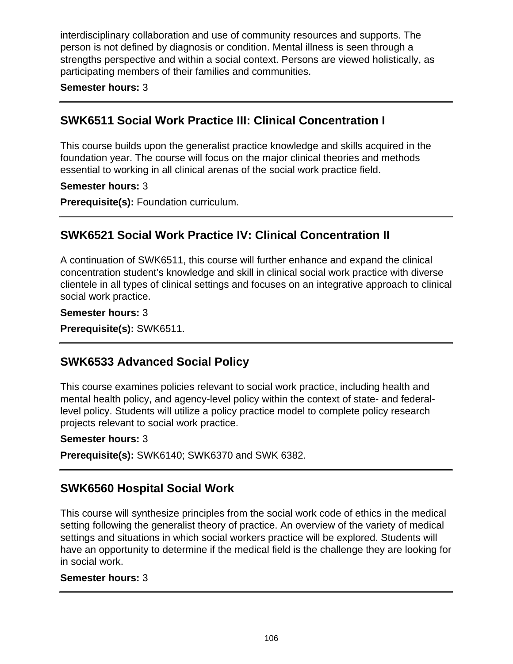interdisciplinary collaboration and use of community resources and supports. The person is not defined by diagnosis or condition. Mental illness is seen through a strengths perspective and within a social context. Persons are viewed holistically, as participating members of their families and communities.

**Semester hours:** 3

# **SWK6511 Social Work Practice III: Clinical Concentration I**

This course builds upon the generalist practice knowledge and skills acquired in the foundation year. The course will focus on the major clinical theories and methods essential to working in all clinical arenas of the social work practice field.

### **Semester hours:** 3

**Prerequisite(s):** Foundation curriculum.

# **SWK6521 Social Work Practice IV: Clinical Concentration II**

A continuation of SWK6511, this course will further enhance and expand the clinical concentration student's knowledge and skill in clinical social work practice with diverse clientele in all types of clinical settings and focuses on an integrative approach to clinical social work practice.

### **Semester hours:** 3

**Prerequisite(s):** SWK6511.

# **SWK6533 Advanced Social Policy**

This course examines policies relevant to social work practice, including health and mental health policy, and agency-level policy within the context of state- and federallevel policy. Students will utilize a policy practice model to complete policy research projects relevant to social work practice.

### **Semester hours:** 3

**Prerequisite(s):** SWK6140; SWK6370 and SWK 6382.

# **SWK6560 Hospital Social Work**

This course will synthesize principles from the social work code of ethics in the medical setting following the generalist theory of practice. An overview of the variety of medical settings and situations in which social workers practice will be explored. Students will have an opportunity to determine if the medical field is the challenge they are looking for in social work.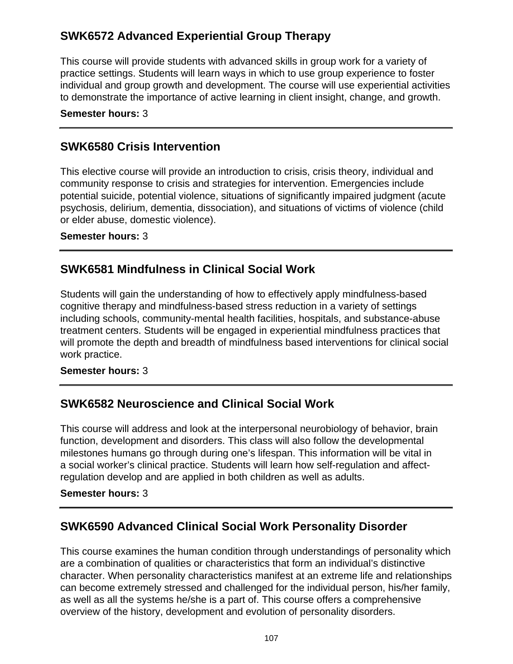# **SWK6572 Advanced Experiential Group Therapy**

This course will provide students with advanced skills in group work for a variety of practice settings. Students will learn ways in which to use group experience to foster individual and group growth and development. The course will use experiential activities to demonstrate the importance of active learning in client insight, change, and growth.

### **Semester hours:** 3

# **SWK6580 Crisis Intervention**

This elective course will provide an introduction to crisis, crisis theory, individual and community response to crisis and strategies for intervention. Emergencies include potential suicide, potential violence, situations of significantly impaired judgment (acute psychosis, delirium, dementia, dissociation), and situations of victims of violence (child or elder abuse, domestic violence).

### **Semester hours:** 3

# **SWK6581 Mindfulness in Clinical Social Work**

Students will gain the understanding of how to effectively apply mindfulness-based cognitive therapy and mindfulness-based stress reduction in a variety of settings including schools, community-mental health facilities, hospitals, and substance-abuse treatment centers. Students will be engaged in experiential mindfulness practices that will promote the depth and breadth of mindfulness based interventions for clinical social work practice.

### **Semester hours:** 3

# **SWK6582 Neuroscience and Clinical Social Work**

This course will address and look at the interpersonal neurobiology of behavior, brain function, development and disorders. This class will also follow the developmental milestones humans go through during one's lifespan. This information will be vital in a social worker's clinical practice. Students will learn how self-regulation and affectregulation develop and are applied in both children as well as adults.

### **Semester hours:** 3

# **SWK6590 Advanced Clinical Social Work Personality Disorder**

This course examines the human condition through understandings of personality which are a combination of qualities or characteristics that form an individual's distinctive character. When personality characteristics manifest at an extreme life and relationships can become extremely stressed and challenged for the individual person, his/her family, as well as all the systems he/she is a part of. This course offers a comprehensive overview of the history, development and evolution of personality disorders.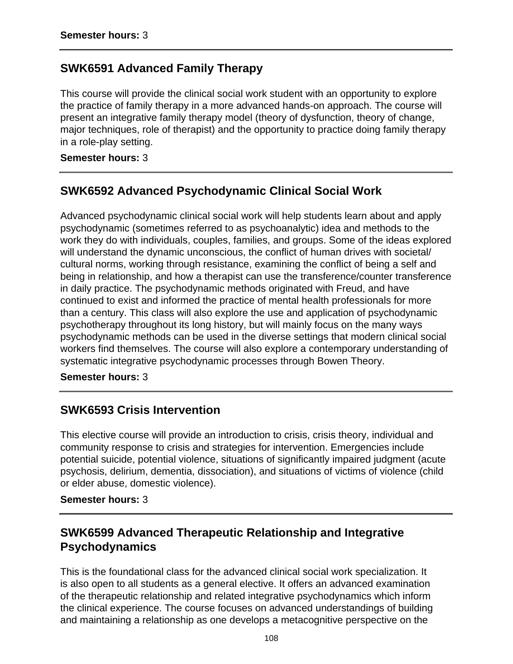# **SWK6591 Advanced Family Therapy**

This course will provide the clinical social work student with an opportunity to explore the practice of family therapy in a more advanced hands-on approach. The course will present an integrative family therapy model (theory of dysfunction, theory of change, major techniques, role of therapist) and the opportunity to practice doing family therapy in a role-play setting.

**Semester hours:** 3

# **SWK6592 Advanced Psychodynamic Clinical Social Work**

Advanced psychodynamic clinical social work will help students learn about and apply psychodynamic (sometimes referred to as psychoanalytic) idea and methods to the work they do with individuals, couples, families, and groups. Some of the ideas explored will understand the dynamic unconscious, the conflict of human drives with societal/ cultural norms, working through resistance, examining the conflict of being a self and being in relationship, and how a therapist can use the transference/counter transference in daily practice. The psychodynamic methods originated with Freud, and have continued to exist and informed the practice of mental health professionals for more than a century. This class will also explore the use and application of psychodynamic psychotherapy throughout its long history, but will mainly focus on the many ways psychodynamic methods can be used in the diverse settings that modern clinical social workers find themselves. The course will also explore a contemporary understanding of systematic integrative psychodynamic processes through Bowen Theory.

**Semester hours:** 3

## **SWK6593 Crisis Intervention**

This elective course will provide an introduction to crisis, crisis theory, individual and community response to crisis and strategies for intervention. Emergencies include potential suicide, potential violence, situations of significantly impaired judgment (acute psychosis, delirium, dementia, dissociation), and situations of victims of violence (child or elder abuse, domestic violence).

### **Semester hours:** 3

# **SWK6599 Advanced Therapeutic Relationship and Integrative Psychodynamics**

This is the foundational class for the advanced clinical social work specialization. It is also open to all students as a general elective. It offers an advanced examination of the therapeutic relationship and related integrative psychodynamics which inform the clinical experience. The course focuses on advanced understandings of building and maintaining a relationship as one develops a metacognitive perspective on the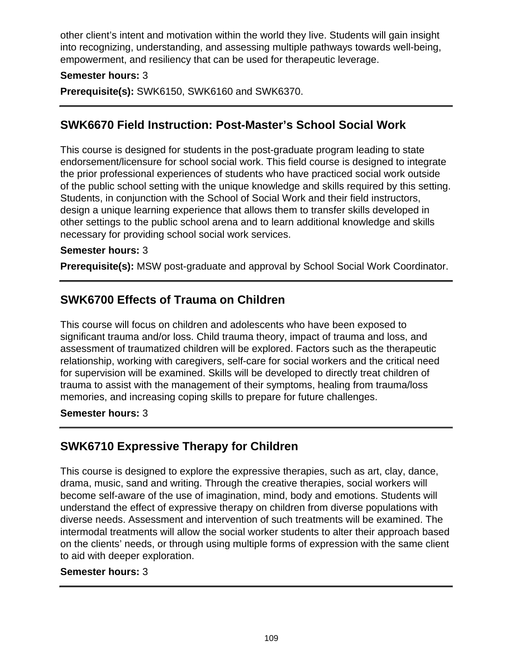other client's intent and motivation within the world they live. Students will gain insight into recognizing, understanding, and assessing multiple pathways towards well-being, empowerment, and resiliency that can be used for therapeutic leverage.

### **Semester hours:** 3

**Prerequisite(s):** SWK6150, SWK6160 and SWK6370.

## **SWK6670 Field Instruction: Post-Master's School Social Work**

This course is designed for students in the post-graduate program leading to state endorsement/licensure for school social work. This field course is designed to integrate the prior professional experiences of students who have practiced social work outside of the public school setting with the unique knowledge and skills required by this setting. Students, in conjunction with the School of Social Work and their field instructors, design a unique learning experience that allows them to transfer skills developed in other settings to the public school arena and to learn additional knowledge and skills necessary for providing school social work services.

### **Semester hours:** 3

**Prerequisite(s):** MSW post-graduate and approval by School Social Work Coordinator.

## **SWK6700 Effects of Trauma on Children**

This course will focus on children and adolescents who have been exposed to significant trauma and/or loss. Child trauma theory, impact of trauma and loss, and assessment of traumatized children will be explored. Factors such as the therapeutic relationship, working with caregivers, self-care for social workers and the critical need for supervision will be examined. Skills will be developed to directly treat children of trauma to assist with the management of their symptoms, healing from trauma/loss memories, and increasing coping skills to prepare for future challenges.

### **Semester hours:** 3

# **SWK6710 Expressive Therapy for Children**

This course is designed to explore the expressive therapies, such as art, clay, dance, drama, music, sand and writing. Through the creative therapies, social workers will become self-aware of the use of imagination, mind, body and emotions. Students will understand the effect of expressive therapy on children from diverse populations with diverse needs. Assessment and intervention of such treatments will be examined. The intermodal treatments will allow the social worker students to alter their approach based on the clients' needs, or through using multiple forms of expression with the same client to aid with deeper exploration.

### **Semester hours:** 3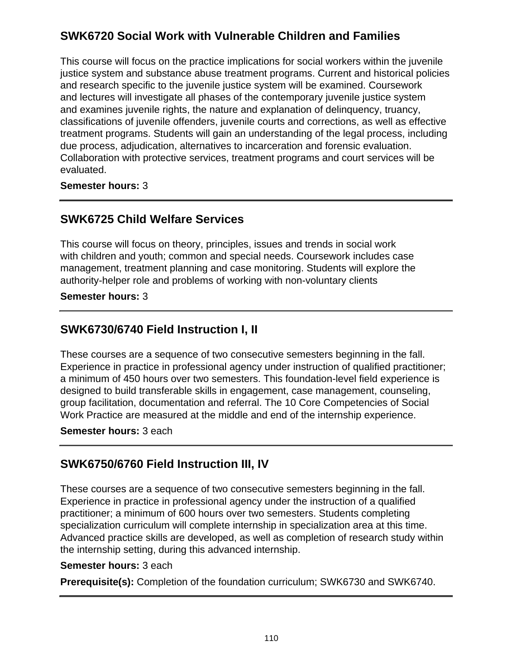# **SWK6720 Social Work with Vulnerable Children and Families**

This course will focus on the practice implications for social workers within the juvenile justice system and substance abuse treatment programs. Current and historical policies and research specific to the juvenile justice system will be examined. Coursework and lectures will investigate all phases of the contemporary juvenile justice system and examines juvenile rights, the nature and explanation of delinquency, truancy, classifications of juvenile offenders, juvenile courts and corrections, as well as effective treatment programs. Students will gain an understanding of the legal process, including due process, adjudication, alternatives to incarceration and forensic evaluation. Collaboration with protective services, treatment programs and court services will be evaluated.

**Semester hours:** 3

## **SWK6725 Child Welfare Services**

This course will focus on theory, principles, issues and trends in social work with children and youth; common and special needs. Coursework includes case management, treatment planning and case monitoring. Students will explore the authority-helper role and problems of working with non-voluntary clients

### **Semester hours:** 3

## **SWK6730/6740 Field Instruction I, II**

These courses are a sequence of two consecutive semesters beginning in the fall. Experience in practice in professional agency under instruction of qualified practitioner; a minimum of 450 hours over two semesters. This foundation-level field experience is designed to build transferable skills in engagement, case management, counseling, group facilitation, documentation and referral. The 10 Core Competencies of Social Work Practice are measured at the middle and end of the internship experience.

### **Semester hours:** 3 each

# **SWK6750/6760 Field Instruction III, IV**

These courses are a sequence of two consecutive semesters beginning in the fall. Experience in practice in professional agency under the instruction of a qualified practitioner; a minimum of 600 hours over two semesters. Students completing specialization curriculum will complete internship in specialization area at this time. Advanced practice skills are developed, as well as completion of research study within the internship setting, during this advanced internship.

### **Semester hours:** 3 each

**Prerequisite(s):** Completion of the foundation curriculum; SWK6730 and SWK6740.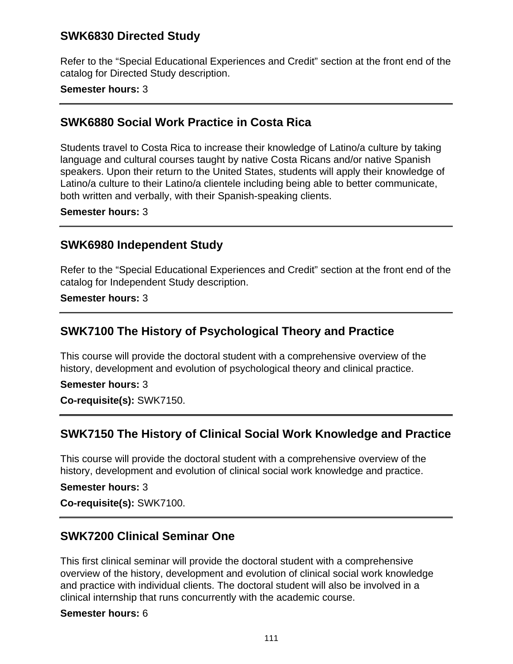## **SWK6830 Directed Study**

Refer to the "Special Educational Experiences and Credit" section at the front end of the catalog for Directed Study description.

### **Semester hours:** 3

## **SWK6880 Social Work Practice in Costa Rica**

Students travel to Costa Rica to increase their knowledge of Latino/a culture by taking language and cultural courses taught by native Costa Ricans and/or native Spanish speakers. Upon their return to the United States, students will apply their knowledge of Latino/a culture to their Latino/a clientele including being able to better communicate, both written and verbally, with their Spanish-speaking clients.

#### **Semester hours:** 3

## **SWK6980 Independent Study**

Refer to the "Special Educational Experiences and Credit" section at the front end of the catalog for Independent Study description.

**Semester hours:** 3

## **SWK7100 The History of Psychological Theory and Practice**

This course will provide the doctoral student with a comprehensive overview of the history, development and evolution of psychological theory and clinical practice.

### **Semester hours:** 3

**Co-requisite(s):** SWK7150.

## **SWK7150 The History of Clinical Social Work Knowledge and Practice**

This course will provide the doctoral student with a comprehensive overview of the history, development and evolution of clinical social work knowledge and practice.

**Semester hours:** 3

**Co-requisite(s):** SWK7100.

# **SWK7200 Clinical Seminar One**

This first clinical seminar will provide the doctoral student with a comprehensive overview of the history, development and evolution of clinical social work knowledge and practice with individual clients. The doctoral student will also be involved in a clinical internship that runs concurrently with the academic course.

#### **Semester hours:** 6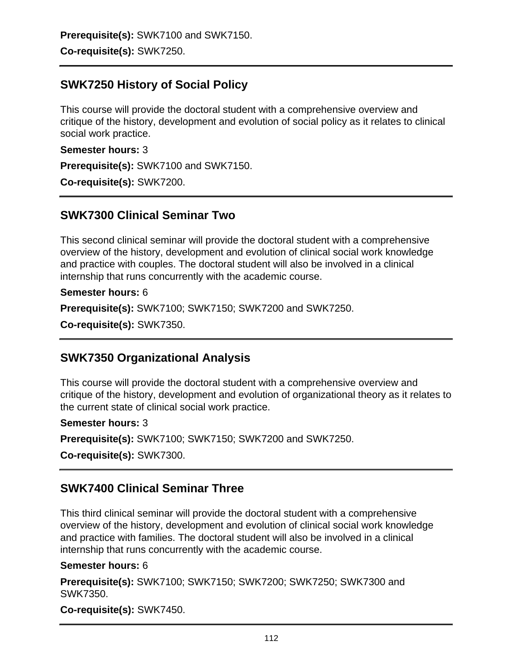**Prerequisite(s):** SWK7100 and SWK7150. **Co-requisite(s):** SWK7250.

## **SWK7250 History of Social Policy**

This course will provide the doctoral student with a comprehensive overview and critique of the history, development and evolution of social policy as it relates to clinical social work practice.

**Semester hours:** 3

**Prerequisite(s):** SWK7100 and SWK7150.

**Co-requisite(s):** SWK7200.

## **SWK7300 Clinical Seminar Two**

This second clinical seminar will provide the doctoral student with a comprehensive overview of the history, development and evolution of clinical social work knowledge and practice with couples. The doctoral student will also be involved in a clinical internship that runs concurrently with the academic course.

**Semester hours:** 6

**Prerequisite(s):** SWK7100; SWK7150; SWK7200 and SWK7250.

**Co-requisite(s):** SWK7350.

## **SWK7350 Organizational Analysis**

This course will provide the doctoral student with a comprehensive overview and critique of the history, development and evolution of organizational theory as it relates to the current state of clinical social work practice.

#### **Semester hours:** 3

**Prerequisite(s):** SWK7100; SWK7150; SWK7200 and SWK7250.

**Co-requisite(s):** SWK7300.

## **SWK7400 Clinical Seminar Three**

This third clinical seminar will provide the doctoral student with a comprehensive overview of the history, development and evolution of clinical social work knowledge and practice with families. The doctoral student will also be involved in a clinical internship that runs concurrently with the academic course.

### **Semester hours:** 6

**Prerequisite(s):** SWK7100; SWK7150; SWK7200; SWK7250; SWK7300 and SWK7350.

**Co-requisite(s):** SWK7450.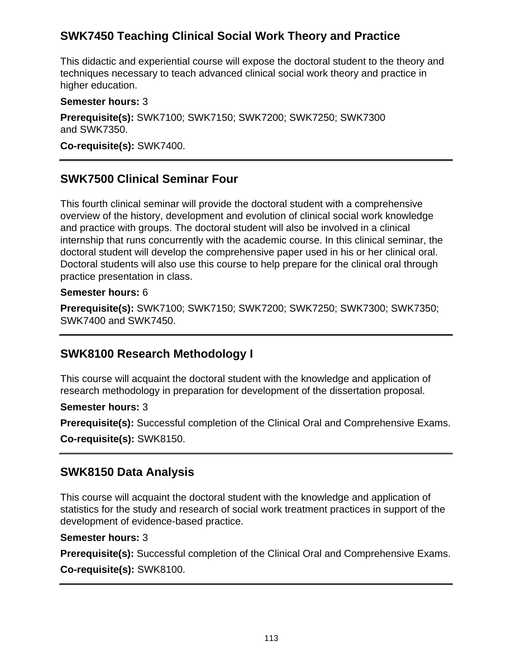# **SWK7450 Teaching Clinical Social Work Theory and Practice**

This didactic and experiential course will expose the doctoral student to the theory and techniques necessary to teach advanced clinical social work theory and practice in higher education.

### **Semester hours:** 3

**Prerequisite(s):** SWK7100; SWK7150; SWK7200; SWK7250; SWK7300 and SWK7350.

**Co-requisite(s):** SWK7400.

# **SWK7500 Clinical Seminar Four**

This fourth clinical seminar will provide the doctoral student with a comprehensive overview of the history, development and evolution of clinical social work knowledge and practice with groups. The doctoral student will also be involved in a clinical internship that runs concurrently with the academic course. In this clinical seminar, the doctoral student will develop the comprehensive paper used in his or her clinical oral. Doctoral students will also use this course to help prepare for the clinical oral through practice presentation in class.

### **Semester hours:** 6

**Prerequisite(s):** SWK7100; SWK7150; SWK7200; SWK7250; SWK7300; SWK7350; SWK7400 and SWK7450.

## **SWK8100 Research Methodology I**

This course will acquaint the doctoral student with the knowledge and application of research methodology in preparation for development of the dissertation proposal.

**Semester hours:** 3

**Prerequisite(s):** Successful completion of the Clinical Oral and Comprehensive Exams.

**Co-requisite(s):** SWK8150.

## **SWK8150 Data Analysis**

This course will acquaint the doctoral student with the knowledge and application of statistics for the study and research of social work treatment practices in support of the development of evidence-based practice.

### **Semester hours:** 3

**Prerequisite(s):** Successful completion of the Clinical Oral and Comprehensive Exams. **Co-requisite(s):** SWK8100.